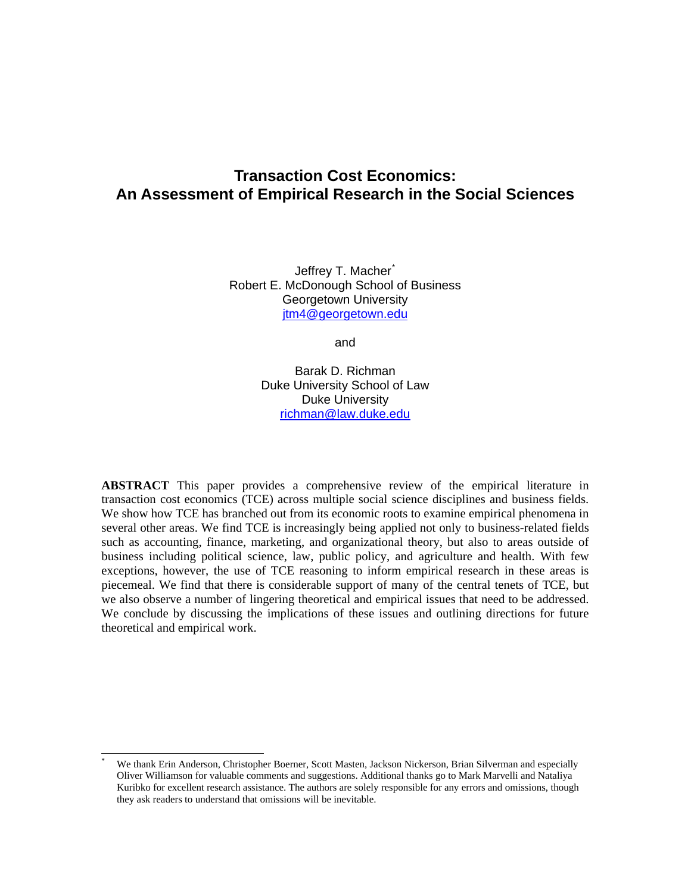# **Transaction Cost Economics: An Assessment of Empirical Research in the Social Sciences**

Jeffrey T. Macher<sup>[\\*](#page-0-0)</sup> Robert E. McDonough School of Business Georgetown University [jtm4@georgetown.edu](mailto:macher@haas.berkeley.edu)

and

Barak D. Richman Duke University School of Law Duke University [richman@law.duke.edu](mailto:richman@law.duke.edu) 

**ABSTRACT** This paper provides a comprehensive review of the empirical literature in transaction cost economics (TCE) across multiple social science disciplines and business fields. We show how TCE has branched out from its economic roots to examine empirical phenomena in several other areas. We find TCE is increasingly being applied not only to business-related fields such as accounting, finance, marketing, and organizational theory, but also to areas outside of business including political science, law, public policy, and agriculture and health. With few exceptions, however, the use of TCE reasoning to inform empirical research in these areas is piecemeal. We find that there is considerable support of many of the central tenets of TCE, but we also observe a number of lingering theoretical and empirical issues that need to be addressed. We conclude by discussing the implications of these issues and outlining directions for future theoretical and empirical work.

 $\overline{a}$ 

<span id="page-0-0"></span><sup>\*</sup> We thank Erin Anderson, Christopher Boerner, Scott Masten, Jackson Nickerson, Brian Silverman and especially Oliver Williamson for valuable comments and suggestions. Additional thanks go to Mark Marvelli and Nataliya Kuribko for excellent research assistance. The authors are solely responsible for any errors and omissions, though they ask readers to understand that omissions will be inevitable.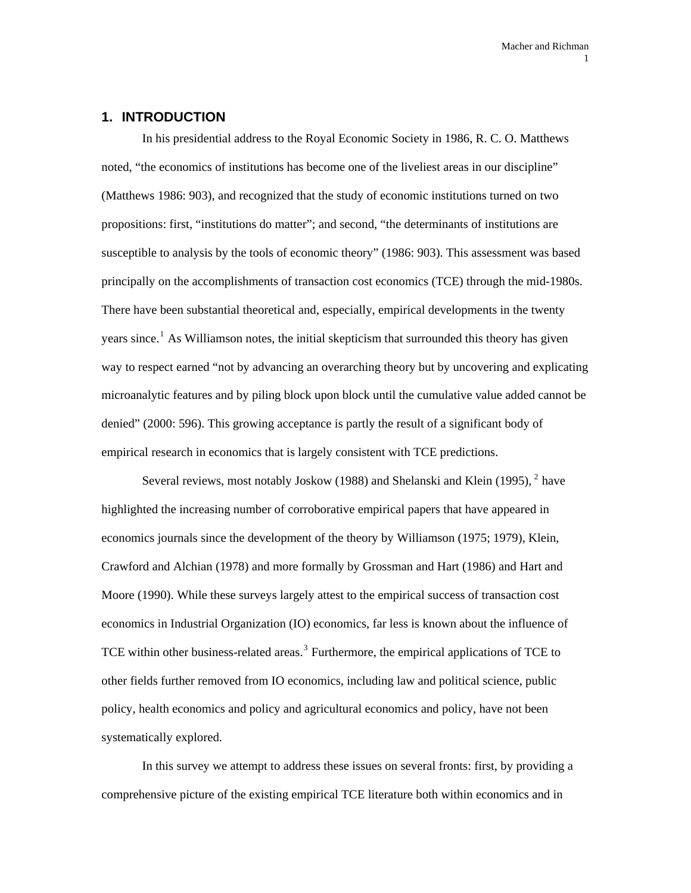#### **1. INTRODUCTION**

In his presidential address to the Royal Economic Society in 1986, R. C. O. Matthews noted, "the economics of institutions has become one of the liveliest areas in our discipline" (Matthews 1986: 903), and recognized that the study of economic institutions turned on two propositions: first, "institutions do matter"; and second, "the determinants of institutions are susceptible to analysis by the tools of economic theory" (1986: 903). This assessment was based principally on the accomplishments of transaction cost economics (TCE) through the mid-1980s. There have been substantial theoretical and, especially, empirical developments in the twenty years since.<sup>[1](#page-91-0)</sup> As Williamson notes, the initial skepticism that surrounded this theory has given way to respect earned "not by advancing an overarching theory but by uncovering and explicating microanalytic features and by piling block upon block until the cumulative value added cannot be denied" (2000: 596). This growing acceptance is partly the result of a significant body of empirical research in economics that is largely consistent with TCE predictions.

Several reviews, most notably Joskow (1988) and Shelanski and Klein (1995),  $^2$  $^2$  have highlighted the increasing number of corroborative empirical papers that have appeared in economics journals since the development of the theory by Williamson (1975; 1979), Klein, Crawford and Alchian (1978) and more formally by Grossman and Hart (1986) and Hart and Moore (1990). While these surveys largely attest to the empirical success of transaction cost economics in Industrial Organization (IO) economics, far less is known about the influence of TCE within other business-related areas.<sup>[3](#page-91-1)</sup> Furthermore, the empirical applications of TCE to other fields further removed from IO economics, including law and political science, public policy, health economics and policy and agricultural economics and policy, have not been systematically explored.

In this survey we attempt to address these issues on several fronts: first, by providing a comprehensive picture of the existing empirical TCE literature both within economics and in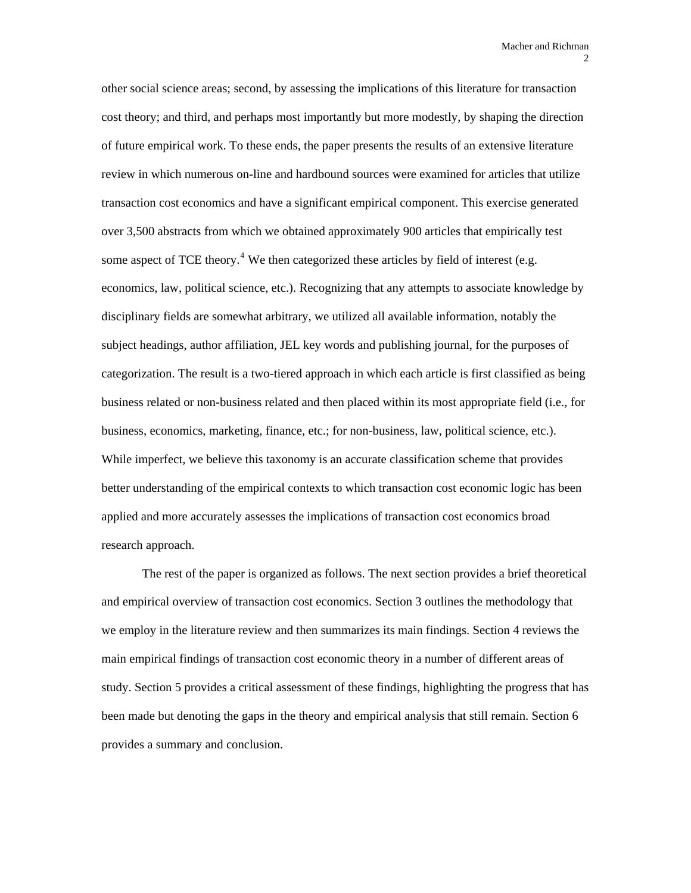other social science areas; second, by assessing the implications of this literature for transaction cost theory; and third, and perhaps most importantly but more modestly, by shaping the direction of future empirical work. To these ends, the paper presents the results of an extensive literature review in which numerous on-line and hardbound sources were examined for articles that utilize transaction cost economics and have a significant empirical component. This exercise generated over 3,500 abstracts from which we obtained approximately 900 articles that empirically test some aspect of TCE theory.<sup>[4](#page-91-1)</sup> We then categorized these articles by field of interest (e.g. economics, law, political science, etc.). Recognizing that any attempts to associate knowledge by disciplinary fields are somewhat arbitrary, we utilized all available information, notably the subject headings, author affiliation, JEL key words and publishing journal, for the purposes of categorization. The result is a two-tiered approach in which each article is first classified as being business related or non-business related and then placed within its most appropriate field (i.e., for business, economics, marketing, finance, etc.; for non-business, law, political science, etc.). While imperfect, we believe this taxonomy is an accurate classification scheme that provides better understanding of the empirical contexts to which transaction cost economic logic has been applied and more accurately assesses the implications of transaction cost economics broad research approach.

The rest of the paper is organized as follows. The next section provides a brief theoretical and empirical overview of transaction cost economics. Section 3 outlines the methodology that we employ in the literature review and then summarizes its main findings. Section 4 reviews the main empirical findings of transaction cost economic theory in a number of different areas of study. Section 5 provides a critical assessment of these findings, highlighting the progress that has been made but denoting the gaps in the theory and empirical analysis that still remain. Section 6 provides a summary and conclusion.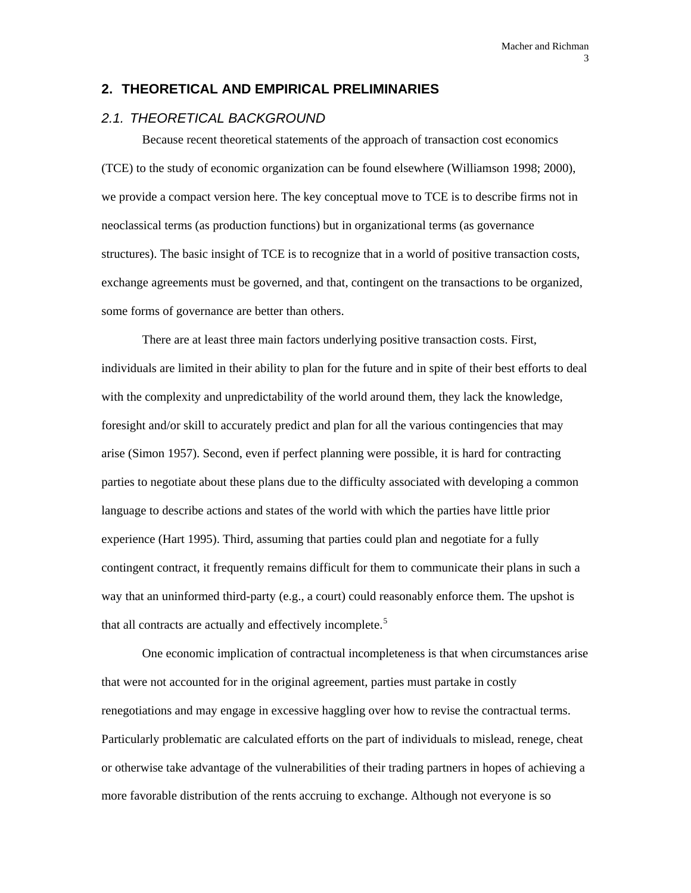### **2. THEORETICAL AND EMPIRICAL PRELIMINARIES**

### *2.1. THEORETICAL BACKGROUND*

Because recent theoretical statements of the approach of transaction cost economics (TCE) to the study of economic organization can be found elsewhere (Williamson 1998; 2000), we provide a compact version here. The key conceptual move to TCE is to describe firms not in neoclassical terms (as production functions) but in organizational terms (as governance structures). The basic insight of TCE is to recognize that in a world of positive transaction costs, exchange agreements must be governed, and that, contingent on the transactions to be organized, some forms of governance are better than others.

There are at least three main factors underlying positive transaction costs. First, individuals are limited in their ability to plan for the future and in spite of their best efforts to deal with the complexity and unpredictability of the world around them, they lack the knowledge, foresight and/or skill to accurately predict and plan for all the various contingencies that may arise (Simon 1957). Second, even if perfect planning were possible, it is hard for contracting parties to negotiate about these plans due to the difficulty associated with developing a common language to describe actions and states of the world with which the parties have little prior experience (Hart 1995). Third, assuming that parties could plan and negotiate for a fully contingent contract, it frequently remains difficult for them to communicate their plans in such a way that an uninformed third-party (e.g., a court) could reasonably enforce them. The upshot is that all contracts are actually and effectively incomplete.<sup>[5](#page-91-1)</sup>

One economic implication of contractual incompleteness is that when circumstances arise that were not accounted for in the original agreement, parties must partake in costly renegotiations and may engage in excessive haggling over how to revise the contractual terms. Particularly problematic are calculated efforts on the part of individuals to mislead, renege, cheat or otherwise take advantage of the vulnerabilities of their trading partners in hopes of achieving a more favorable distribution of the rents accruing to exchange. Although not everyone is so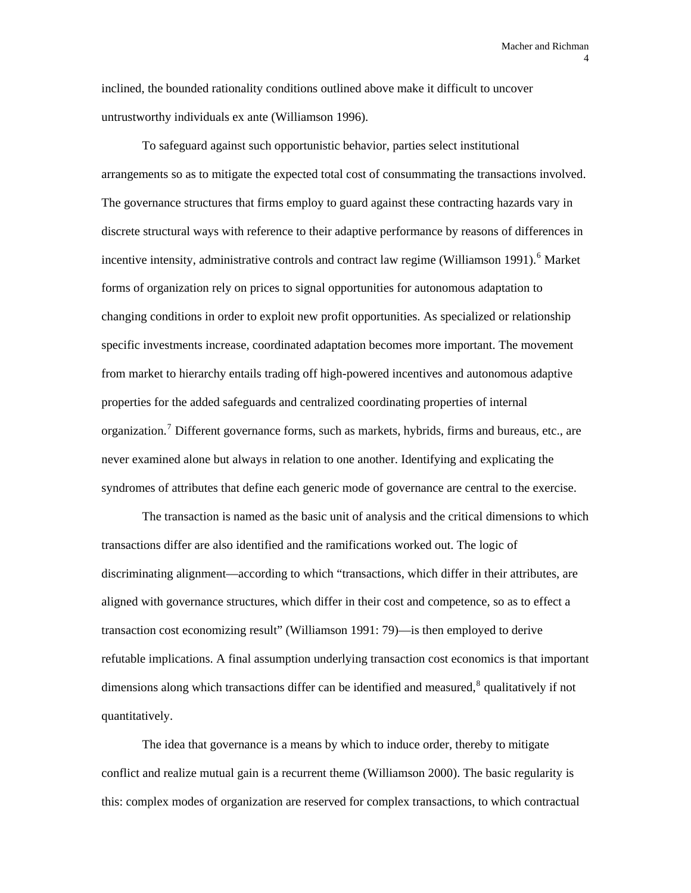inclined, the bounded rationality conditions outlined above make it difficult to uncover untrustworthy individuals ex ante (Williamson 1996).

To safeguard against such opportunistic behavior, parties select institutional arrangements so as to mitigate the expected total cost of consummating the transactions involved. The governance structures that firms employ to guard against these contracting hazards vary in discrete structural ways with reference to their adaptive performance by reasons of differences in incentive intensity, administrative controls and contract law regime (Williamson 1991).<sup>[6](#page-91-1)</sup> Market forms of organization rely on prices to signal opportunities for autonomous adaptation to changing conditions in order to exploit new profit opportunities. As specialized or relationship specific investments increase, coordinated adaptation becomes more important. The movement from market to hierarchy entails trading off high-powered incentives and autonomous adaptive properties for the added safeguards and centralized coordinating properties of internal organization.<sup>[7](#page-91-1)</sup> Different governance forms, such as markets, hybrids, firms and bureaus, etc., are never examined alone but always in relation to one another. Identifying and explicating the syndromes of attributes that define each generic mode of governance are central to the exercise.

The transaction is named as the basic unit of analysis and the critical dimensions to which transactions differ are also identified and the ramifications worked out. The logic of discriminating alignment—according to which "transactions, which differ in their attributes, are aligned with governance structures, which differ in their cost and competence, so as to effect a transaction cost economizing result" (Williamson 1991: 79)—is then employed to derive refutable implications. A final assumption underlying transaction cost economics is that important dimensions along which transactions differ can be identified and measured, $^8$  $^8$  qualitatively if not quantitatively.

The idea that governance is a means by which to induce order, thereby to mitigate conflict and realize mutual gain is a recurrent theme (Williamson 2000). The basic regularity is this: complex modes of organization are reserved for complex transactions, to which contractual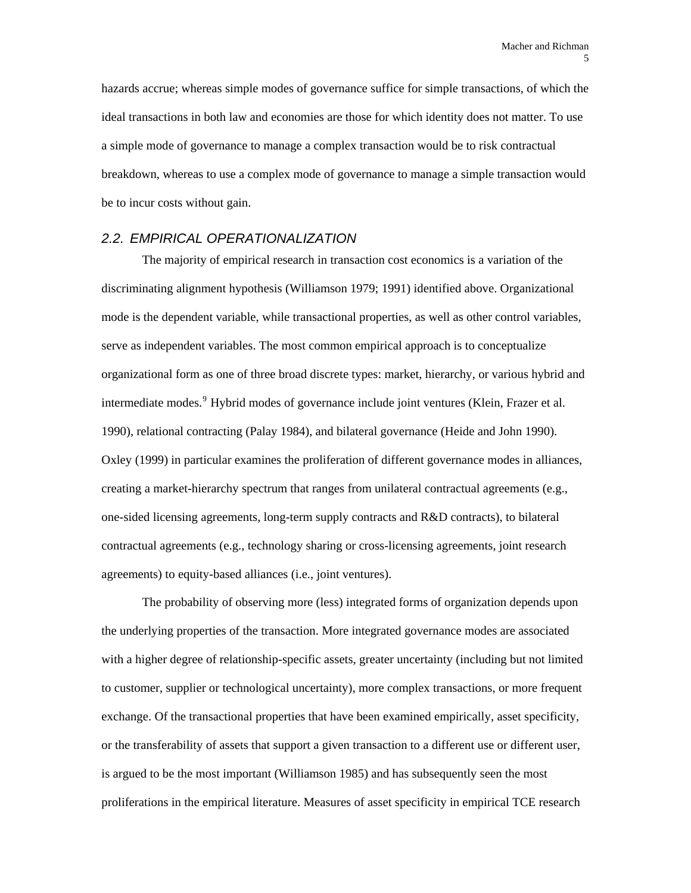hazards accrue; whereas simple modes of governance suffice for simple transactions, of which the ideal transactions in both law and economies are those for which identity does not matter. To use a simple mode of governance to manage a complex transaction would be to risk contractual breakdown, whereas to use a complex mode of governance to manage a simple transaction would be to incur costs without gain.

# *2.2. EMPIRICAL OPERATIONALIZATION*

The majority of empirical research in transaction cost economics is a variation of the discriminating alignment hypothesis (Williamson 1979; 1991) identified above. Organizational mode is the dependent variable, while transactional properties, as well as other control variables, serve as independent variables. The most common empirical approach is to conceptualize organizational form as one of three broad discrete types: market, hierarchy, or various hybrid and intermediate modes.<sup>[9](#page-91-1)</sup> Hybrid modes of governance include joint ventures (Klein, Frazer et al. 1990), relational contracting (Palay 1984), and bilateral governance (Heide and John 1990). Oxley (1999) in particular examines the proliferation of different governance modes in alliances, creating a market-hierarchy spectrum that ranges from unilateral contractual agreements (e.g., one-sided licensing agreements, long-term supply contracts and R&D contracts), to bilateral contractual agreements (e.g., technology sharing or cross-licensing agreements, joint research agreements) to equity-based alliances (i.e., joint ventures).

The probability of observing more (less) integrated forms of organization depends upon the underlying properties of the transaction. More integrated governance modes are associated with a higher degree of relationship-specific assets, greater uncertainty (including but not limited to customer, supplier or technological uncertainty), more complex transactions, or more frequent exchange. Of the transactional properties that have been examined empirically, asset specificity, or the transferability of assets that support a given transaction to a different use or different user, is argued to be the most important (Williamson 1985) and has subsequently seen the most proliferations in the empirical literature. Measures of asset specificity in empirical TCE research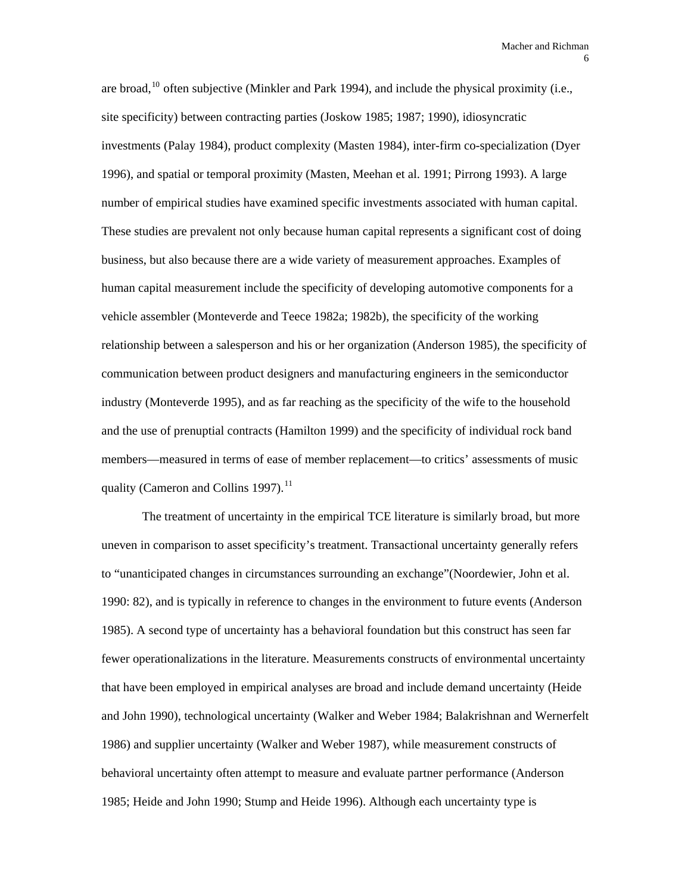are broad,  $^{10}$  $^{10}$  $^{10}$  often subjective (Minkler and Park 1994), and include the physical proximity (i.e., site specificity) between contracting parties (Joskow 1985; 1987; 1990), idiosyncratic investments (Palay 1984), product complexity (Masten 1984), inter-firm co-specialization (Dyer 1996), and spatial or temporal proximity (Masten, Meehan et al. 1991; Pirrong 1993). A large number of empirical studies have examined specific investments associated with human capital. These studies are prevalent not only because human capital represents a significant cost of doing business, but also because there are a wide variety of measurement approaches. Examples of human capital measurement include the specificity of developing automotive components for a vehicle assembler (Monteverde and Teece 1982a; 1982b), the specificity of the working relationship between a salesperson and his or her organization (Anderson 1985), the specificity of communication between product designers and manufacturing engineers in the semiconductor industry (Monteverde 1995), and as far reaching as the specificity of the wife to the household and the use of prenuptial contracts (Hamilton 1999) and the specificity of individual rock band members—measured in terms of ease of member replacement—to critics' assessments of music quality (Cameron and Collins 1997).<sup>[11](#page-91-1)</sup>

The treatment of uncertainty in the empirical TCE literature is similarly broad, but more uneven in comparison to asset specificity's treatment. Transactional uncertainty generally refers to "unanticipated changes in circumstances surrounding an exchange"(Noordewier, John et al. 1990: 82), and is typically in reference to changes in the environment to future events (Anderson 1985). A second type of uncertainty has a behavioral foundation but this construct has seen far fewer operationalizations in the literature. Measurements constructs of environmental uncertainty that have been employed in empirical analyses are broad and include demand uncertainty (Heide and John 1990), technological uncertainty (Walker and Weber 1984; Balakrishnan and Wernerfelt 1986) and supplier uncertainty (Walker and Weber 1987), while measurement constructs of behavioral uncertainty often attempt to measure and evaluate partner performance (Anderson 1985; Heide and John 1990; Stump and Heide 1996). Although each uncertainty type is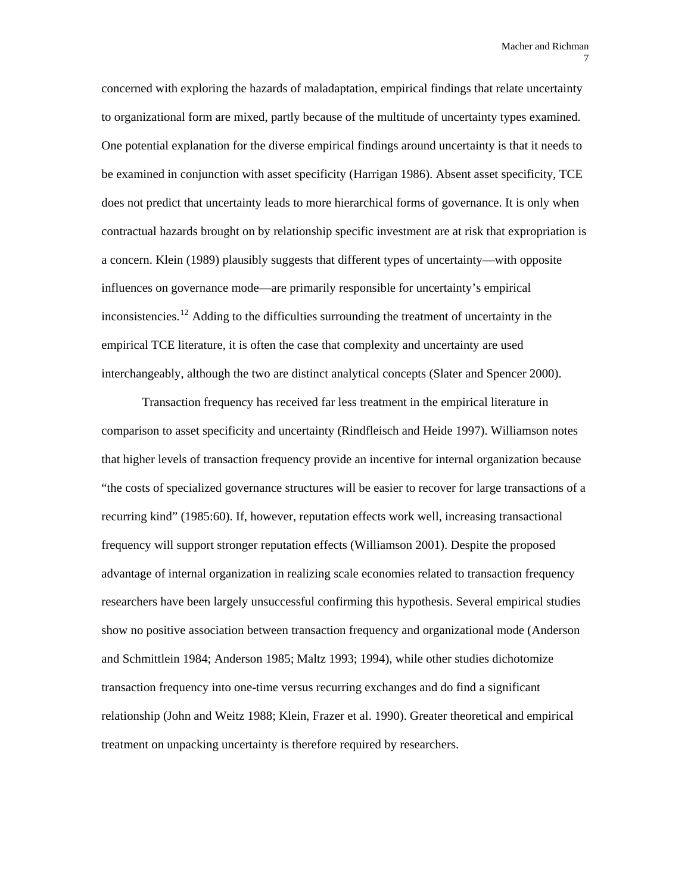concerned with exploring the hazards of maladaptation, empirical findings that relate uncertainty to organizational form are mixed, partly because of the multitude of uncertainty types examined. One potential explanation for the diverse empirical findings around uncertainty is that it needs to be examined in conjunction with asset specificity (Harrigan 1986). Absent asset specificity, TCE does not predict that uncertainty leads to more hierarchical forms of governance. It is only when contractual hazards brought on by relationship specific investment are at risk that expropriation is a concern. Klein (1989) plausibly suggests that different types of uncertainty—with opposite influences on governance mode—are primarily responsible for uncertainty's empirical inconsistencies.<sup>[12](#page-91-1)</sup> Adding to the difficulties surrounding the treatment of uncertainty in the empirical TCE literature, it is often the case that complexity and uncertainty are used interchangeably, although the two are distinct analytical concepts (Slater and Spencer 2000).

Transaction frequency has received far less treatment in the empirical literature in comparison to asset specificity and uncertainty (Rindfleisch and Heide 1997). Williamson notes that higher levels of transaction frequency provide an incentive for internal organization because "the costs of specialized governance structures will be easier to recover for large transactions of a recurring kind" (1985:60). If, however, reputation effects work well, increasing transactional frequency will support stronger reputation effects (Williamson 2001). Despite the proposed advantage of internal organization in realizing scale economies related to transaction frequency researchers have been largely unsuccessful confirming this hypothesis. Several empirical studies show no positive association between transaction frequency and organizational mode (Anderson and Schmittlein 1984; Anderson 1985; Maltz 1993; 1994), while other studies dichotomize transaction frequency into one-time versus recurring exchanges and do find a significant relationship (John and Weitz 1988; Klein, Frazer et al. 1990). Greater theoretical and empirical treatment on unpacking uncertainty is therefore required by researchers.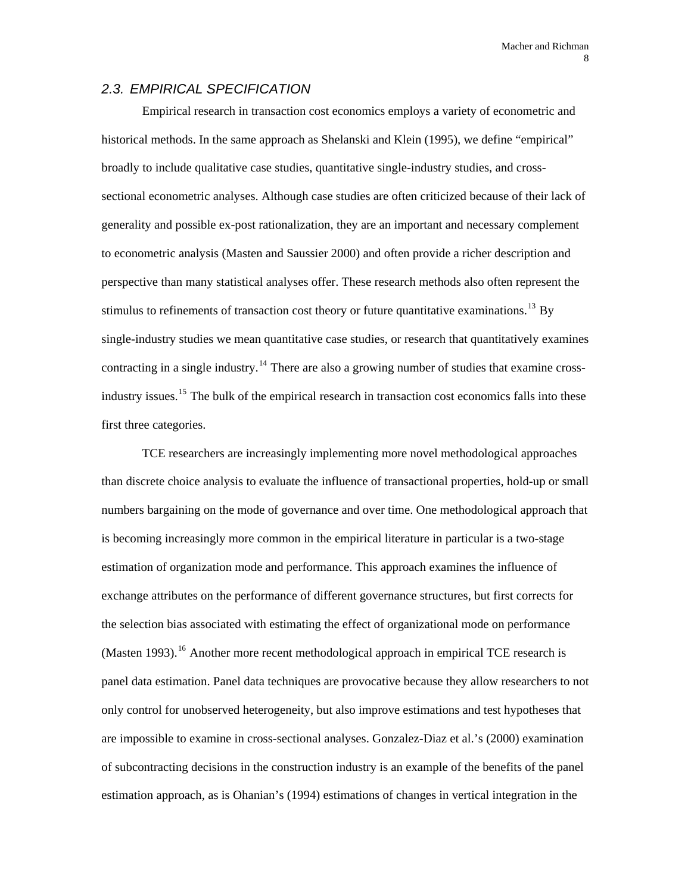### *2.3. EMPIRICAL SPECIFICATION*

Empirical research in transaction cost economics employs a variety of econometric and historical methods. In the same approach as Shelanski and Klein (1995), we define "empirical" broadly to include qualitative case studies, quantitative single-industry studies, and crosssectional econometric analyses. Although case studies are often criticized because of their lack of generality and possible ex-post rationalization, they are an important and necessary complement to econometric analysis (Masten and Saussier 2000) and often provide a richer description and perspective than many statistical analyses offer. These research methods also often represent the stimulus to refinements of transaction cost theory or future quantitative examinations.<sup>[13](#page-91-1)</sup> By single-industry studies we mean quantitative case studies, or research that quantitatively examines contracting in a single industry.<sup>[14](#page-91-1)</sup> There are also a growing number of studies that examine cross-industry issues.<sup>[15](#page-91-1)</sup> The bulk of the empirical research in transaction cost economics falls into these first three categories.

TCE researchers are increasingly implementing more novel methodological approaches than discrete choice analysis to evaluate the influence of transactional properties, hold-up or small numbers bargaining on the mode of governance and over time. One methodological approach that is becoming increasingly more common in the empirical literature in particular is a two-stage estimation of organization mode and performance. This approach examines the influence of exchange attributes on the performance of different governance structures, but first corrects for the selection bias associated with estimating the effect of organizational mode on performance  $(Masten 1993).$ <sup>[16](#page-91-1)</sup> Another more recent methodological approach in empirical TCE research is panel data estimation. Panel data techniques are provocative because they allow researchers to not only control for unobserved heterogeneity, but also improve estimations and test hypotheses that are impossible to examine in cross-sectional analyses. Gonzalez-Diaz et al.'s (2000) examination of subcontracting decisions in the construction industry is an example of the benefits of the panel estimation approach, as is Ohanian's (1994) estimations of changes in vertical integration in the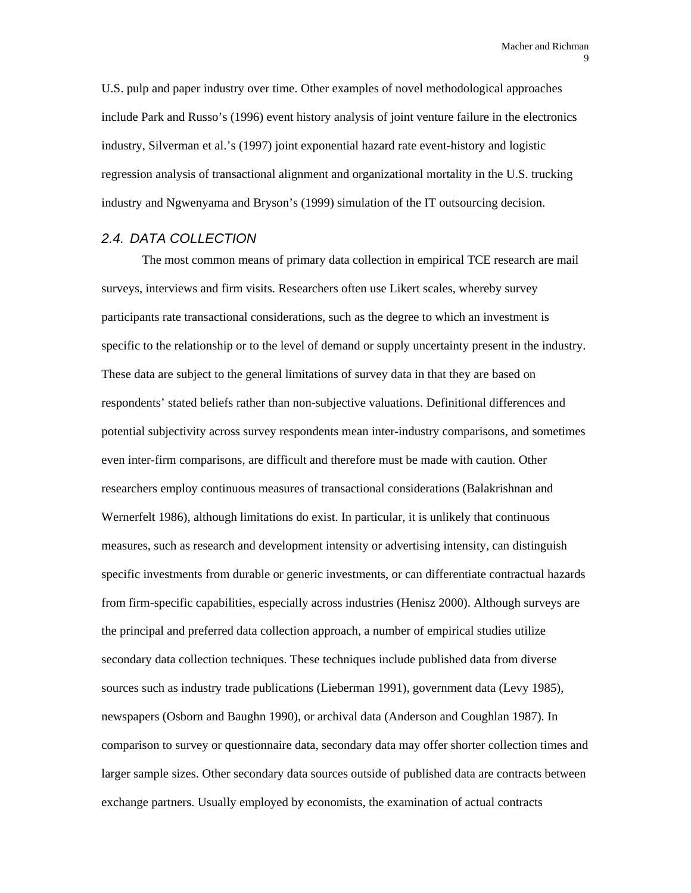U.S. pulp and paper industry over time. Other examples of novel methodological approaches include Park and Russo's (1996) event history analysis of joint venture failure in the electronics industry, Silverman et al.'s (1997) joint exponential hazard rate event-history and logistic regression analysis of transactional alignment and organizational mortality in the U.S. trucking industry and Ngwenyama and Bryson's (1999) simulation of the IT outsourcing decision.

### *2.4. DATA COLLECTION*

The most common means of primary data collection in empirical TCE research are mail surveys, interviews and firm visits. Researchers often use Likert scales, whereby survey participants rate transactional considerations, such as the degree to which an investment is specific to the relationship or to the level of demand or supply uncertainty present in the industry. These data are subject to the general limitations of survey data in that they are based on respondents' stated beliefs rather than non-subjective valuations. Definitional differences and potential subjectivity across survey respondents mean inter-industry comparisons, and sometimes even inter-firm comparisons, are difficult and therefore must be made with caution. Other researchers employ continuous measures of transactional considerations (Balakrishnan and Wernerfelt 1986), although limitations do exist. In particular, it is unlikely that continuous measures, such as research and development intensity or advertising intensity, can distinguish specific investments from durable or generic investments, or can differentiate contractual hazards from firm-specific capabilities, especially across industries (Henisz 2000). Although surveys are the principal and preferred data collection approach, a number of empirical studies utilize secondary data collection techniques. These techniques include published data from diverse sources such as industry trade publications (Lieberman 1991), government data (Levy 1985), newspapers (Osborn and Baughn 1990), or archival data (Anderson and Coughlan 1987). In comparison to survey or questionnaire data, secondary data may offer shorter collection times and larger sample sizes. Other secondary data sources outside of published data are contracts between exchange partners. Usually employed by economists, the examination of actual contracts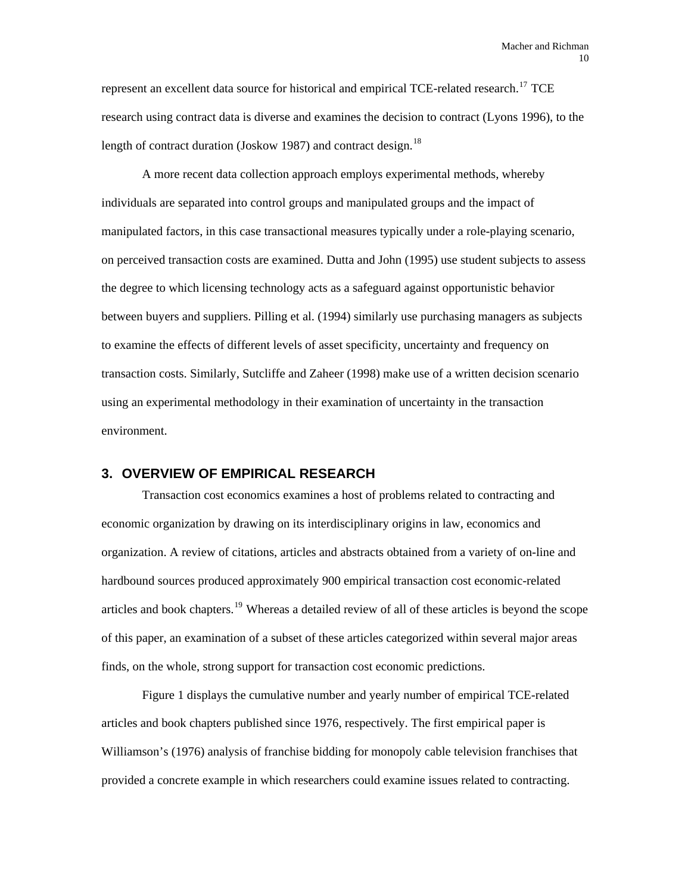represent an excellent data source for historical and empirical TCE-related research.<sup>[17](#page-91-1)</sup> TCE research using contract data is diverse and examines the decision to contract (Lyons 1996), to the length of contract duration (Joskow 1987) and contract design. $^{18}$  $^{18}$  $^{18}$ 

A more recent data collection approach employs experimental methods, whereby individuals are separated into control groups and manipulated groups and the impact of manipulated factors, in this case transactional measures typically under a role-playing scenario, on perceived transaction costs are examined. Dutta and John (1995) use student subjects to assess the degree to which licensing technology acts as a safeguard against opportunistic behavior between buyers and suppliers. Pilling et al. (1994) similarly use purchasing managers as subjects to examine the effects of different levels of asset specificity, uncertainty and frequency on transaction costs. Similarly, Sutcliffe and Zaheer (1998) make use of a written decision scenario using an experimental methodology in their examination of uncertainty in the transaction environment.

# **3. OVERVIEW OF EMPIRICAL RESEARCH**

Transaction cost economics examines a host of problems related to contracting and economic organization by drawing on its interdisciplinary origins in law, economics and organization. A review of citations, articles and abstracts obtained from a variety of on-line and hardbound sources produced approximately 900 empirical transaction cost economic-related articles and book chapters.<sup>[19](#page-91-1)</sup> Whereas a detailed review of all of these articles is beyond the scope of this paper, an examination of a subset of these articles categorized within several major areas finds, on the whole, strong support for transaction cost economic predictions.

Figure 1 displays the cumulative number and yearly number of empirical TCE-related articles and book chapters published since 1976, respectively. The first empirical paper is Williamson's (1976) analysis of franchise bidding for monopoly cable television franchises that provided a concrete example in which researchers could examine issues related to contracting.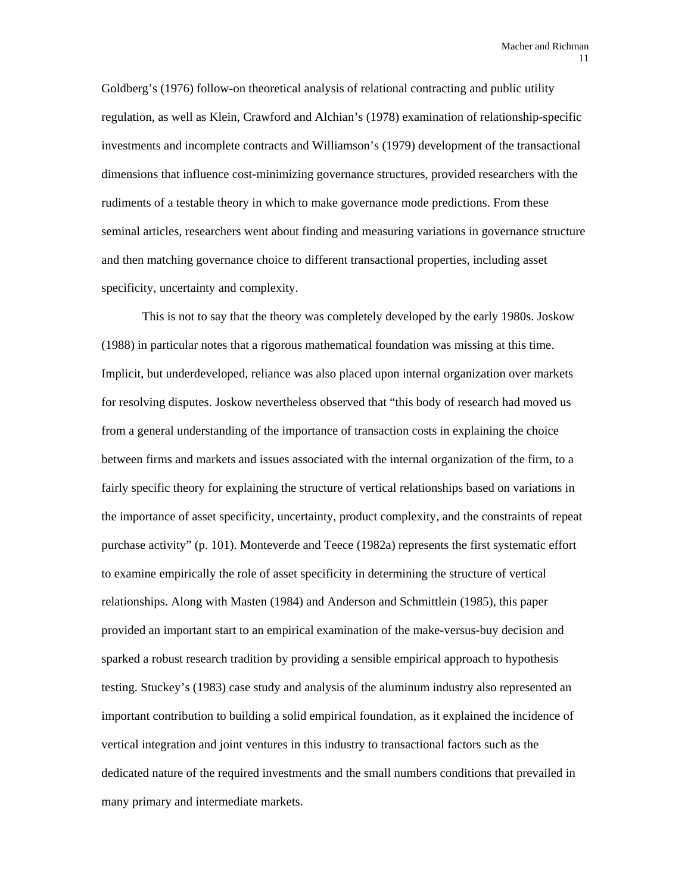Goldberg's (1976) follow-on theoretical analysis of relational contracting and public utility regulation, as well as Klein, Crawford and Alchian's (1978) examination of relationship-specific investments and incomplete contracts and Williamson's (1979) development of the transactional dimensions that influence cost-minimizing governance structures, provided researchers with the rudiments of a testable theory in which to make governance mode predictions. From these seminal articles, researchers went about finding and measuring variations in governance structure and then matching governance choice to different transactional properties, including asset specificity, uncertainty and complexity.

This is not to say that the theory was completely developed by the early 1980s. Joskow (1988) in particular notes that a rigorous mathematical foundation was missing at this time. Implicit, but underdeveloped, reliance was also placed upon internal organization over markets for resolving disputes. Joskow nevertheless observed that "this body of research had moved us from a general understanding of the importance of transaction costs in explaining the choice between firms and markets and issues associated with the internal organization of the firm, to a fairly specific theory for explaining the structure of vertical relationships based on variations in the importance of asset specificity, uncertainty, product complexity, and the constraints of repeat purchase activity" (p. 101). Monteverde and Teece (1982a) represents the first systematic effort to examine empirically the role of asset specificity in determining the structure of vertical relationships. Along with Masten (1984) and Anderson and Schmittlein (1985), this paper provided an important start to an empirical examination of the make-versus-buy decision and sparked a robust research tradition by providing a sensible empirical approach to hypothesis testing. Stuckey's (1983) case study and analysis of the aluminum industry also represented an important contribution to building a solid empirical foundation, as it explained the incidence of vertical integration and joint ventures in this industry to transactional factors such as the dedicated nature of the required investments and the small numbers conditions that prevailed in many primary and intermediate markets.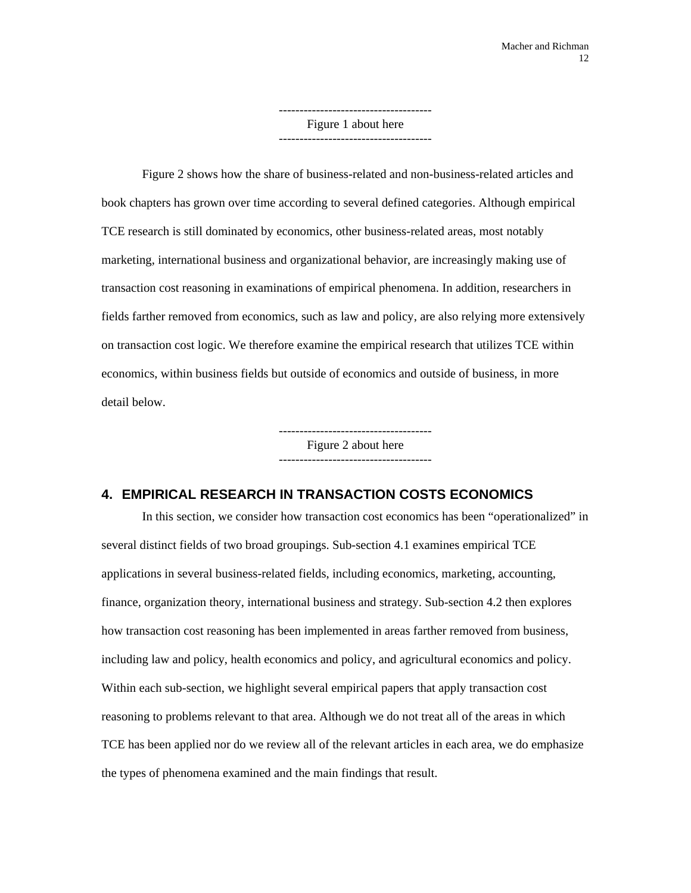------------------------------------- Figure 1 about here -------------------------------------

Figure 2 shows how the share of business-related and non-business-related articles and book chapters has grown over time according to several defined categories. Although empirical TCE research is still dominated by economics, other business-related areas, most notably marketing, international business and organizational behavior, are increasingly making use of transaction cost reasoning in examinations of empirical phenomena. In addition, researchers in fields farther removed from economics, such as law and policy, are also relying more extensively on transaction cost logic. We therefore examine the empirical research that utilizes TCE within economics, within business fields but outside of economics and outside of business, in more detail below.

> Figure 2 about here -------------------------------------

# **4. EMPIRICAL RESEARCH IN TRANSACTION COSTS ECONOMICS**

In this section, we consider how transaction cost economics has been "operationalized" in several distinct fields of two broad groupings. Sub-section 4.1 examines empirical TCE applications in several business-related fields, including economics, marketing, accounting, finance, organization theory, international business and strategy. Sub-section 4.2 then explores how transaction cost reasoning has been implemented in areas farther removed from business, including law and policy, health economics and policy, and agricultural economics and policy. Within each sub-section, we highlight several empirical papers that apply transaction cost reasoning to problems relevant to that area. Although we do not treat all of the areas in which TCE has been applied nor do we review all of the relevant articles in each area, we do emphasize the types of phenomena examined and the main findings that result.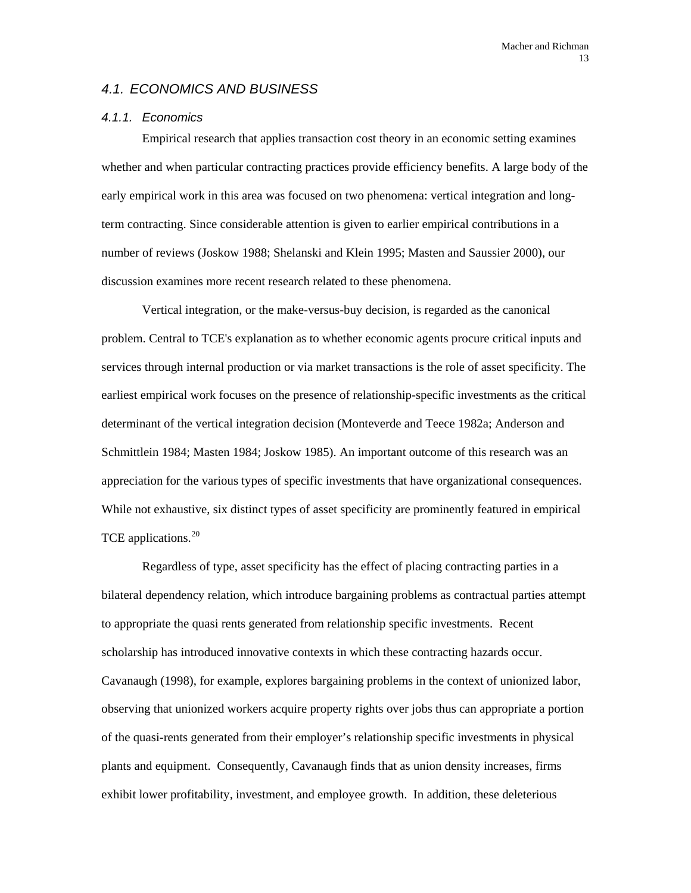### *4.1. ECONOMICS AND BUSINESS*

#### *4.1.1. Economics*

Empirical research that applies transaction cost theory in an economic setting examines whether and when particular contracting practices provide efficiency benefits. A large body of the early empirical work in this area was focused on two phenomena: vertical integration and longterm contracting. Since considerable attention is given to earlier empirical contributions in a number of reviews (Joskow 1988; Shelanski and Klein 1995; Masten and Saussier 2000), our discussion examines more recent research related to these phenomena.

Vertical integration, or the make-versus-buy decision, is regarded as the canonical problem. Central to TCE's explanation as to whether economic agents procure critical inputs and services through internal production or via market transactions is the role of asset specificity. The earliest empirical work focuses on the presence of relationship-specific investments as the critical determinant of the vertical integration decision (Monteverde and Teece 1982a; Anderson and Schmittlein 1984; Masten 1984; Joskow 1985). An important outcome of this research was an appreciation for the various types of specific investments that have organizational consequences. While not exhaustive, six distinct types of asset specificity are prominently featured in empirical TCE applications.<sup>[20](#page-91-1)</sup>

Regardless of type, asset specificity has the effect of placing contracting parties in a bilateral dependency relation, which introduce bargaining problems as contractual parties attempt to appropriate the quasi rents generated from relationship specific investments. Recent scholarship has introduced innovative contexts in which these contracting hazards occur. Cavanaugh (1998), for example, explores bargaining problems in the context of unionized labor, observing that unionized workers acquire property rights over jobs thus can appropriate a portion of the quasi-rents generated from their employer's relationship specific investments in physical plants and equipment. Consequently, Cavanaugh finds that as union density increases, firms exhibit lower profitability, investment, and employee growth. In addition, these deleterious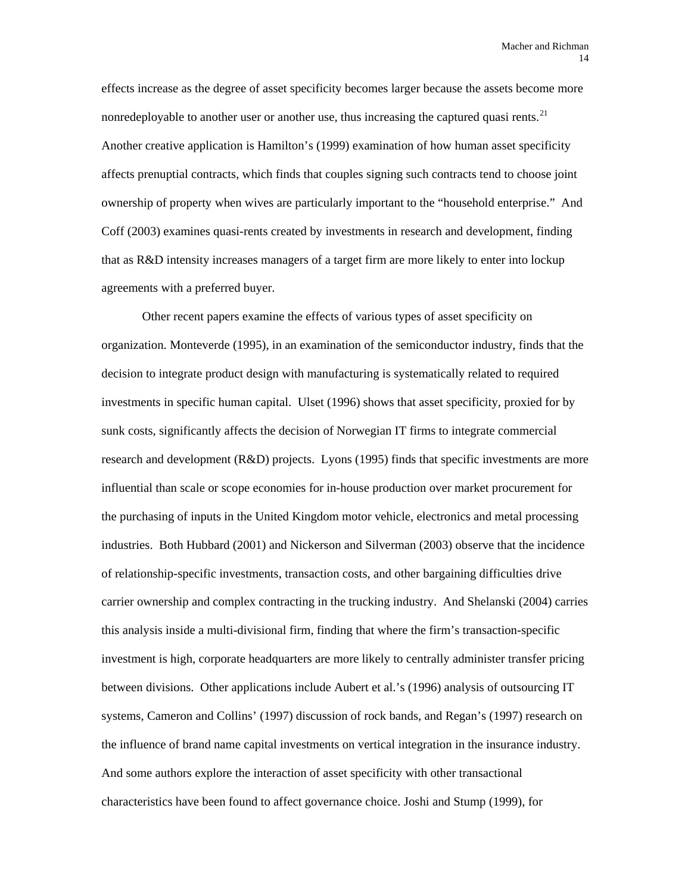effects increase as the degree of asset specificity becomes larger because the assets become more nonredeployable to another user or another use, thus increasing the captured quasi rents.<sup>[21](#page-91-1)</sup> Another creative application is Hamilton's (1999) examination of how human asset specificity affects prenuptial contracts, which finds that couples signing such contracts tend to choose joint ownership of property when wives are particularly important to the "household enterprise." And Coff (2003) examines quasi-rents created by investments in research and development, finding that as R&D intensity increases managers of a target firm are more likely to enter into lockup agreements with a preferred buyer.

Other recent papers examine the effects of various types of asset specificity on organization. Monteverde (1995), in an examination of the semiconductor industry, finds that the decision to integrate product design with manufacturing is systematically related to required investments in specific human capital. Ulset (1996) shows that asset specificity, proxied for by sunk costs, significantly affects the decision of Norwegian IT firms to integrate commercial research and development (R&D) projects. Lyons (1995) finds that specific investments are more influential than scale or scope economies for in-house production over market procurement for the purchasing of inputs in the United Kingdom motor vehicle, electronics and metal processing industries. Both Hubbard (2001) and Nickerson and Silverman (2003) observe that the incidence of relationship-specific investments, transaction costs, and other bargaining difficulties drive carrier ownership and complex contracting in the trucking industry. And Shelanski (2004) carries this analysis inside a multi-divisional firm, finding that where the firm's transaction-specific investment is high, corporate headquarters are more likely to centrally administer transfer pricing between divisions. Other applications include Aubert et al.'s (1996) analysis of outsourcing IT systems, Cameron and Collins' (1997) discussion of rock bands, and Regan's (1997) research on the influence of brand name capital investments on vertical integration in the insurance industry. And some authors explore the interaction of asset specificity with other transactional characteristics have been found to affect governance choice. Joshi and Stump (1999), for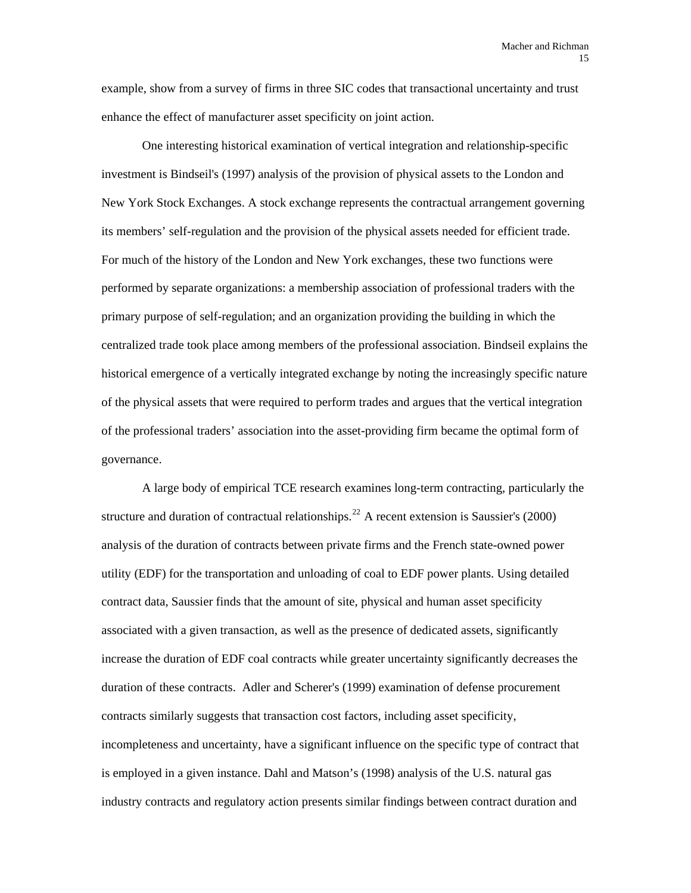example, show from a survey of firms in three SIC codes that transactional uncertainty and trust enhance the effect of manufacturer asset specificity on joint action.

One interesting historical examination of vertical integration and relationship-specific investment is Bindseil's (1997) analysis of the provision of physical assets to the London and New York Stock Exchanges. A stock exchange represents the contractual arrangement governing its members' self-regulation and the provision of the physical assets needed for efficient trade. For much of the history of the London and New York exchanges, these two functions were performed by separate organizations: a membership association of professional traders with the primary purpose of self-regulation; and an organization providing the building in which the centralized trade took place among members of the professional association. Bindseil explains the historical emergence of a vertically integrated exchange by noting the increasingly specific nature of the physical assets that were required to perform trades and argues that the vertical integration of the professional traders' association into the asset-providing firm became the optimal form of governance.

A large body of empirical TCE research examines long-term contracting, particularly the structure and duration of contractual relationships.<sup>[22](#page-91-1)</sup> A recent extension is Saussier's (2000) analysis of the duration of contracts between private firms and the French state-owned power utility (EDF) for the transportation and unloading of coal to EDF power plants. Using detailed contract data, Saussier finds that the amount of site, physical and human asset specificity associated with a given transaction, as well as the presence of dedicated assets, significantly increase the duration of EDF coal contracts while greater uncertainty significantly decreases the duration of these contracts. Adler and Scherer's (1999) examination of defense procurement contracts similarly suggests that transaction cost factors, including asset specificity, incompleteness and uncertainty, have a significant influence on the specific type of contract that is employed in a given instance. Dahl and Matson's (1998) analysis of the U.S. natural gas industry contracts and regulatory action presents similar findings between contract duration and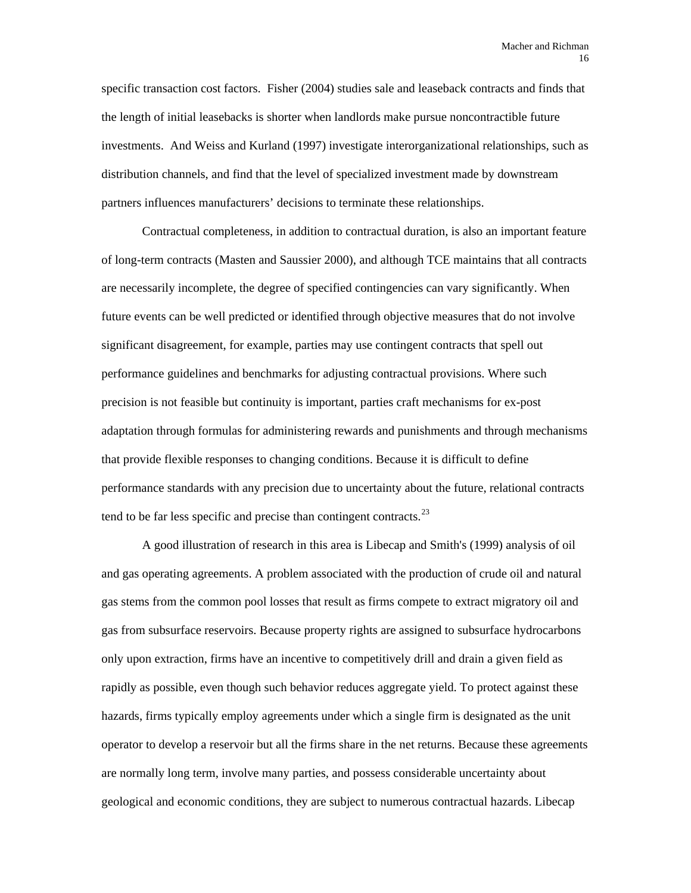specific transaction cost factors. Fisher (2004) studies sale and leaseback contracts and finds that the length of initial leasebacks is shorter when landlords make pursue noncontractible future investments. And Weiss and Kurland (1997) investigate interorganizational relationships, such as distribution channels, and find that the level of specialized investment made by downstream partners influences manufacturers' decisions to terminate these relationships.

Contractual completeness, in addition to contractual duration, is also an important feature of long-term contracts (Masten and Saussier 2000), and although TCE maintains that all contracts are necessarily incomplete, the degree of specified contingencies can vary significantly. When future events can be well predicted or identified through objective measures that do not involve significant disagreement, for example, parties may use contingent contracts that spell out performance guidelines and benchmarks for adjusting contractual provisions. Where such precision is not feasible but continuity is important, parties craft mechanisms for ex-post adaptation through formulas for administering rewards and punishments and through mechanisms that provide flexible responses to changing conditions. Because it is difficult to define performance standards with any precision due to uncertainty about the future, relational contracts tend to be far less specific and precise than contingent contracts.  $^{23}$  $^{23}$  $^{23}$ 

A good illustration of research in this area is Libecap and Smith's (1999) analysis of oil and gas operating agreements. A problem associated with the production of crude oil and natural gas stems from the common pool losses that result as firms compete to extract migratory oil and gas from subsurface reservoirs. Because property rights are assigned to subsurface hydrocarbons only upon extraction, firms have an incentive to competitively drill and drain a given field as rapidly as possible, even though such behavior reduces aggregate yield. To protect against these hazards, firms typically employ agreements under which a single firm is designated as the unit operator to develop a reservoir but all the firms share in the net returns. Because these agreements are normally long term, involve many parties, and possess considerable uncertainty about geological and economic conditions, they are subject to numerous contractual hazards. Libecap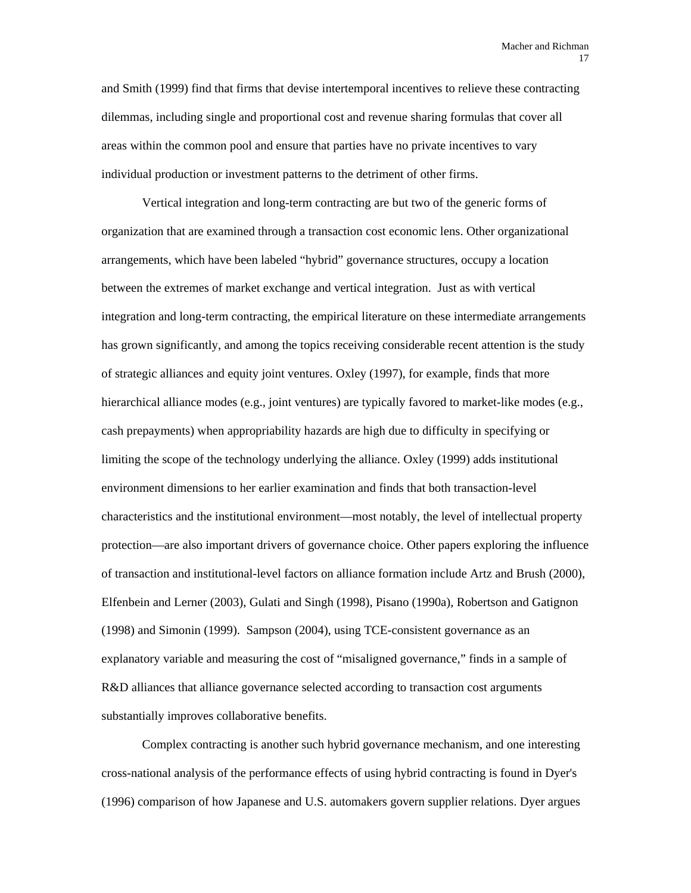and Smith (1999) find that firms that devise intertemporal incentives to relieve these contracting dilemmas, including single and proportional cost and revenue sharing formulas that cover all areas within the common pool and ensure that parties have no private incentives to vary individual production or investment patterns to the detriment of other firms.

Vertical integration and long-term contracting are but two of the generic forms of organization that are examined through a transaction cost economic lens. Other organizational arrangements, which have been labeled "hybrid" governance structures, occupy a location between the extremes of market exchange and vertical integration. Just as with vertical integration and long-term contracting, the empirical literature on these intermediate arrangements has grown significantly, and among the topics receiving considerable recent attention is the study of strategic alliances and equity joint ventures. Oxley (1997), for example, finds that more hierarchical alliance modes (e.g., joint ventures) are typically favored to market-like modes (e.g., cash prepayments) when appropriability hazards are high due to difficulty in specifying or limiting the scope of the technology underlying the alliance. Oxley (1999) adds institutional environment dimensions to her earlier examination and finds that both transaction-level characteristics and the institutional environment—most notably, the level of intellectual property protection—are also important drivers of governance choice. Other papers exploring the influence of transaction and institutional-level factors on alliance formation include Artz and Brush (2000), Elfenbein and Lerner (2003), Gulati and Singh (1998), Pisano (1990a), Robertson and Gatignon (1998) and Simonin (1999). Sampson (2004), using TCE-consistent governance as an explanatory variable and measuring the cost of "misaligned governance," finds in a sample of R&D alliances that alliance governance selected according to transaction cost arguments substantially improves collaborative benefits.

Complex contracting is another such hybrid governance mechanism, and one interesting cross-national analysis of the performance effects of using hybrid contracting is found in Dyer's (1996) comparison of how Japanese and U.S. automakers govern supplier relations. Dyer argues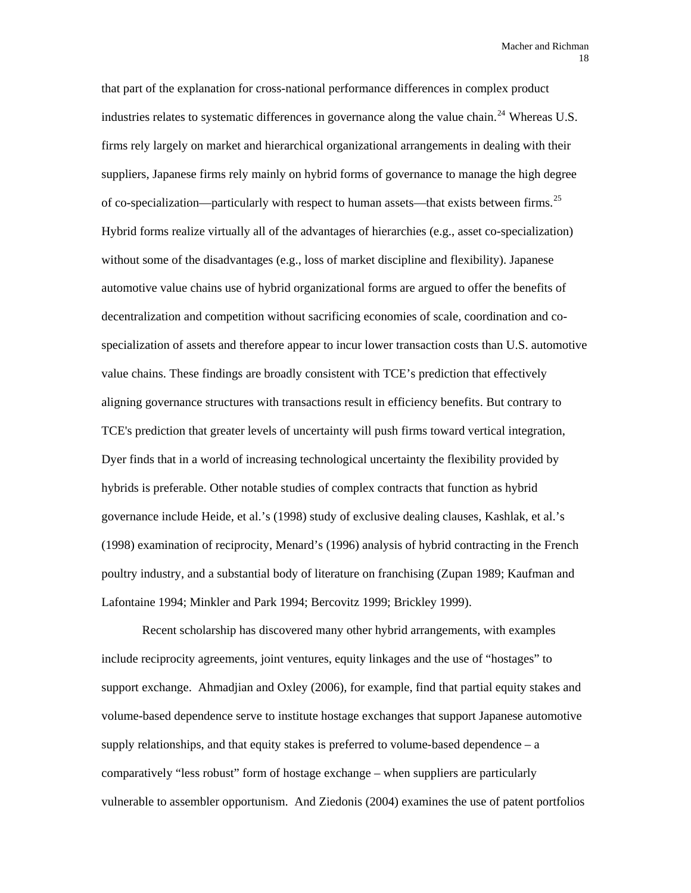that part of the explanation for cross-national performance differences in complex product industries relates to systematic differences in governance along the value chain.<sup>[24](#page-91-1)</sup> Whereas U.S. firms rely largely on market and hierarchical organizational arrangements in dealing with their suppliers, Japanese firms rely mainly on hybrid forms of governance to manage the high degree of co-specialization—particularly with respect to human assets—that exists between firms.<sup>[25](#page-91-1)</sup> Hybrid forms realize virtually all of the advantages of hierarchies (e.g., asset co-specialization) without some of the disadvantages (e.g., loss of market discipline and flexibility). Japanese automotive value chains use of hybrid organizational forms are argued to offer the benefits of decentralization and competition without sacrificing economies of scale, coordination and cospecialization of assets and therefore appear to incur lower transaction costs than U.S. automotive value chains. These findings are broadly consistent with TCE's prediction that effectively aligning governance structures with transactions result in efficiency benefits. But contrary to TCE's prediction that greater levels of uncertainty will push firms toward vertical integration, Dyer finds that in a world of increasing technological uncertainty the flexibility provided by hybrids is preferable. Other notable studies of complex contracts that function as hybrid governance include Heide, et al.'s (1998) study of exclusive dealing clauses, Kashlak, et al.'s (1998) examination of reciprocity, Menard's (1996) analysis of hybrid contracting in the French poultry industry, and a substantial body of literature on franchising (Zupan 1989; Kaufman and Lafontaine 1994; Minkler and Park 1994; Bercovitz 1999; Brickley 1999).

Recent scholarship has discovered many other hybrid arrangements, with examples include reciprocity agreements, joint ventures, equity linkages and the use of "hostages" to support exchange. Ahmadjian and Oxley (2006), for example, find that partial equity stakes and volume-based dependence serve to institute hostage exchanges that support Japanese automotive supply relationships, and that equity stakes is preferred to volume-based dependence  $-a$ comparatively "less robust" form of hostage exchange – when suppliers are particularly vulnerable to assembler opportunism. And Ziedonis (2004) examines the use of patent portfolios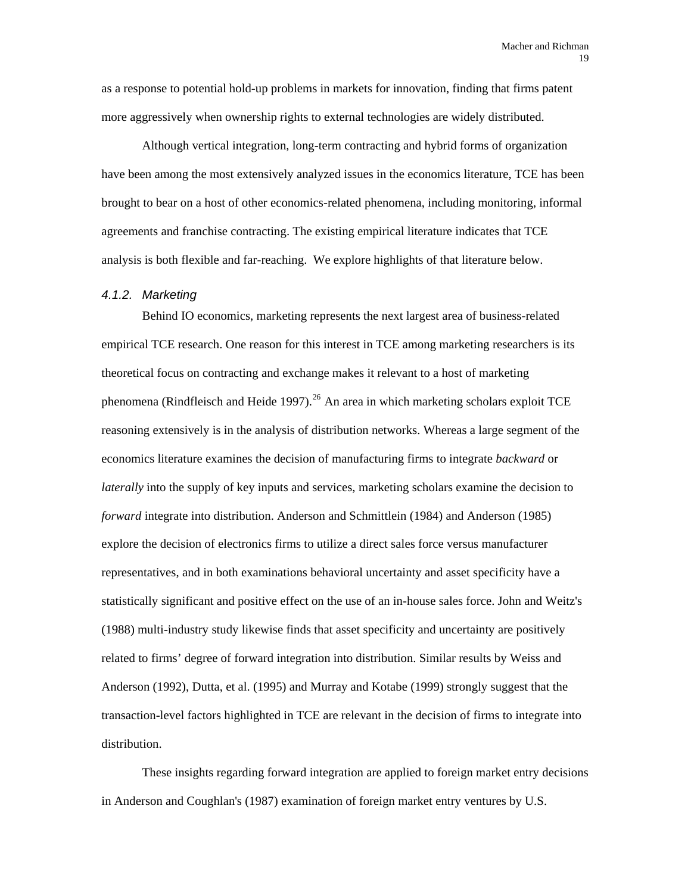as a response to potential hold-up problems in markets for innovation, finding that firms patent more aggressively when ownership rights to external technologies are widely distributed.

Although vertical integration, long-term contracting and hybrid forms of organization have been among the most extensively analyzed issues in the economics literature, TCE has been brought to bear on a host of other economics-related phenomena, including monitoring, informal agreements and franchise contracting. The existing empirical literature indicates that TCE analysis is both flexible and far-reaching. We explore highlights of that literature below.

#### *4.1.2. Marketing*

Behind IO economics, marketing represents the next largest area of business-related empirical TCE research. One reason for this interest in TCE among marketing researchers is its theoretical focus on contracting and exchange makes it relevant to a host of marketing phenomena (Rindfleisch and Heide 1997).<sup>[26](#page-91-1)</sup> An area in which marketing scholars exploit TCE reasoning extensively is in the analysis of distribution networks. Whereas a large segment of the economics literature examines the decision of manufacturing firms to integrate *backward* or *laterally* into the supply of key inputs and services, marketing scholars examine the decision to *forward* integrate into distribution. Anderson and Schmittlein (1984) and Anderson (1985) explore the decision of electronics firms to utilize a direct sales force versus manufacturer representatives, and in both examinations behavioral uncertainty and asset specificity have a statistically significant and positive effect on the use of an in-house sales force. John and Weitz's (1988) multi-industry study likewise finds that asset specificity and uncertainty are positively related to firms' degree of forward integration into distribution. Similar results by Weiss and Anderson (1992), Dutta, et al. (1995) and Murray and Kotabe (1999) strongly suggest that the transaction-level factors highlighted in TCE are relevant in the decision of firms to integrate into distribution.

These insights regarding forward integration are applied to foreign market entry decisions in Anderson and Coughlan's (1987) examination of foreign market entry ventures by U.S.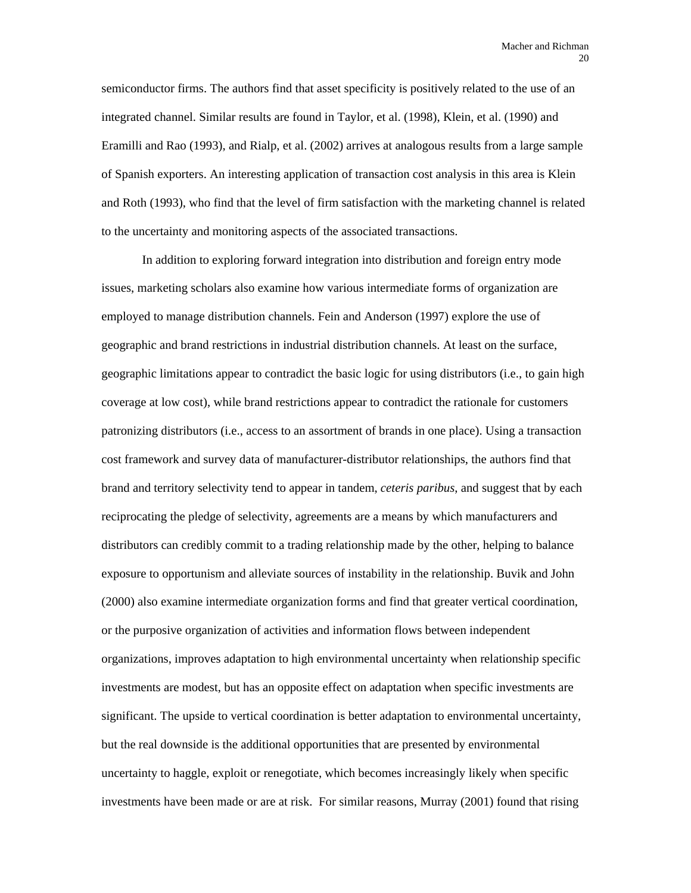semiconductor firms. The authors find that asset specificity is positively related to the use of an integrated channel. Similar results are found in Taylor, et al. (1998), Klein, et al. (1990) and Eramilli and Rao (1993), and Rialp, et al. (2002) arrives at analogous results from a large sample of Spanish exporters. An interesting application of transaction cost analysis in this area is Klein and Roth (1993), who find that the level of firm satisfaction with the marketing channel is related to the uncertainty and monitoring aspects of the associated transactions.

In addition to exploring forward integration into distribution and foreign entry mode issues, marketing scholars also examine how various intermediate forms of organization are employed to manage distribution channels. Fein and Anderson (1997) explore the use of geographic and brand restrictions in industrial distribution channels. At least on the surface, geographic limitations appear to contradict the basic logic for using distributors (i.e., to gain high coverage at low cost), while brand restrictions appear to contradict the rationale for customers patronizing distributors (i.e., access to an assortment of brands in one place). Using a transaction cost framework and survey data of manufacturer-distributor relationships, the authors find that brand and territory selectivity tend to appear in tandem, *ceteris paribus*, and suggest that by each reciprocating the pledge of selectivity, agreements are a means by which manufacturers and distributors can credibly commit to a trading relationship made by the other, helping to balance exposure to opportunism and alleviate sources of instability in the relationship. Buvik and John (2000) also examine intermediate organization forms and find that greater vertical coordination, or the purposive organization of activities and information flows between independent organizations, improves adaptation to high environmental uncertainty when relationship specific investments are modest, but has an opposite effect on adaptation when specific investments are significant. The upside to vertical coordination is better adaptation to environmental uncertainty, but the real downside is the additional opportunities that are presented by environmental uncertainty to haggle, exploit or renegotiate, which becomes increasingly likely when specific investments have been made or are at risk. For similar reasons, Murray (2001) found that rising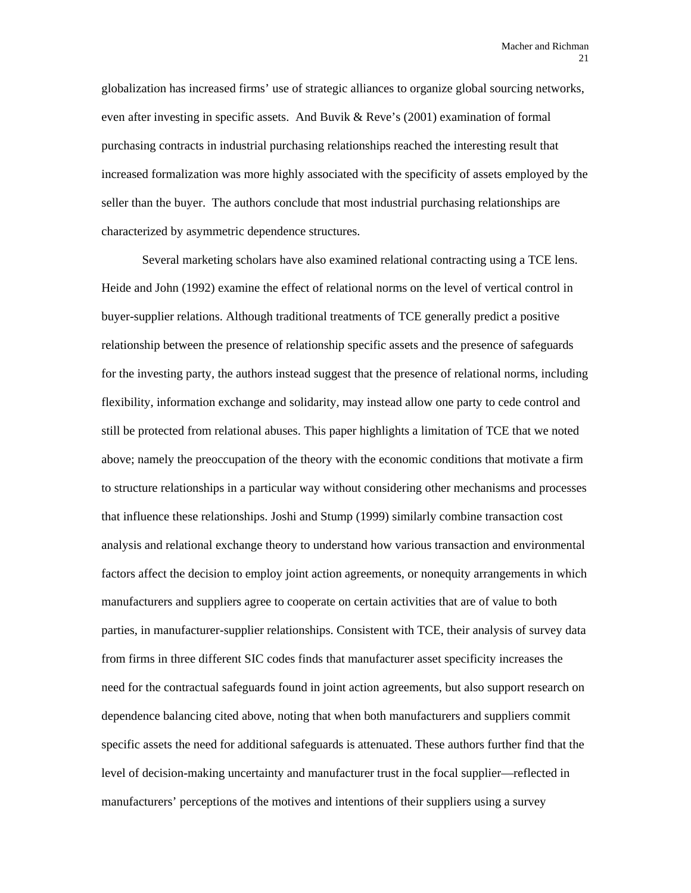globalization has increased firms' use of strategic alliances to organize global sourcing networks, even after investing in specific assets. And Buvik & Reve's (2001) examination of formal purchasing contracts in industrial purchasing relationships reached the interesting result that increased formalization was more highly associated with the specificity of assets employed by the seller than the buyer. The authors conclude that most industrial purchasing relationships are characterized by asymmetric dependence structures.

Several marketing scholars have also examined relational contracting using a TCE lens. Heide and John (1992) examine the effect of relational norms on the level of vertical control in buyer-supplier relations. Although traditional treatments of TCE generally predict a positive relationship between the presence of relationship specific assets and the presence of safeguards for the investing party, the authors instead suggest that the presence of relational norms, including flexibility, information exchange and solidarity, may instead allow one party to cede control and still be protected from relational abuses. This paper highlights a limitation of TCE that we noted above; namely the preoccupation of the theory with the economic conditions that motivate a firm to structure relationships in a particular way without considering other mechanisms and processes that influence these relationships. Joshi and Stump (1999) similarly combine transaction cost analysis and relational exchange theory to understand how various transaction and environmental factors affect the decision to employ joint action agreements, or nonequity arrangements in which manufacturers and suppliers agree to cooperate on certain activities that are of value to both parties, in manufacturer-supplier relationships. Consistent with TCE, their analysis of survey data from firms in three different SIC codes finds that manufacturer asset specificity increases the need for the contractual safeguards found in joint action agreements, but also support research on dependence balancing cited above, noting that when both manufacturers and suppliers commit specific assets the need for additional safeguards is attenuated. These authors further find that the level of decision-making uncertainty and manufacturer trust in the focal supplier—reflected in manufacturers' perceptions of the motives and intentions of their suppliers using a survey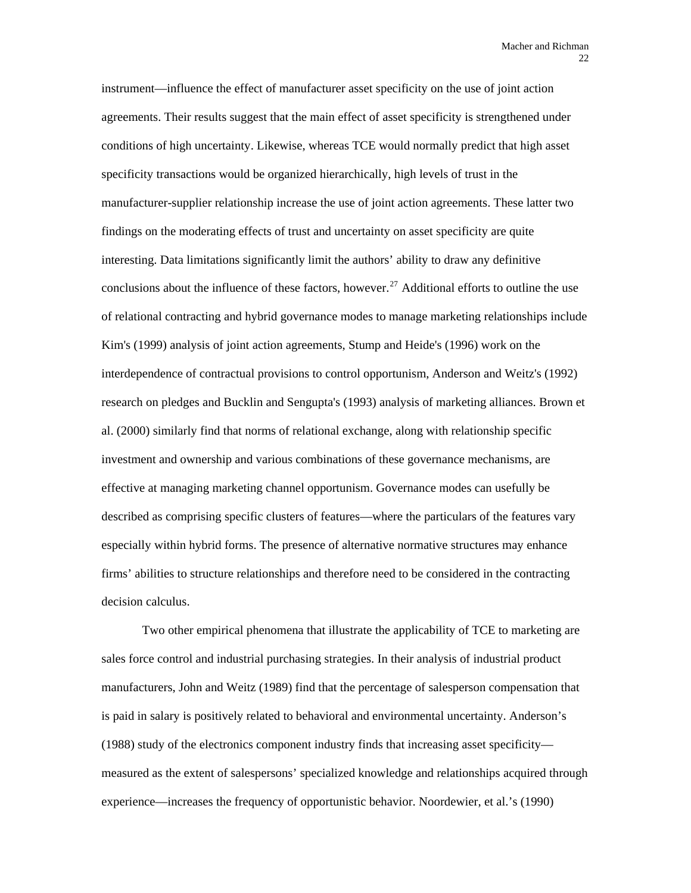instrument—influence the effect of manufacturer asset specificity on the use of joint action agreements. Their results suggest that the main effect of asset specificity is strengthened under conditions of high uncertainty. Likewise, whereas TCE would normally predict that high asset specificity transactions would be organized hierarchically, high levels of trust in the manufacturer-supplier relationship increase the use of joint action agreements. These latter two findings on the moderating effects of trust and uncertainty on asset specificity are quite interesting. Data limitations significantly limit the authors' ability to draw any definitive conclusions about the influence of these factors, however.<sup>[27](#page-91-1)</sup> Additional efforts to outline the use of relational contracting and hybrid governance modes to manage marketing relationships include Kim's (1999) analysis of joint action agreements, Stump and Heide's (1996) work on the interdependence of contractual provisions to control opportunism, Anderson and Weitz's (1992) research on pledges and Bucklin and Sengupta's (1993) analysis of marketing alliances. Brown et al. (2000) similarly find that norms of relational exchange, along with relationship specific investment and ownership and various combinations of these governance mechanisms, are effective at managing marketing channel opportunism. Governance modes can usefully be described as comprising specific clusters of features—where the particulars of the features vary especially within hybrid forms. The presence of alternative normative structures may enhance firms' abilities to structure relationships and therefore need to be considered in the contracting decision calculus.

Two other empirical phenomena that illustrate the applicability of TCE to marketing are sales force control and industrial purchasing strategies. In their analysis of industrial product manufacturers, John and Weitz (1989) find that the percentage of salesperson compensation that is paid in salary is positively related to behavioral and environmental uncertainty. Anderson's (1988) study of the electronics component industry finds that increasing asset specificity measured as the extent of salespersons' specialized knowledge and relationships acquired through experience—increases the frequency of opportunistic behavior. Noordewier, et al.'s (1990)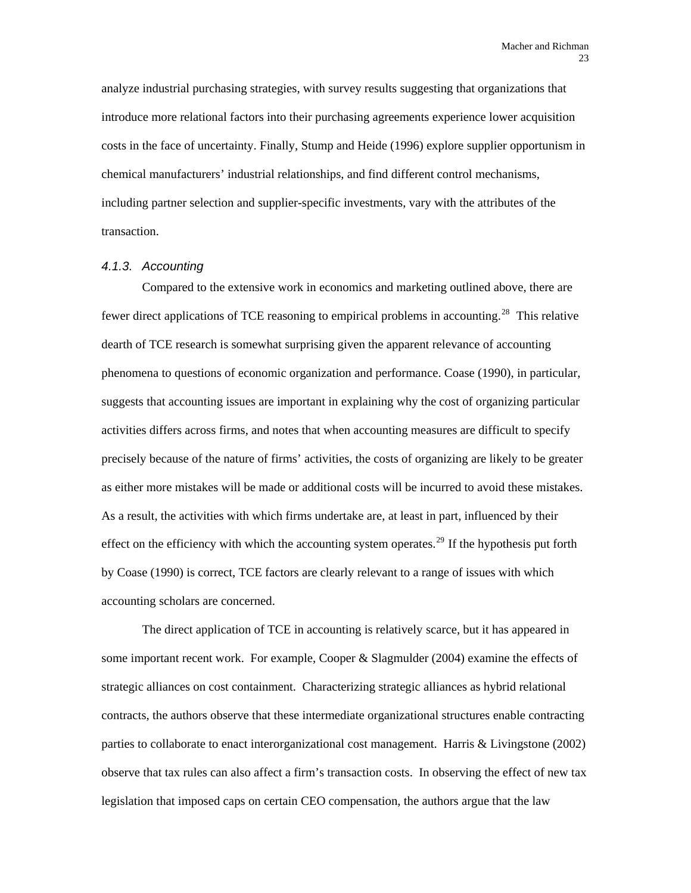analyze industrial purchasing strategies, with survey results suggesting that organizations that introduce more relational factors into their purchasing agreements experience lower acquisition costs in the face of uncertainty. Finally, Stump and Heide (1996) explore supplier opportunism in chemical manufacturers' industrial relationships, and find different control mechanisms, including partner selection and supplier-specific investments, vary with the attributes of the transaction.

### *4.1.3. Accounting*

Compared to the extensive work in economics and marketing outlined above, there are fewer direct applications of TCE reasoning to empirical problems in accounting.<sup>[28](#page-91-1)</sup> This relative dearth of TCE research is somewhat surprising given the apparent relevance of accounting phenomena to questions of economic organization and performance. Coase (1990), in particular, suggests that accounting issues are important in explaining why the cost of organizing particular activities differs across firms, and notes that when accounting measures are difficult to specify precisely because of the nature of firms' activities, the costs of organizing are likely to be greater as either more mistakes will be made or additional costs will be incurred to avoid these mistakes. As a result, the activities with which firms undertake are, at least in part, influenced by their effect on the efficiency with which the accounting system operates.<sup>[29](#page-91-1)</sup> If the hypothesis put forth by Coase (1990) is correct, TCE factors are clearly relevant to a range of issues with which accounting scholars are concerned.

The direct application of TCE in accounting is relatively scarce, but it has appeared in some important recent work. For example, Cooper & Slagmulder (2004) examine the effects of strategic alliances on cost containment. Characterizing strategic alliances as hybrid relational contracts, the authors observe that these intermediate organizational structures enable contracting parties to collaborate to enact interorganizational cost management. Harris & Livingstone (2002) observe that tax rules can also affect a firm's transaction costs. In observing the effect of new tax legislation that imposed caps on certain CEO compensation, the authors argue that the law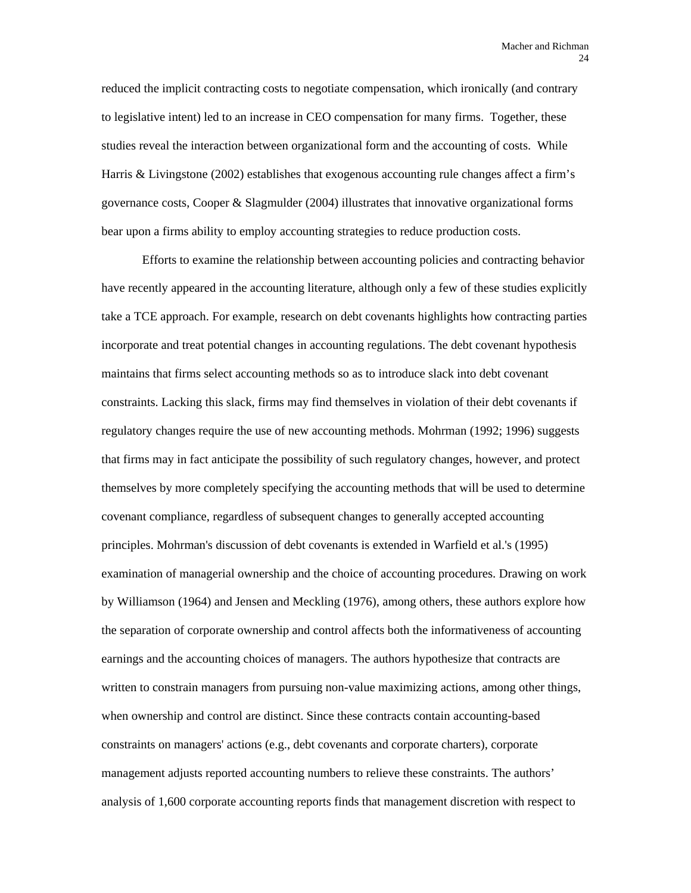reduced the implicit contracting costs to negotiate compensation, which ironically (and contrary to legislative intent) led to an increase in CEO compensation for many firms. Together, these studies reveal the interaction between organizational form and the accounting of costs. While Harris & Livingstone (2002) establishes that exogenous accounting rule changes affect a firm's governance costs, Cooper & Slagmulder (2004) illustrates that innovative organizational forms bear upon a firms ability to employ accounting strategies to reduce production costs.

Efforts to examine the relationship between accounting policies and contracting behavior have recently appeared in the accounting literature, although only a few of these studies explicitly take a TCE approach. For example, research on debt covenants highlights how contracting parties incorporate and treat potential changes in accounting regulations. The debt covenant hypothesis maintains that firms select accounting methods so as to introduce slack into debt covenant constraints. Lacking this slack, firms may find themselves in violation of their debt covenants if regulatory changes require the use of new accounting methods. Mohrman (1992; 1996) suggests that firms may in fact anticipate the possibility of such regulatory changes, however, and protect themselves by more completely specifying the accounting methods that will be used to determine covenant compliance, regardless of subsequent changes to generally accepted accounting principles. Mohrman's discussion of debt covenants is extended in Warfield et al.'s (1995) examination of managerial ownership and the choice of accounting procedures. Drawing on work by Williamson (1964) and Jensen and Meckling (1976), among others, these authors explore how the separation of corporate ownership and control affects both the informativeness of accounting earnings and the accounting choices of managers. The authors hypothesize that contracts are written to constrain managers from pursuing non-value maximizing actions, among other things, when ownership and control are distinct. Since these contracts contain accounting-based constraints on managers' actions (e.g., debt covenants and corporate charters), corporate management adjusts reported accounting numbers to relieve these constraints. The authors' analysis of 1,600 corporate accounting reports finds that management discretion with respect to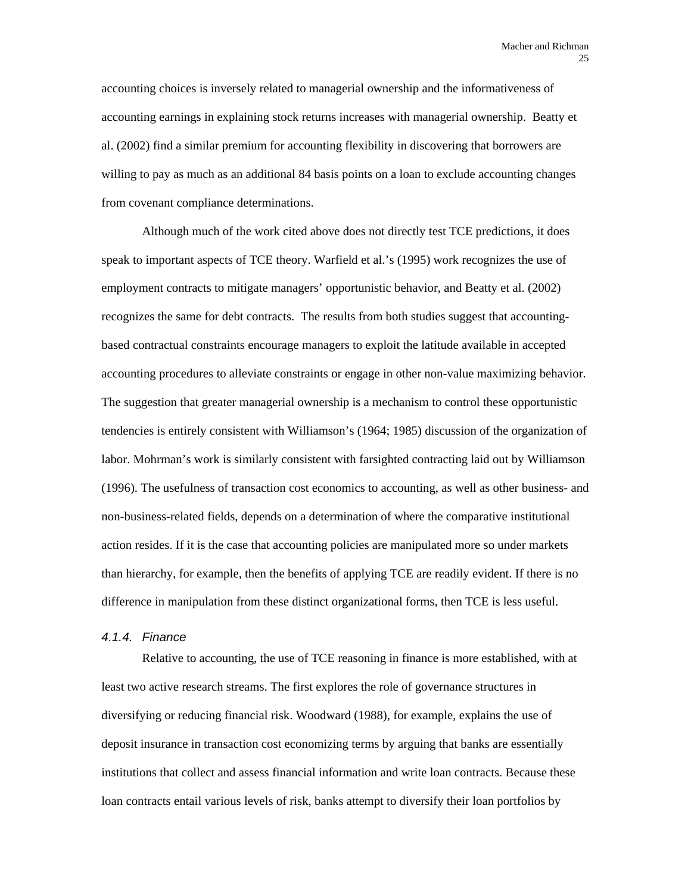accounting choices is inversely related to managerial ownership and the informativeness of accounting earnings in explaining stock returns increases with managerial ownership. Beatty et al. (2002) find a similar premium for accounting flexibility in discovering that borrowers are willing to pay as much as an additional 84 basis points on a loan to exclude accounting changes from covenant compliance determinations.

Although much of the work cited above does not directly test TCE predictions, it does speak to important aspects of TCE theory. Warfield et al.'s (1995) work recognizes the use of employment contracts to mitigate managers' opportunistic behavior, and Beatty et al. (2002) recognizes the same for debt contracts. The results from both studies suggest that accountingbased contractual constraints encourage managers to exploit the latitude available in accepted accounting procedures to alleviate constraints or engage in other non-value maximizing behavior. The suggestion that greater managerial ownership is a mechanism to control these opportunistic tendencies is entirely consistent with Williamson's (1964; 1985) discussion of the organization of labor. Mohrman's work is similarly consistent with farsighted contracting laid out by Williamson (1996). The usefulness of transaction cost economics to accounting, as well as other business- and non-business-related fields, depends on a determination of where the comparative institutional action resides. If it is the case that accounting policies are manipulated more so under markets than hierarchy, for example, then the benefits of applying TCE are readily evident. If there is no difference in manipulation from these distinct organizational forms, then TCE is less useful.

#### *4.1.4. Finance*

Relative to accounting, the use of TCE reasoning in finance is more established, with at least two active research streams. The first explores the role of governance structures in diversifying or reducing financial risk. Woodward (1988), for example, explains the use of deposit insurance in transaction cost economizing terms by arguing that banks are essentially institutions that collect and assess financial information and write loan contracts. Because these loan contracts entail various levels of risk, banks attempt to diversify their loan portfolios by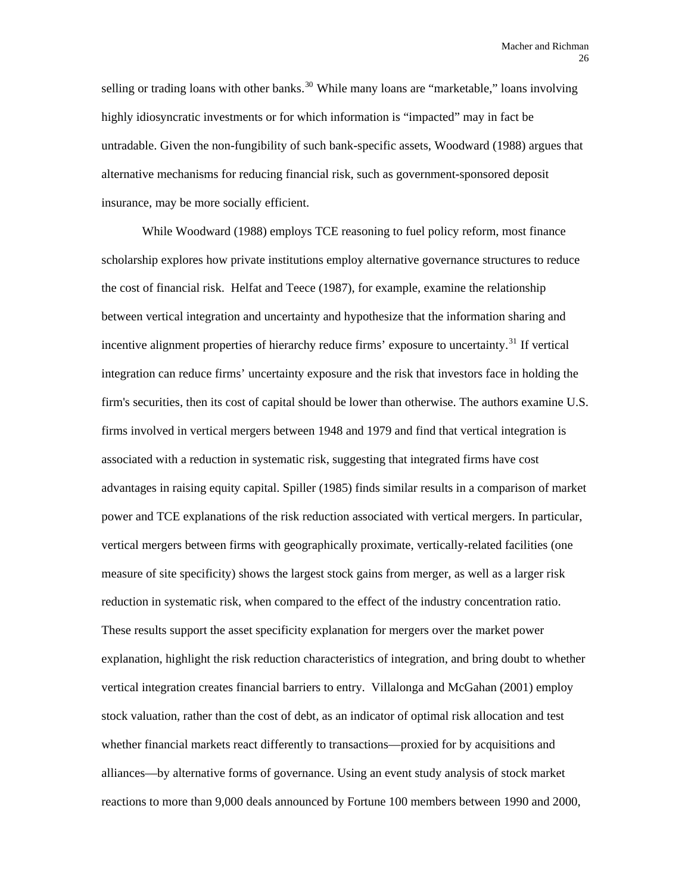selling or trading loans with other banks.<sup>[30](#page-91-1)</sup> While many loans are "marketable," loans involving highly idiosyncratic investments or for which information is "impacted" may in fact be untradable. Given the non-fungibility of such bank-specific assets, Woodward (1988) argues that alternative mechanisms for reducing financial risk, such as government-sponsored deposit insurance, may be more socially efficient.

While Woodward (1988) employs TCE reasoning to fuel policy reform, most finance scholarship explores how private institutions employ alternative governance structures to reduce the cost of financial risk. Helfat and Teece (1987), for example, examine the relationship between vertical integration and uncertainty and hypothesize that the information sharing and incentive alignment properties of hierarchy reduce firms' exposure to uncertainty.<sup>[31](#page-91-1)</sup> If vertical integration can reduce firms' uncertainty exposure and the risk that investors face in holding the firm's securities, then its cost of capital should be lower than otherwise. The authors examine U.S. firms involved in vertical mergers between 1948 and 1979 and find that vertical integration is associated with a reduction in systematic risk, suggesting that integrated firms have cost advantages in raising equity capital. Spiller (1985) finds similar results in a comparison of market power and TCE explanations of the risk reduction associated with vertical mergers. In particular, vertical mergers between firms with geographically proximate, vertically-related facilities (one measure of site specificity) shows the largest stock gains from merger, as well as a larger risk reduction in systematic risk, when compared to the effect of the industry concentration ratio. These results support the asset specificity explanation for mergers over the market power explanation, highlight the risk reduction characteristics of integration, and bring doubt to whether vertical integration creates financial barriers to entry. Villalonga and McGahan (2001) employ stock valuation, rather than the cost of debt, as an indicator of optimal risk allocation and test whether financial markets react differently to transactions—proxied for by acquisitions and alliances—by alternative forms of governance. Using an event study analysis of stock market reactions to more than 9,000 deals announced by Fortune 100 members between 1990 and 2000,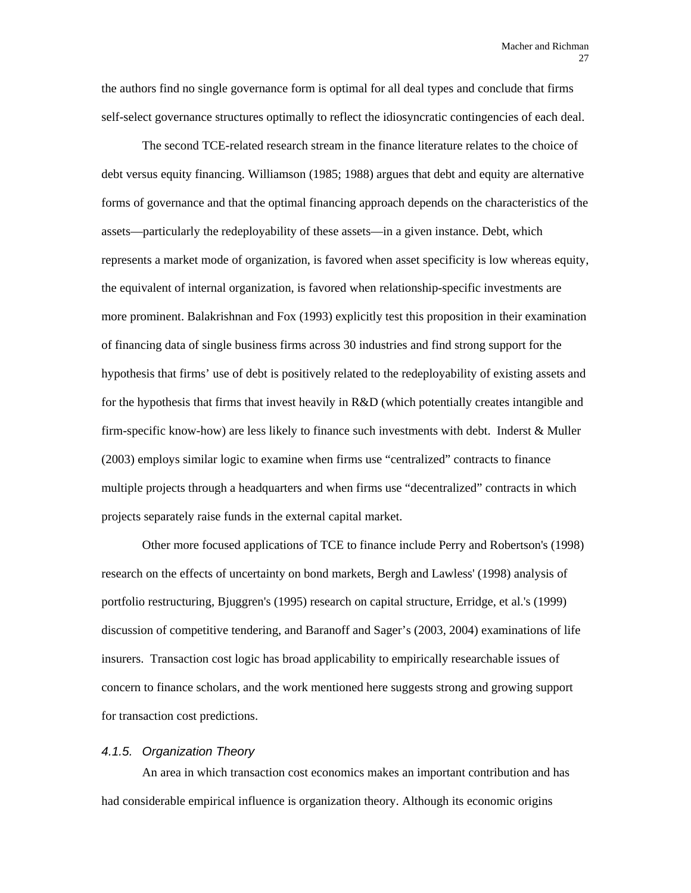the authors find no single governance form is optimal for all deal types and conclude that firms self-select governance structures optimally to reflect the idiosyncratic contingencies of each deal.

The second TCE-related research stream in the finance literature relates to the choice of debt versus equity financing. Williamson (1985; 1988) argues that debt and equity are alternative forms of governance and that the optimal financing approach depends on the characteristics of the assets—particularly the redeployability of these assets—in a given instance. Debt, which represents a market mode of organization, is favored when asset specificity is low whereas equity, the equivalent of internal organization, is favored when relationship-specific investments are more prominent. Balakrishnan and Fox (1993) explicitly test this proposition in their examination of financing data of single business firms across 30 industries and find strong support for the hypothesis that firms' use of debt is positively related to the redeployability of existing assets and for the hypothesis that firms that invest heavily in R&D (which potentially creates intangible and firm-specific know-how) are less likely to finance such investments with debt. Inderst & Muller (2003) employs similar logic to examine when firms use "centralized" contracts to finance multiple projects through a headquarters and when firms use "decentralized" contracts in which projects separately raise funds in the external capital market.

Other more focused applications of TCE to finance include Perry and Robertson's (1998) research on the effects of uncertainty on bond markets, Bergh and Lawless' (1998) analysis of portfolio restructuring, Bjuggren's (1995) research on capital structure, Erridge, et al.'s (1999) discussion of competitive tendering, and Baranoff and Sager's (2003, 2004) examinations of life insurers. Transaction cost logic has broad applicability to empirically researchable issues of concern to finance scholars, and the work mentioned here suggests strong and growing support for transaction cost predictions.

#### *4.1.5. Organization Theory*

An area in which transaction cost economics makes an important contribution and has had considerable empirical influence is organization theory. Although its economic origins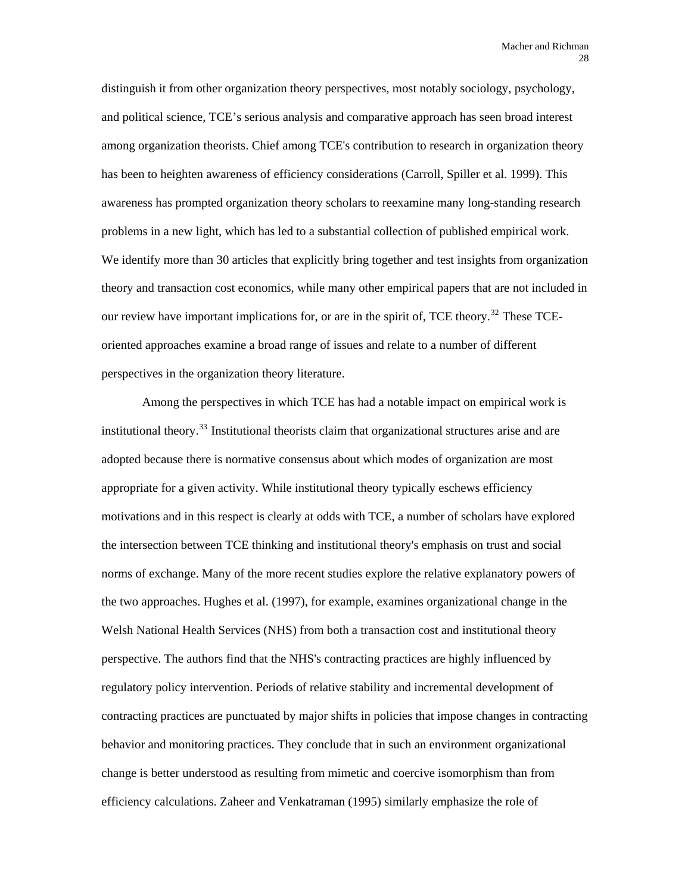distinguish it from other organization theory perspectives, most notably sociology, psychology, and political science, TCE's serious analysis and comparative approach has seen broad interest among organization theorists. Chief among TCE's contribution to research in organization theory has been to heighten awareness of efficiency considerations (Carroll, Spiller et al. 1999). This awareness has prompted organization theory scholars to reexamine many long-standing research problems in a new light, which has led to a substantial collection of published empirical work. We identify more than 30 articles that explicitly bring together and test insights from organization theory and transaction cost economics, while many other empirical papers that are not included in our review have important implications for, or are in the spirit of, TCE theory.<sup>[32](#page-91-1)</sup> These TCEoriented approaches examine a broad range of issues and relate to a number of different perspectives in the organization theory literature.

Among the perspectives in which TCE has had a notable impact on empirical work is institutional theory.<sup>[33](#page-91-1)</sup> Institutional theorists claim that organizational structures arise and are adopted because there is normative consensus about which modes of organization are most appropriate for a given activity. While institutional theory typically eschews efficiency motivations and in this respect is clearly at odds with TCE, a number of scholars have explored the intersection between TCE thinking and institutional theory's emphasis on trust and social norms of exchange. Many of the more recent studies explore the relative explanatory powers of the two approaches. Hughes et al. (1997), for example, examines organizational change in the Welsh National Health Services (NHS) from both a transaction cost and institutional theory perspective. The authors find that the NHS's contracting practices are highly influenced by regulatory policy intervention. Periods of relative stability and incremental development of contracting practices are punctuated by major shifts in policies that impose changes in contracting behavior and monitoring practices. They conclude that in such an environment organizational change is better understood as resulting from mimetic and coercive isomorphism than from efficiency calculations. Zaheer and Venkatraman (1995) similarly emphasize the role of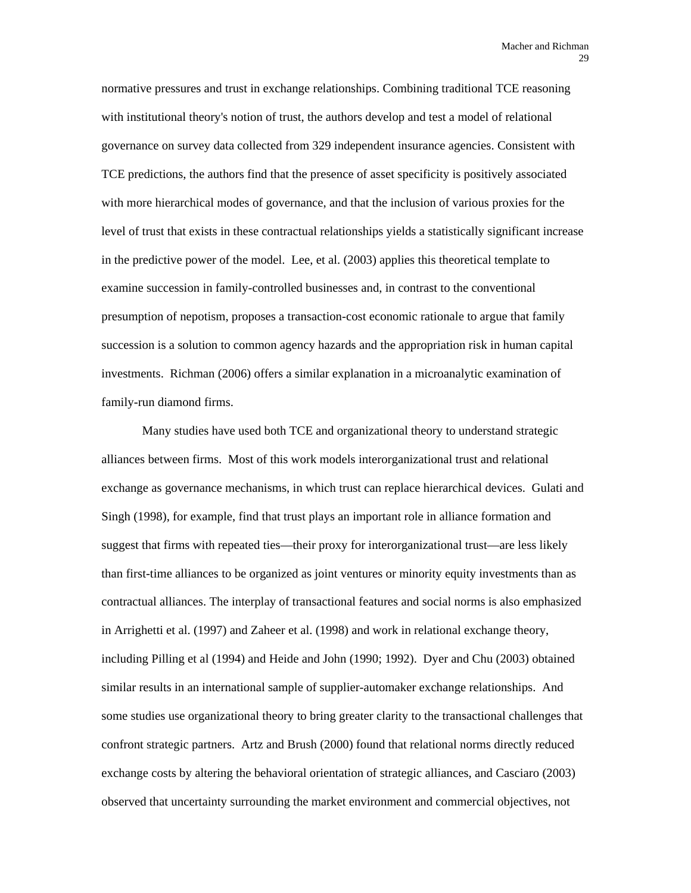normative pressures and trust in exchange relationships. Combining traditional TCE reasoning with institutional theory's notion of trust, the authors develop and test a model of relational governance on survey data collected from 329 independent insurance agencies. Consistent with TCE predictions, the authors find that the presence of asset specificity is positively associated with more hierarchical modes of governance, and that the inclusion of various proxies for the level of trust that exists in these contractual relationships yields a statistically significant increase in the predictive power of the model. Lee, et al. (2003) applies this theoretical template to examine succession in family-controlled businesses and, in contrast to the conventional presumption of nepotism, proposes a transaction-cost economic rationale to argue that family succession is a solution to common agency hazards and the appropriation risk in human capital investments. Richman (2006) offers a similar explanation in a microanalytic examination of family-run diamond firms.

Many studies have used both TCE and organizational theory to understand strategic alliances between firms. Most of this work models interorganizational trust and relational exchange as governance mechanisms, in which trust can replace hierarchical devices. Gulati and Singh (1998), for example, find that trust plays an important role in alliance formation and suggest that firms with repeated ties—their proxy for interorganizational trust—are less likely than first-time alliances to be organized as joint ventures or minority equity investments than as contractual alliances. The interplay of transactional features and social norms is also emphasized in Arrighetti et al. (1997) and Zaheer et al. (1998) and work in relational exchange theory, including Pilling et al (1994) and Heide and John (1990; 1992). Dyer and Chu (2003) obtained similar results in an international sample of supplier-automaker exchange relationships. And some studies use organizational theory to bring greater clarity to the transactional challenges that confront strategic partners. Artz and Brush (2000) found that relational norms directly reduced exchange costs by altering the behavioral orientation of strategic alliances, and Casciaro (2003) observed that uncertainty surrounding the market environment and commercial objectives, not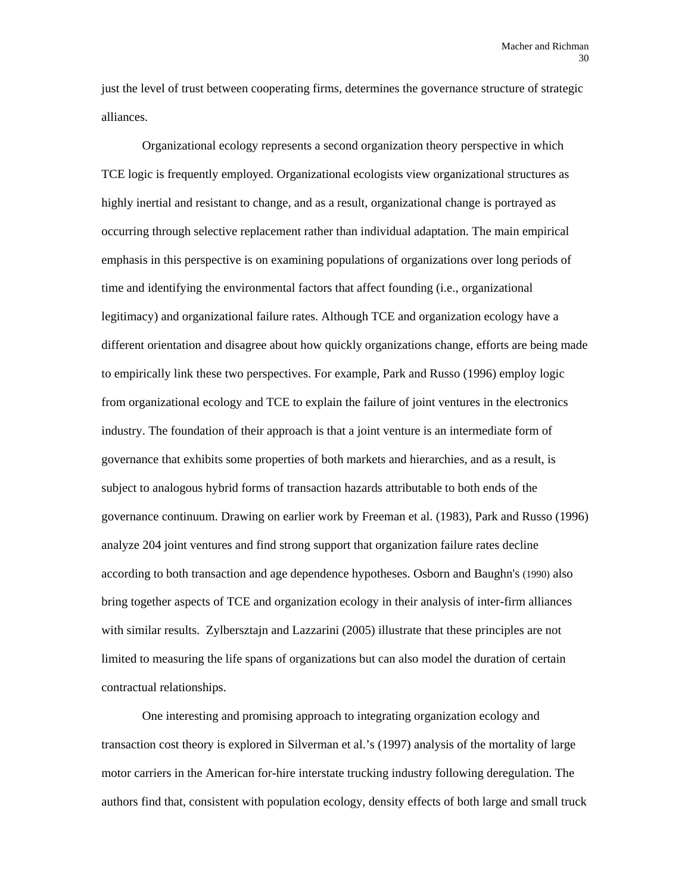just the level of trust between cooperating firms, determines the governance structure of strategic alliances.

Organizational ecology represents a second organization theory perspective in which TCE logic is frequently employed. Organizational ecologists view organizational structures as highly inertial and resistant to change, and as a result, organizational change is portrayed as occurring through selective replacement rather than individual adaptation. The main empirical emphasis in this perspective is on examining populations of organizations over long periods of time and identifying the environmental factors that affect founding (i.e., organizational legitimacy) and organizational failure rates. Although TCE and organization ecology have a different orientation and disagree about how quickly organizations change, efforts are being made to empirically link these two perspectives. For example, Park and Russo (1996) employ logic from organizational ecology and TCE to explain the failure of joint ventures in the electronics industry. The foundation of their approach is that a joint venture is an intermediate form of governance that exhibits some properties of both markets and hierarchies, and as a result, is subject to analogous hybrid forms of transaction hazards attributable to both ends of the governance continuum. Drawing on earlier work by Freeman et al. (1983), Park and Russo (1996) analyze 204 joint ventures and find strong support that organization failure rates decline according to both transaction and age dependence hypotheses. Osborn and Baughn's (1990) also bring together aspects of TCE and organization ecology in their analysis of inter-firm alliances with similar results. Zylbersztajn and Lazzarini (2005) illustrate that these principles are not limited to measuring the life spans of organizations but can also model the duration of certain contractual relationships.

One interesting and promising approach to integrating organization ecology and transaction cost theory is explored in Silverman et al.'s (1997) analysis of the mortality of large motor carriers in the American for-hire interstate trucking industry following deregulation. The authors find that, consistent with population ecology, density effects of both large and small truck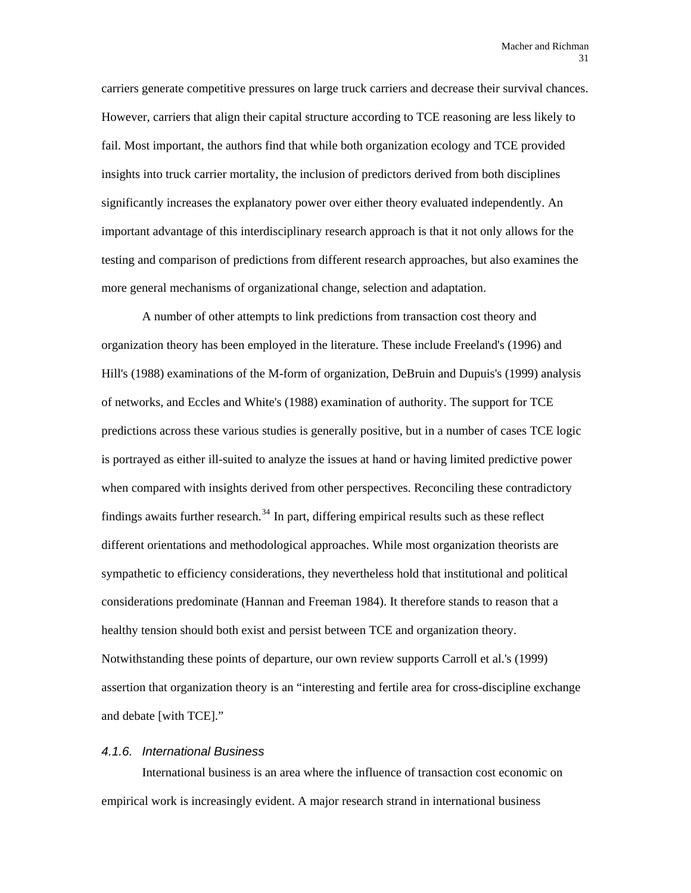carriers generate competitive pressures on large truck carriers and decrease their survival chances. However, carriers that align their capital structure according to TCE reasoning are less likely to fail. Most important, the authors find that while both organization ecology and TCE provided insights into truck carrier mortality, the inclusion of predictors derived from both disciplines significantly increases the explanatory power over either theory evaluated independently. An important advantage of this interdisciplinary research approach is that it not only allows for the testing and comparison of predictions from different research approaches, but also examines the more general mechanisms of organizational change, selection and adaptation.

A number of other attempts to link predictions from transaction cost theory and organization theory has been employed in the literature. These include Freeland's (1996) and Hill's (1988) examinations of the M-form of organization, DeBruin and Dupuis's (1999) analysis of networks, and Eccles and White's (1988) examination of authority. The support for TCE predictions across these various studies is generally positive, but in a number of cases TCE logic is portrayed as either ill-suited to analyze the issues at hand or having limited predictive power when compared with insights derived from other perspectives. Reconciling these contradictory findings awaits further research.<sup>[34](#page-91-1)</sup> In part, differing empirical results such as these reflect different orientations and methodological approaches. While most organization theorists are sympathetic to efficiency considerations, they nevertheless hold that institutional and political considerations predominate (Hannan and Freeman 1984). It therefore stands to reason that a healthy tension should both exist and persist between TCE and organization theory. Notwithstanding these points of departure, our own review supports Carroll et al.'s (1999) assertion that organization theory is an "interesting and fertile area for cross-discipline exchange and debate [with TCE]."

#### *4.1.6. International Business*

International business is an area where the influence of transaction cost economic on empirical work is increasingly evident. A major research strand in international business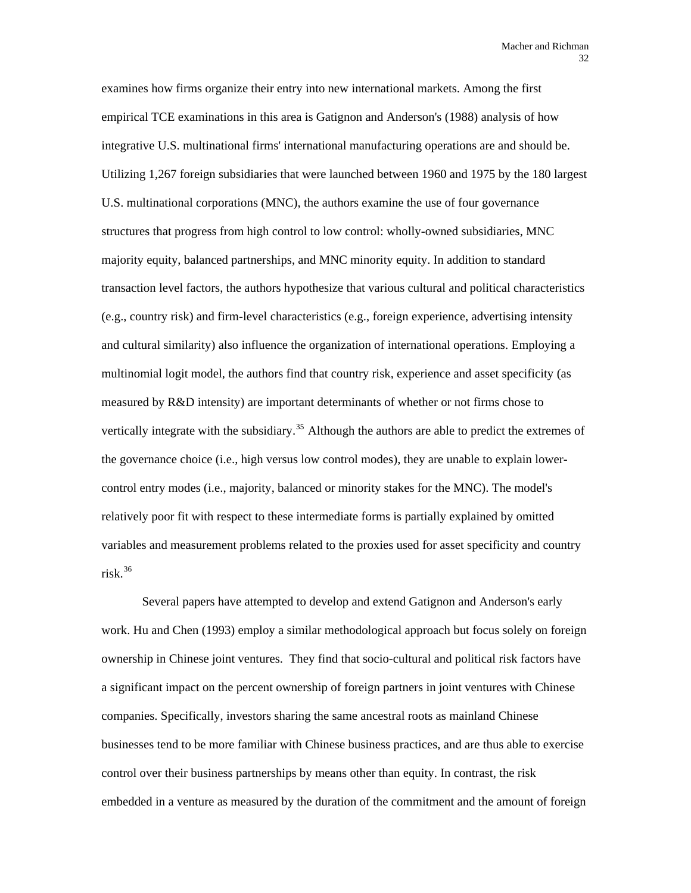examines how firms organize their entry into new international markets. Among the first empirical TCE examinations in this area is Gatignon and Anderson's (1988) analysis of how integrative U.S. multinational firms' international manufacturing operations are and should be. Utilizing 1,267 foreign subsidiaries that were launched between 1960 and 1975 by the 180 largest U.S. multinational corporations (MNC), the authors examine the use of four governance structures that progress from high control to low control: wholly-owned subsidiaries, MNC majority equity, balanced partnerships, and MNC minority equity. In addition to standard transaction level factors, the authors hypothesize that various cultural and political characteristics (e.g., country risk) and firm-level characteristics (e.g., foreign experience, advertising intensity and cultural similarity) also influence the organization of international operations. Employing a multinomial logit model, the authors find that country risk, experience and asset specificity (as measured by R&D intensity) are important determinants of whether or not firms chose to vertically integrate with the subsidiary.<sup>[35](#page-91-1)</sup> Although the authors are able to predict the extremes of the governance choice (i.e., high versus low control modes), they are unable to explain lowercontrol entry modes (i.e., majority, balanced or minority stakes for the MNC). The model's relatively poor fit with respect to these intermediate forms is partially explained by omitted variables and measurement problems related to the proxies used for asset specificity and country risk. $36$ 

Several papers have attempted to develop and extend Gatignon and Anderson's early work. Hu and Chen (1993) employ a similar methodological approach but focus solely on foreign ownership in Chinese joint ventures. They find that socio-cultural and political risk factors have a significant impact on the percent ownership of foreign partners in joint ventures with Chinese companies. Specifically, investors sharing the same ancestral roots as mainland Chinese businesses tend to be more familiar with Chinese business practices, and are thus able to exercise control over their business partnerships by means other than equity. In contrast, the risk embedded in a venture as measured by the duration of the commitment and the amount of foreign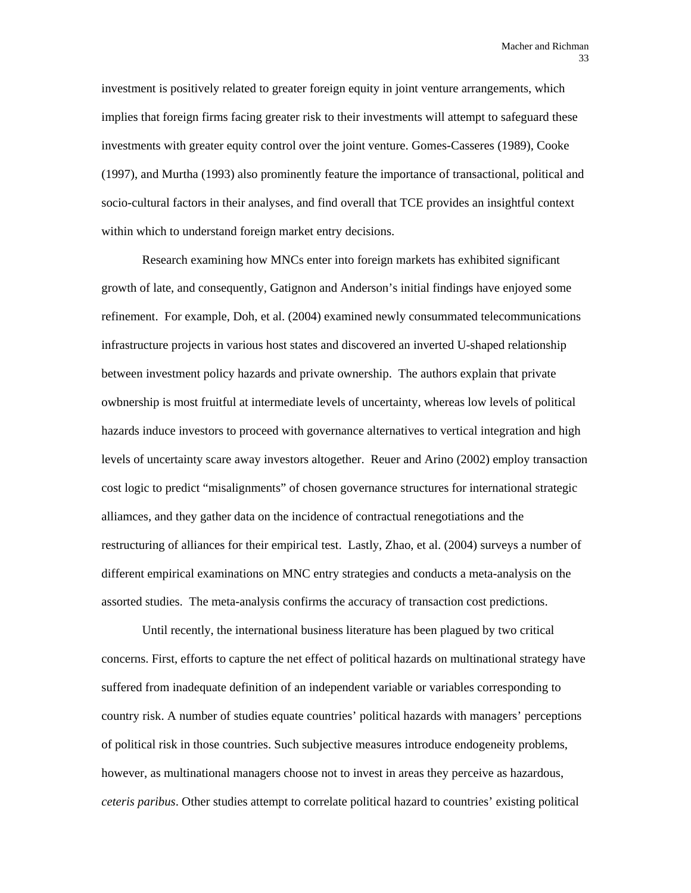investment is positively related to greater foreign equity in joint venture arrangements, which implies that foreign firms facing greater risk to their investments will attempt to safeguard these investments with greater equity control over the joint venture. Gomes-Casseres (1989), Cooke (1997), and Murtha (1993) also prominently feature the importance of transactional, political and socio-cultural factors in their analyses, and find overall that TCE provides an insightful context within which to understand foreign market entry decisions.

Research examining how MNCs enter into foreign markets has exhibited significant growth of late, and consequently, Gatignon and Anderson's initial findings have enjoyed some refinement. For example, Doh, et al. (2004) examined newly consummated telecommunications infrastructure projects in various host states and discovered an inverted U-shaped relationship between investment policy hazards and private ownership. The authors explain that private owbnership is most fruitful at intermediate levels of uncertainty, whereas low levels of political hazards induce investors to proceed with governance alternatives to vertical integration and high levels of uncertainty scare away investors altogether. Reuer and Arino (2002) employ transaction cost logic to predict "misalignments" of chosen governance structures for international strategic alliamces, and they gather data on the incidence of contractual renegotiations and the restructuring of alliances for their empirical test. Lastly, Zhao, et al. (2004) surveys a number of different empirical examinations on MNC entry strategies and conducts a meta-analysis on the assorted studies. The meta-analysis confirms the accuracy of transaction cost predictions.

Until recently, the international business literature has been plagued by two critical concerns. First, efforts to capture the net effect of political hazards on multinational strategy have suffered from inadequate definition of an independent variable or variables corresponding to country risk. A number of studies equate countries' political hazards with managers' perceptions of political risk in those countries. Such subjective measures introduce endogeneity problems, however, as multinational managers choose not to invest in areas they perceive as hazardous, *ceteris paribus*. Other studies attempt to correlate political hazard to countries' existing political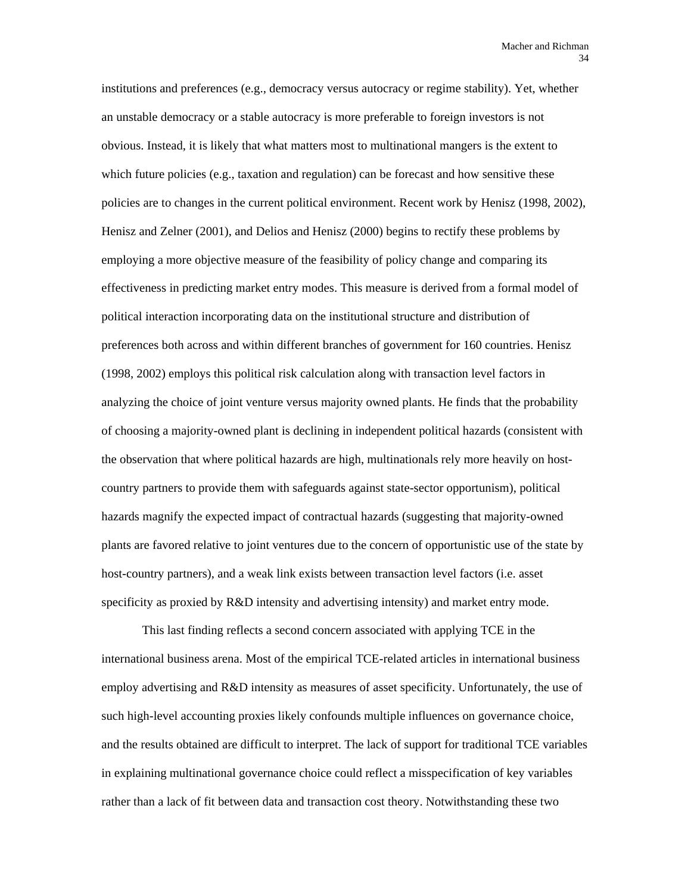institutions and preferences (e.g., democracy versus autocracy or regime stability). Yet, whether an unstable democracy or a stable autocracy is more preferable to foreign investors is not obvious. Instead, it is likely that what matters most to multinational mangers is the extent to which future policies (e.g., taxation and regulation) can be forecast and how sensitive these policies are to changes in the current political environment. Recent work by Henisz (1998, 2002), Henisz and Zelner (2001), and Delios and Henisz (2000) begins to rectify these problems by employing a more objective measure of the feasibility of policy change and comparing its effectiveness in predicting market entry modes. This measure is derived from a formal model of political interaction incorporating data on the institutional structure and distribution of preferences both across and within different branches of government for 160 countries. Henisz (1998, 2002) employs this political risk calculation along with transaction level factors in analyzing the choice of joint venture versus majority owned plants. He finds that the probability of choosing a majority-owned plant is declining in independent political hazards (consistent with the observation that where political hazards are high, multinationals rely more heavily on hostcountry partners to provide them with safeguards against state-sector opportunism), political hazards magnify the expected impact of contractual hazards (suggesting that majority-owned plants are favored relative to joint ventures due to the concern of opportunistic use of the state by host-country partners), and a weak link exists between transaction level factors (i.e. asset specificity as proxied by R&D intensity and advertising intensity) and market entry mode.

This last finding reflects a second concern associated with applying TCE in the international business arena. Most of the empirical TCE-related articles in international business employ advertising and R&D intensity as measures of asset specificity. Unfortunately, the use of such high-level accounting proxies likely confounds multiple influences on governance choice, and the results obtained are difficult to interpret. The lack of support for traditional TCE variables in explaining multinational governance choice could reflect a misspecification of key variables rather than a lack of fit between data and transaction cost theory. Notwithstanding these two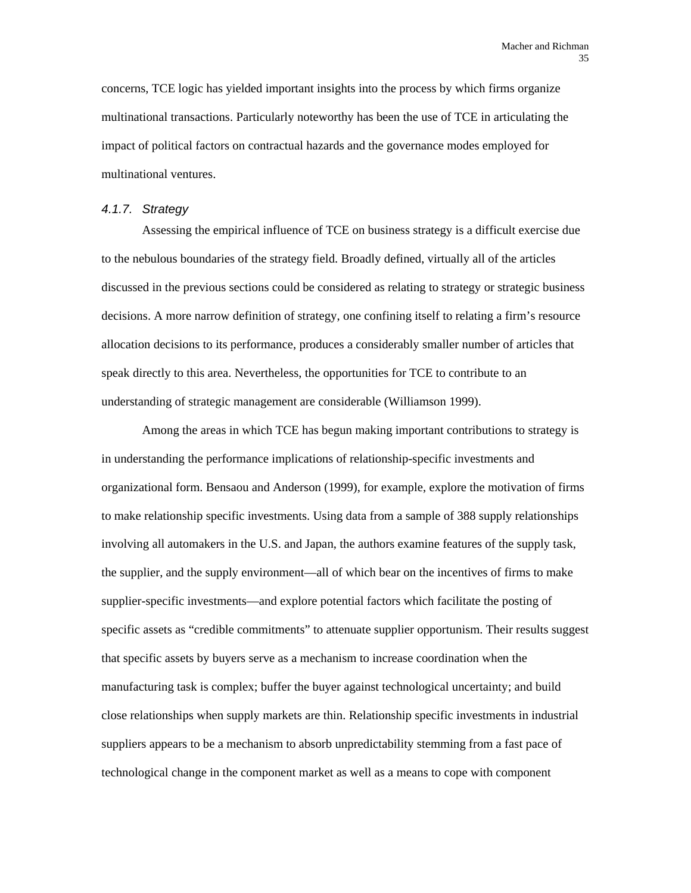concerns, TCE logic has yielded important insights into the process by which firms organize multinational transactions. Particularly noteworthy has been the use of TCE in articulating the impact of political factors on contractual hazards and the governance modes employed for multinational ventures.

#### *4.1.7. Strategy*

Assessing the empirical influence of TCE on business strategy is a difficult exercise due to the nebulous boundaries of the strategy field. Broadly defined, virtually all of the articles discussed in the previous sections could be considered as relating to strategy or strategic business decisions. A more narrow definition of strategy, one confining itself to relating a firm's resource allocation decisions to its performance, produces a considerably smaller number of articles that speak directly to this area. Nevertheless, the opportunities for TCE to contribute to an understanding of strategic management are considerable (Williamson 1999).

Among the areas in which TCE has begun making important contributions to strategy is in understanding the performance implications of relationship-specific investments and organizational form. Bensaou and Anderson (1999), for example, explore the motivation of firms to make relationship specific investments. Using data from a sample of 388 supply relationships involving all automakers in the U.S. and Japan, the authors examine features of the supply task, the supplier, and the supply environment—all of which bear on the incentives of firms to make supplier-specific investments—and explore potential factors which facilitate the posting of specific assets as "credible commitments" to attenuate supplier opportunism. Their results suggest that specific assets by buyers serve as a mechanism to increase coordination when the manufacturing task is complex; buffer the buyer against technological uncertainty; and build close relationships when supply markets are thin. Relationship specific investments in industrial suppliers appears to be a mechanism to absorb unpredictability stemming from a fast pace of technological change in the component market as well as a means to cope with component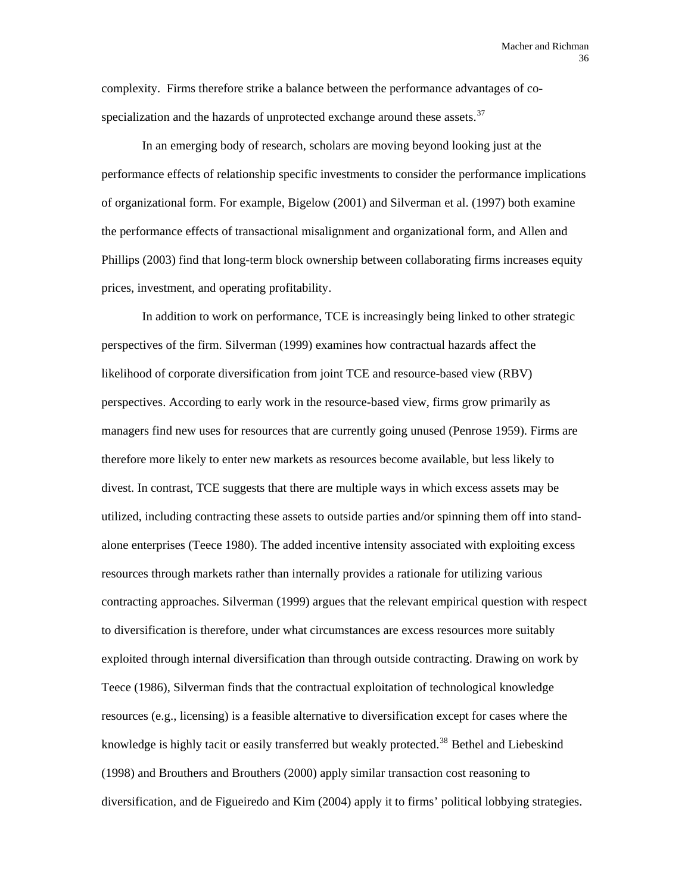complexity. Firms therefore strike a balance between the performance advantages of cospecialization and the hazards of unprotected exchange around these assets. $37$ 

In an emerging body of research, scholars are moving beyond looking just at the performance effects of relationship specific investments to consider the performance implications of organizational form. For example, Bigelow (2001) and Silverman et al. (1997) both examine the performance effects of transactional misalignment and organizational form, and Allen and Phillips (2003) find that long-term block ownership between collaborating firms increases equity prices, investment, and operating profitability.

In addition to work on performance, TCE is increasingly being linked to other strategic perspectives of the firm. Silverman (1999) examines how contractual hazards affect the likelihood of corporate diversification from joint TCE and resource-based view (RBV) perspectives. According to early work in the resource-based view, firms grow primarily as managers find new uses for resources that are currently going unused (Penrose 1959). Firms are therefore more likely to enter new markets as resources become available, but less likely to divest. In contrast, TCE suggests that there are multiple ways in which excess assets may be utilized, including contracting these assets to outside parties and/or spinning them off into standalone enterprises (Teece 1980). The added incentive intensity associated with exploiting excess resources through markets rather than internally provides a rationale for utilizing various contracting approaches. Silverman (1999) argues that the relevant empirical question with respect to diversification is therefore, under what circumstances are excess resources more suitably exploited through internal diversification than through outside contracting. Drawing on work by Teece (1986), Silverman finds that the contractual exploitation of technological knowledge resources (e.g., licensing) is a feasible alternative to diversification except for cases where the knowledge is highly tacit or easily transferred but weakly protected.<sup>[38](#page-91-0)</sup> Bethel and Liebeskind (1998) and Brouthers and Brouthers (2000) apply similar transaction cost reasoning to diversification, and de Figueiredo and Kim (2004) apply it to firms' political lobbying strategies.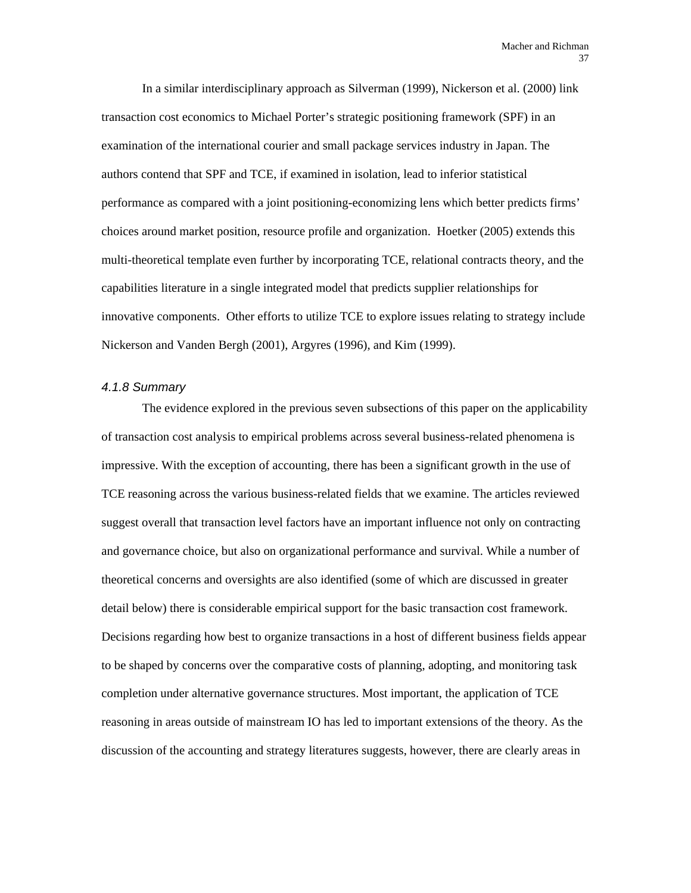In a similar interdisciplinary approach as Silverman (1999), Nickerson et al. (2000) link transaction cost economics to Michael Porter's strategic positioning framework (SPF) in an examination of the international courier and small package services industry in Japan. The authors contend that SPF and TCE, if examined in isolation, lead to inferior statistical performance as compared with a joint positioning-economizing lens which better predicts firms' choices around market position, resource profile and organization. Hoetker (2005) extends this multi-theoretical template even further by incorporating TCE, relational contracts theory, and the capabilities literature in a single integrated model that predicts supplier relationships for innovative components. Other efforts to utilize TCE to explore issues relating to strategy include Nickerson and Vanden Bergh (2001), Argyres (1996), and Kim (1999).

# *4.1.8 Summary*

The evidence explored in the previous seven subsections of this paper on the applicability of transaction cost analysis to empirical problems across several business-related phenomena is impressive. With the exception of accounting, there has been a significant growth in the use of TCE reasoning across the various business-related fields that we examine. The articles reviewed suggest overall that transaction level factors have an important influence not only on contracting and governance choice, but also on organizational performance and survival. While a number of theoretical concerns and oversights are also identified (some of which are discussed in greater detail below) there is considerable empirical support for the basic transaction cost framework. Decisions regarding how best to organize transactions in a host of different business fields appear to be shaped by concerns over the comparative costs of planning, adopting, and monitoring task completion under alternative governance structures. Most important, the application of TCE reasoning in areas outside of mainstream IO has led to important extensions of the theory. As the discussion of the accounting and strategy literatures suggests, however, there are clearly areas in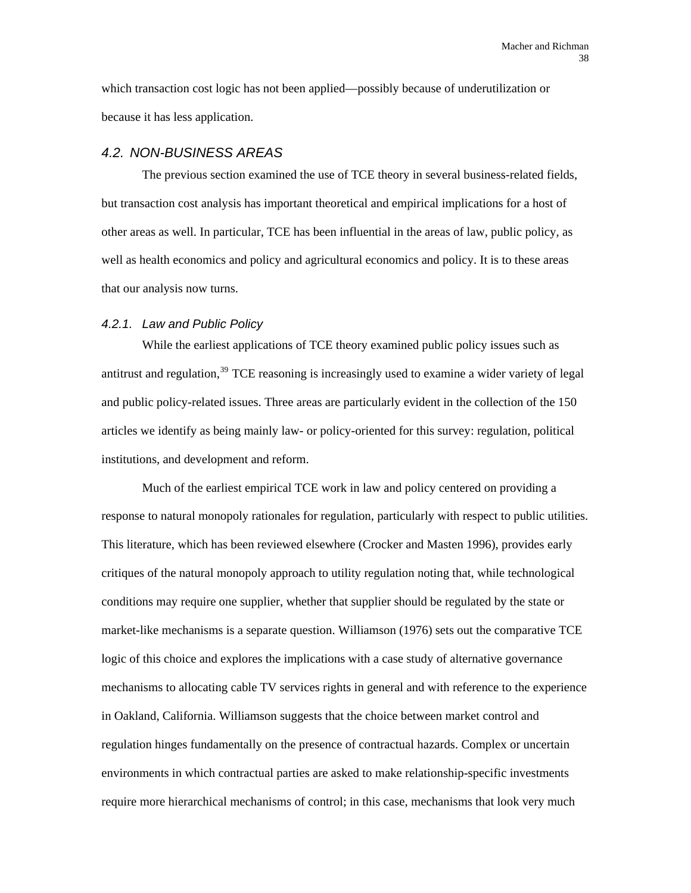which transaction cost logic has not been applied—possibly because of underutilization or because it has less application.

#### *4.2. NON-BUSINESS AREAS*

The previous section examined the use of TCE theory in several business-related fields, but transaction cost analysis has important theoretical and empirical implications for a host of other areas as well. In particular, TCE has been influential in the areas of law, public policy, as well as health economics and policy and agricultural economics and policy. It is to these areas that our analysis now turns.

#### *4.2.1. Law and Public Policy*

While the earliest applications of TCE theory examined public policy issues such as antitrust and regulation,<sup>[39](#page-91-0)</sup> TCE reasoning is increasingly used to examine a wider variety of legal and public policy-related issues. Three areas are particularly evident in the collection of the 150 articles we identify as being mainly law- or policy-oriented for this survey: regulation, political institutions, and development and reform.

Much of the earliest empirical TCE work in law and policy centered on providing a response to natural monopoly rationales for regulation, particularly with respect to public utilities. This literature, which has been reviewed elsewhere (Crocker and Masten 1996), provides early critiques of the natural monopoly approach to utility regulation noting that, while technological conditions may require one supplier, whether that supplier should be regulated by the state or market-like mechanisms is a separate question. Williamson (1976) sets out the comparative TCE logic of this choice and explores the implications with a case study of alternative governance mechanisms to allocating cable TV services rights in general and with reference to the experience in Oakland, California. Williamson suggests that the choice between market control and regulation hinges fundamentally on the presence of contractual hazards. Complex or uncertain environments in which contractual parties are asked to make relationship-specific investments require more hierarchical mechanisms of control; in this case, mechanisms that look very much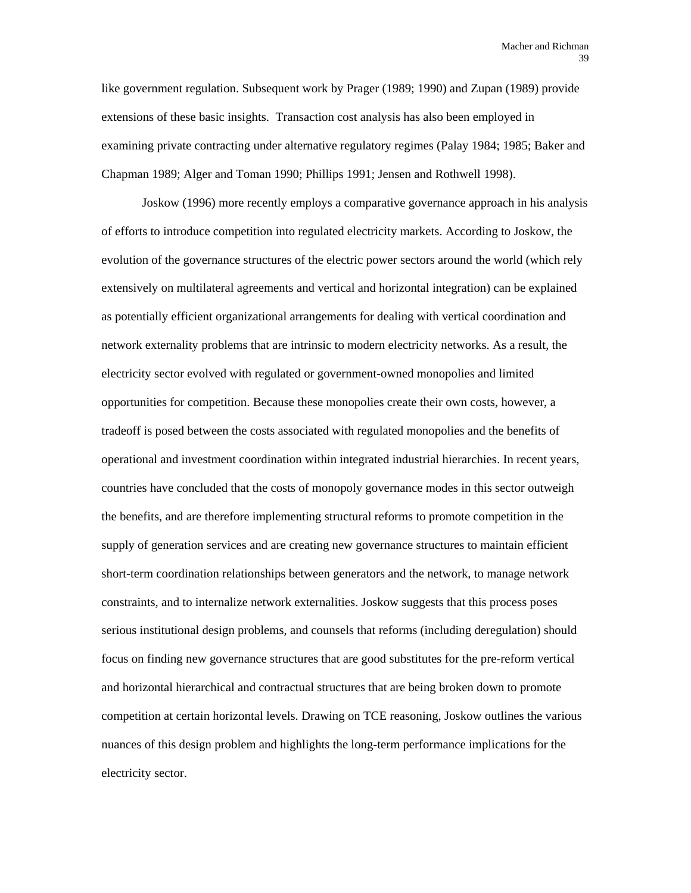like government regulation. Subsequent work by Prager (1989; 1990) and Zupan (1989) provide extensions of these basic insights. Transaction cost analysis has also been employed in examining private contracting under alternative regulatory regimes (Palay 1984; 1985; Baker and Chapman 1989; Alger and Toman 1990; Phillips 1991; Jensen and Rothwell 1998).

Joskow (1996) more recently employs a comparative governance approach in his analysis of efforts to introduce competition into regulated electricity markets. According to Joskow, the evolution of the governance structures of the electric power sectors around the world (which rely extensively on multilateral agreements and vertical and horizontal integration) can be explained as potentially efficient organizational arrangements for dealing with vertical coordination and network externality problems that are intrinsic to modern electricity networks. As a result, the electricity sector evolved with regulated or government-owned monopolies and limited opportunities for competition. Because these monopolies create their own costs, however, a tradeoff is posed between the costs associated with regulated monopolies and the benefits of operational and investment coordination within integrated industrial hierarchies. In recent years, countries have concluded that the costs of monopoly governance modes in this sector outweigh the benefits, and are therefore implementing structural reforms to promote competition in the supply of generation services and are creating new governance structures to maintain efficient short-term coordination relationships between generators and the network, to manage network constraints, and to internalize network externalities. Joskow suggests that this process poses serious institutional design problems, and counsels that reforms (including deregulation) should focus on finding new governance structures that are good substitutes for the pre-reform vertical and horizontal hierarchical and contractual structures that are being broken down to promote competition at certain horizontal levels. Drawing on TCE reasoning, Joskow outlines the various nuances of this design problem and highlights the long-term performance implications for the electricity sector.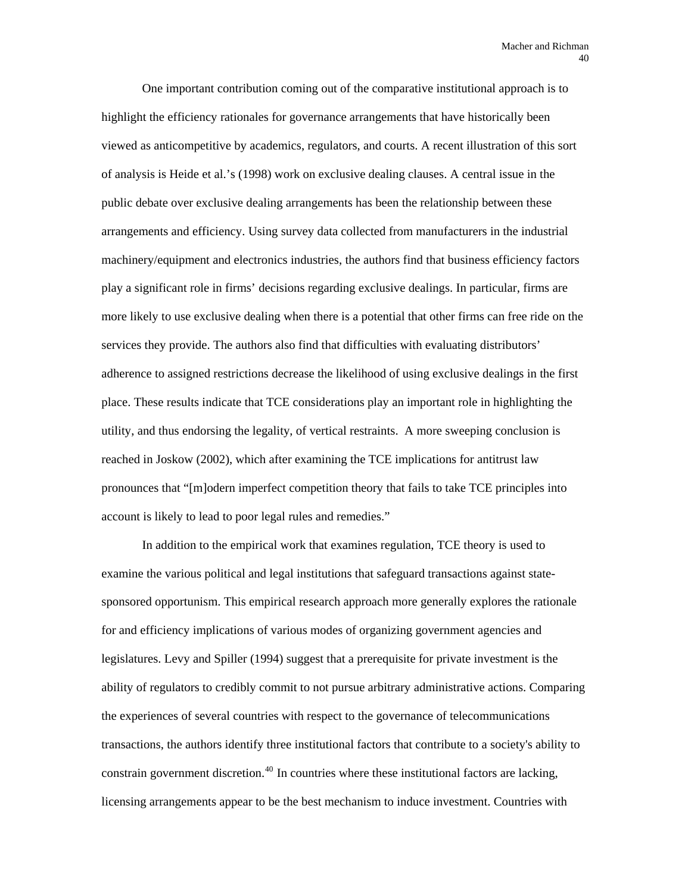One important contribution coming out of the comparative institutional approach is to highlight the efficiency rationales for governance arrangements that have historically been viewed as anticompetitive by academics, regulators, and courts. A recent illustration of this sort of analysis is Heide et al.'s (1998) work on exclusive dealing clauses. A central issue in the public debate over exclusive dealing arrangements has been the relationship between these arrangements and efficiency. Using survey data collected from manufacturers in the industrial machinery/equipment and electronics industries, the authors find that business efficiency factors play a significant role in firms' decisions regarding exclusive dealings. In particular, firms are more likely to use exclusive dealing when there is a potential that other firms can free ride on the services they provide. The authors also find that difficulties with evaluating distributors' adherence to assigned restrictions decrease the likelihood of using exclusive dealings in the first place. These results indicate that TCE considerations play an important role in highlighting the utility, and thus endorsing the legality, of vertical restraints. A more sweeping conclusion is reached in Joskow (2002), which after examining the TCE implications for antitrust law pronounces that "[m]odern imperfect competition theory that fails to take TCE principles into account is likely to lead to poor legal rules and remedies."

In addition to the empirical work that examines regulation, TCE theory is used to examine the various political and legal institutions that safeguard transactions against statesponsored opportunism. This empirical research approach more generally explores the rationale for and efficiency implications of various modes of organizing government agencies and legislatures. Levy and Spiller (1994) suggest that a prerequisite for private investment is the ability of regulators to credibly commit to not pursue arbitrary administrative actions. Comparing the experiences of several countries with respect to the governance of telecommunications transactions, the authors identify three institutional factors that contribute to a society's ability to constrain government discretion.<sup>[40](#page-91-0)</sup> In countries where these institutional factors are lacking, licensing arrangements appear to be the best mechanism to induce investment. Countries with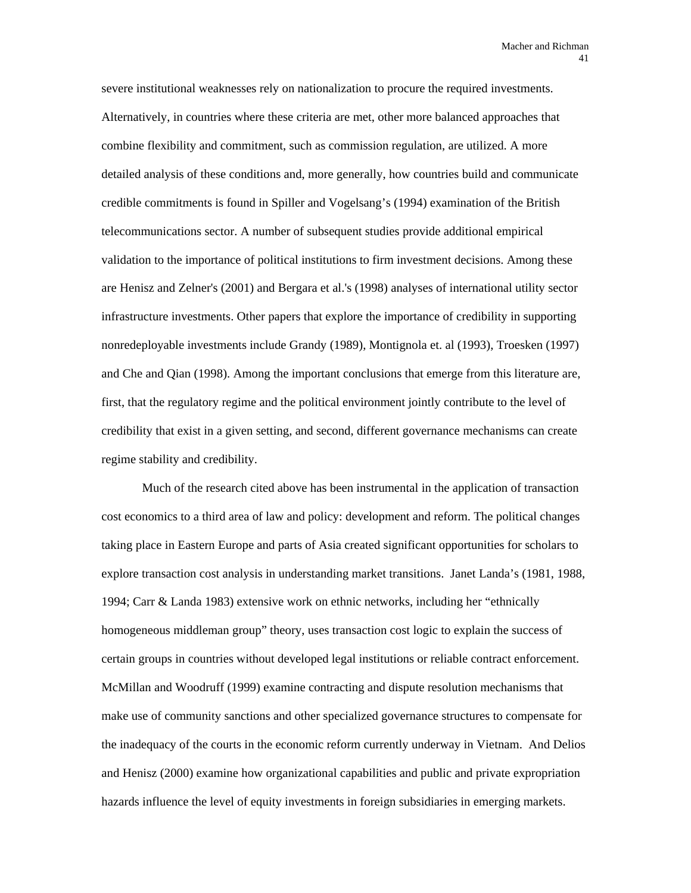severe institutional weaknesses rely on nationalization to procure the required investments. Alternatively, in countries where these criteria are met, other more balanced approaches that combine flexibility and commitment, such as commission regulation, are utilized. A more detailed analysis of these conditions and, more generally, how countries build and communicate credible commitments is found in Spiller and Vogelsang's (1994) examination of the British telecommunications sector. A number of subsequent studies provide additional empirical validation to the importance of political institutions to firm investment decisions. Among these are Henisz and Zelner's (2001) and Bergara et al.'s (1998) analyses of international utility sector infrastructure investments. Other papers that explore the importance of credibility in supporting nonredeployable investments include Grandy (1989), Montignola et. al (1993), Troesken (1997) and Che and Qian (1998). Among the important conclusions that emerge from this literature are, first, that the regulatory regime and the political environment jointly contribute to the level of credibility that exist in a given setting, and second, different governance mechanisms can create regime stability and credibility.

Much of the research cited above has been instrumental in the application of transaction cost economics to a third area of law and policy: development and reform. The political changes taking place in Eastern Europe and parts of Asia created significant opportunities for scholars to explore transaction cost analysis in understanding market transitions. Janet Landa's (1981, 1988, 1994; Carr & Landa 1983) extensive work on ethnic networks, including her "ethnically homogeneous middleman group" theory, uses transaction cost logic to explain the success of certain groups in countries without developed legal institutions or reliable contract enforcement. McMillan and Woodruff (1999) examine contracting and dispute resolution mechanisms that make use of community sanctions and other specialized governance structures to compensate for the inadequacy of the courts in the economic reform currently underway in Vietnam. And Delios and Henisz (2000) examine how organizational capabilities and public and private expropriation hazards influence the level of equity investments in foreign subsidiaries in emerging markets.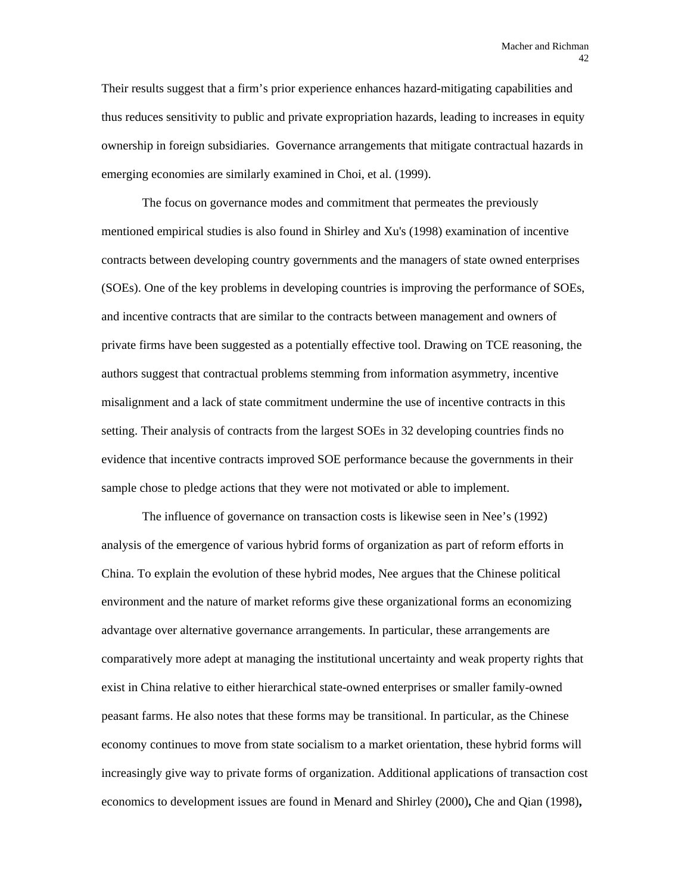Their results suggest that a firm's prior experience enhances hazard-mitigating capabilities and thus reduces sensitivity to public and private expropriation hazards, leading to increases in equity ownership in foreign subsidiaries. Governance arrangements that mitigate contractual hazards in emerging economies are similarly examined in Choi, et al. (1999).

The focus on governance modes and commitment that permeates the previously mentioned empirical studies is also found in Shirley and Xu's (1998) examination of incentive contracts between developing country governments and the managers of state owned enterprises (SOEs). One of the key problems in developing countries is improving the performance of SOEs, and incentive contracts that are similar to the contracts between management and owners of private firms have been suggested as a potentially effective tool. Drawing on TCE reasoning, the authors suggest that contractual problems stemming from information asymmetry, incentive misalignment and a lack of state commitment undermine the use of incentive contracts in this setting. Their analysis of contracts from the largest SOEs in 32 developing countries finds no evidence that incentive contracts improved SOE performance because the governments in their sample chose to pledge actions that they were not motivated or able to implement.

The influence of governance on transaction costs is likewise seen in Nee's (1992) analysis of the emergence of various hybrid forms of organization as part of reform efforts in China. To explain the evolution of these hybrid modes, Nee argues that the Chinese political environment and the nature of market reforms give these organizational forms an economizing advantage over alternative governance arrangements. In particular, these arrangements are comparatively more adept at managing the institutional uncertainty and weak property rights that exist in China relative to either hierarchical state-owned enterprises or smaller family-owned peasant farms. He also notes that these forms may be transitional. In particular, as the Chinese economy continues to move from state socialism to a market orientation, these hybrid forms will increasingly give way to private forms of organization. Additional applications of transaction cost economics to development issues are found in Menard and Shirley (2000)**,** Che and Qian (1998)**,**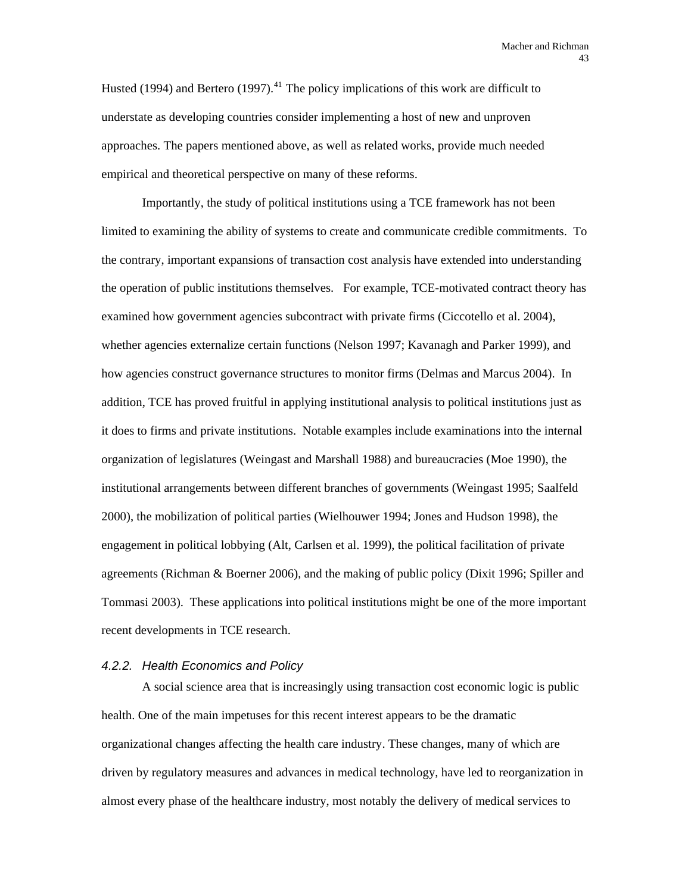Husted (1994) and Bertero (1997).<sup>[41](#page-91-0)</sup> The policy implications of this work are difficult to understate as developing countries consider implementing a host of new and unproven approaches. The papers mentioned above, as well as related works, provide much needed empirical and theoretical perspective on many of these reforms.

Importantly, the study of political institutions using a TCE framework has not been limited to examining the ability of systems to create and communicate credible commitments. To the contrary, important expansions of transaction cost analysis have extended into understanding the operation of public institutions themselves. For example, TCE-motivated contract theory has examined how government agencies subcontract with private firms (Ciccotello et al. 2004), whether agencies externalize certain functions (Nelson 1997; Kavanagh and Parker 1999), and how agencies construct governance structures to monitor firms (Delmas and Marcus 2004). In addition, TCE has proved fruitful in applying institutional analysis to political institutions just as it does to firms and private institutions. Notable examples include examinations into the internal organization of legislatures (Weingast and Marshall 1988) and bureaucracies (Moe 1990), the institutional arrangements between different branches of governments (Weingast 1995; Saalfeld 2000), the mobilization of political parties (Wielhouwer 1994; Jones and Hudson 1998), the engagement in political lobbying (Alt, Carlsen et al. 1999), the political facilitation of private agreements (Richman & Boerner 2006), and the making of public policy (Dixit 1996; Spiller and Tommasi 2003). These applications into political institutions might be one of the more important recent developments in TCE research.

#### *4.2.2. Health Economics and Policy*

A social science area that is increasingly using transaction cost economic logic is public health. One of the main impetuses for this recent interest appears to be the dramatic organizational changes affecting the health care industry. These changes, many of which are driven by regulatory measures and advances in medical technology, have led to reorganization in almost every phase of the healthcare industry, most notably the delivery of medical services to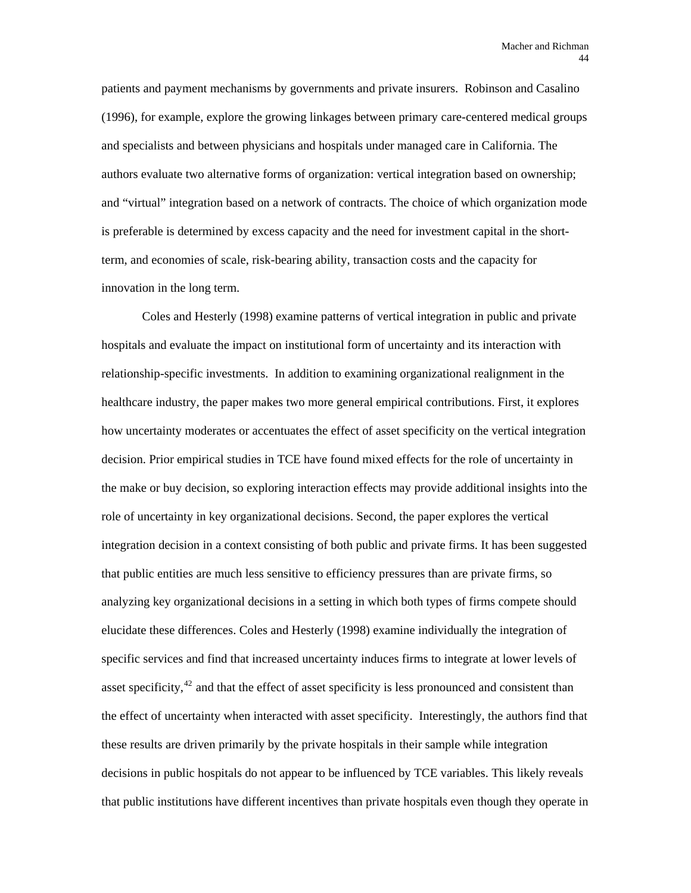patients and payment mechanisms by governments and private insurers. Robinson and Casalino (1996), for example, explore the growing linkages between primary care-centered medical groups and specialists and between physicians and hospitals under managed care in California. The authors evaluate two alternative forms of organization: vertical integration based on ownership; and "virtual" integration based on a network of contracts. The choice of which organization mode is preferable is determined by excess capacity and the need for investment capital in the shortterm, and economies of scale, risk-bearing ability, transaction costs and the capacity for innovation in the long term.

Coles and Hesterly (1998) examine patterns of vertical integration in public and private hospitals and evaluate the impact on institutional form of uncertainty and its interaction with relationship-specific investments. In addition to examining organizational realignment in the healthcare industry, the paper makes two more general empirical contributions. First, it explores how uncertainty moderates or accentuates the effect of asset specificity on the vertical integration decision. Prior empirical studies in TCE have found mixed effects for the role of uncertainty in the make or buy decision, so exploring interaction effects may provide additional insights into the role of uncertainty in key organizational decisions. Second, the paper explores the vertical integration decision in a context consisting of both public and private firms. It has been suggested that public entities are much less sensitive to efficiency pressures than are private firms, so analyzing key organizational decisions in a setting in which both types of firms compete should elucidate these differences. Coles and Hesterly (1998) examine individually the integration of specific services and find that increased uncertainty induces firms to integrate at lower levels of asset specificity,<sup>[42](#page-91-0)</sup> and that the effect of asset specificity is less pronounced and consistent than the effect of uncertainty when interacted with asset specificity. Interestingly, the authors find that these results are driven primarily by the private hospitals in their sample while integration decisions in public hospitals do not appear to be influenced by TCE variables. This likely reveals that public institutions have different incentives than private hospitals even though they operate in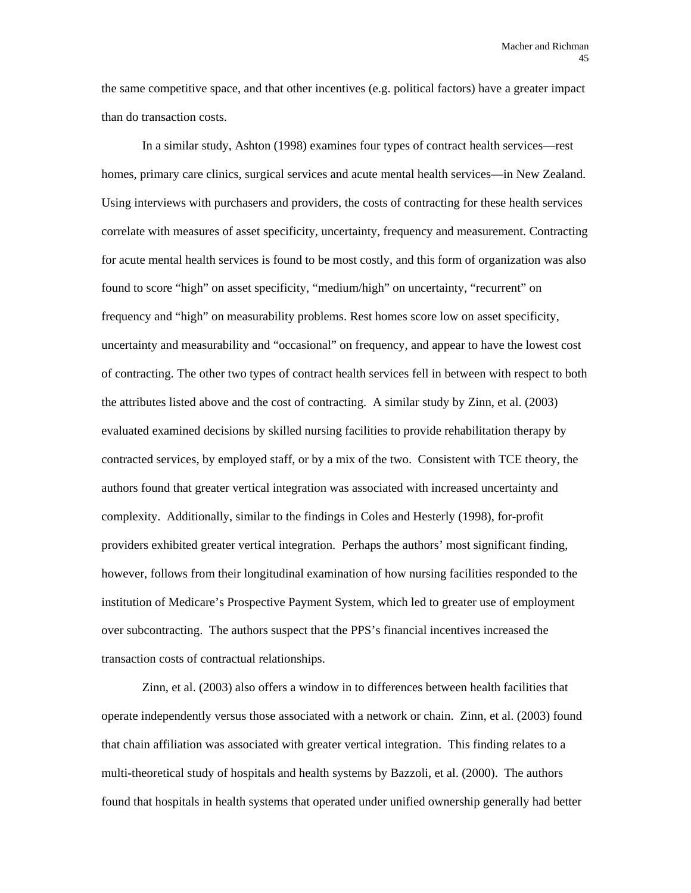the same competitive space, and that other incentives (e.g. political factors) have a greater impact than do transaction costs.

In a similar study, Ashton (1998) examines four types of contract health services—rest homes, primary care clinics, surgical services and acute mental health services—in New Zealand. Using interviews with purchasers and providers, the costs of contracting for these health services correlate with measures of asset specificity, uncertainty, frequency and measurement. Contracting for acute mental health services is found to be most costly, and this form of organization was also found to score "high" on asset specificity, "medium/high" on uncertainty, "recurrent" on frequency and "high" on measurability problems. Rest homes score low on asset specificity, uncertainty and measurability and "occasional" on frequency, and appear to have the lowest cost of contracting. The other two types of contract health services fell in between with respect to both the attributes listed above and the cost of contracting. A similar study by Zinn, et al. (2003) evaluated examined decisions by skilled nursing facilities to provide rehabilitation therapy by contracted services, by employed staff, or by a mix of the two. Consistent with TCE theory, the authors found that greater vertical integration was associated with increased uncertainty and complexity. Additionally, similar to the findings in Coles and Hesterly (1998), for-profit providers exhibited greater vertical integration. Perhaps the authors' most significant finding, however, follows from their longitudinal examination of how nursing facilities responded to the institution of Medicare's Prospective Payment System, which led to greater use of employment over subcontracting. The authors suspect that the PPS's financial incentives increased the transaction costs of contractual relationships.

Zinn, et al. (2003) also offers a window in to differences between health facilities that operate independently versus those associated with a network or chain. Zinn, et al. (2003) found that chain affiliation was associated with greater vertical integration. This finding relates to a multi-theoretical study of hospitals and health systems by Bazzoli, et al. (2000). The authors found that hospitals in health systems that operated under unified ownership generally had better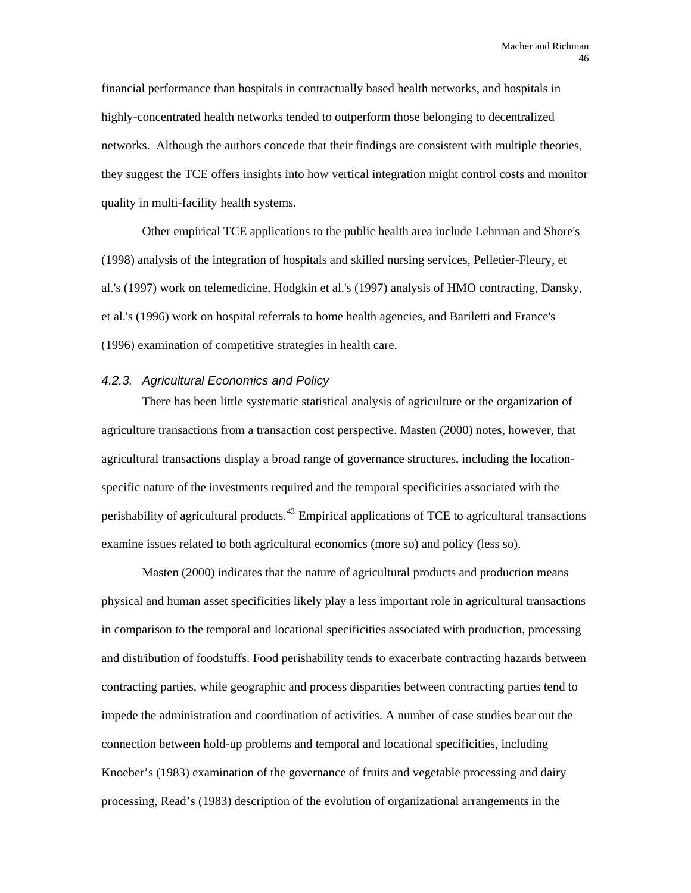financial performance than hospitals in contractually based health networks, and hospitals in highly-concentrated health networks tended to outperform those belonging to decentralized networks. Although the authors concede that their findings are consistent with multiple theories, they suggest the TCE offers insights into how vertical integration might control costs and monitor quality in multi-facility health systems.

Other empirical TCE applications to the public health area include Lehrman and Shore's (1998) analysis of the integration of hospitals and skilled nursing services, Pelletier-Fleury, et al.'s (1997) work on telemedicine, Hodgkin et al.'s (1997) analysis of HMO contracting, Dansky, et al.'s (1996) work on hospital referrals to home health agencies, and Bariletti and France's (1996) examination of competitive strategies in health care.

#### *4.2.3. Agricultural Economics and Policy*

There has been little systematic statistical analysis of agriculture or the organization of agriculture transactions from a transaction cost perspective. Masten (2000) notes, however, that agricultural transactions display a broad range of governance structures, including the locationspecific nature of the investments required and the temporal specificities associated with the perishability of agricultural products.<sup>[43](#page-91-0)</sup> Empirical applications of TCE to agricultural transactions examine issues related to both agricultural economics (more so) and policy (less so).

Masten (2000) indicates that the nature of agricultural products and production means physical and human asset specificities likely play a less important role in agricultural transactions in comparison to the temporal and locational specificities associated with production, processing and distribution of foodstuffs. Food perishability tends to exacerbate contracting hazards between contracting parties, while geographic and process disparities between contracting parties tend to impede the administration and coordination of activities. A number of case studies bear out the connection between hold-up problems and temporal and locational specificities, including Knoeber's (1983) examination of the governance of fruits and vegetable processing and dairy processing, Read's (1983) description of the evolution of organizational arrangements in the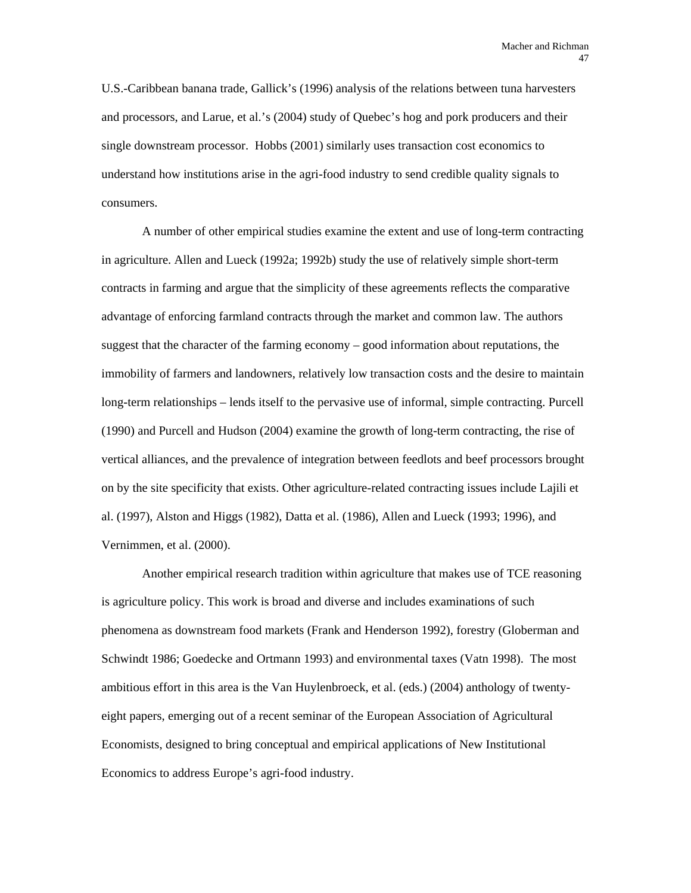U.S.-Caribbean banana trade, Gallick's (1996) analysis of the relations between tuna harvesters and processors, and Larue, et al.'s (2004) study of Quebec's hog and pork producers and their single downstream processor. Hobbs (2001) similarly uses transaction cost economics to understand how institutions arise in the agri-food industry to send credible quality signals to consumers.

A number of other empirical studies examine the extent and use of long-term contracting in agriculture. Allen and Lueck (1992a; 1992b) study the use of relatively simple short-term contracts in farming and argue that the simplicity of these agreements reflects the comparative advantage of enforcing farmland contracts through the market and common law. The authors suggest that the character of the farming economy – good information about reputations, the immobility of farmers and landowners, relatively low transaction costs and the desire to maintain long-term relationships – lends itself to the pervasive use of informal, simple contracting. Purcell (1990) and Purcell and Hudson (2004) examine the growth of long-term contracting, the rise of vertical alliances, and the prevalence of integration between feedlots and beef processors brought on by the site specificity that exists. Other agriculture-related contracting issues include Lajili et al. (1997), Alston and Higgs (1982), Datta et al. (1986), Allen and Lueck (1993; 1996), and Vernimmen, et al. (2000).

Another empirical research tradition within agriculture that makes use of TCE reasoning is agriculture policy. This work is broad and diverse and includes examinations of such phenomena as downstream food markets (Frank and Henderson 1992), forestry (Globerman and Schwindt 1986; Goedecke and Ortmann 1993) and environmental taxes (Vatn 1998). The most ambitious effort in this area is the Van Huylenbroeck, et al. (eds.) (2004) anthology of twentyeight papers, emerging out of a recent seminar of the European Association of Agricultural Economists, designed to bring conceptual and empirical applications of New Institutional Economics to address Europe's agri-food industry.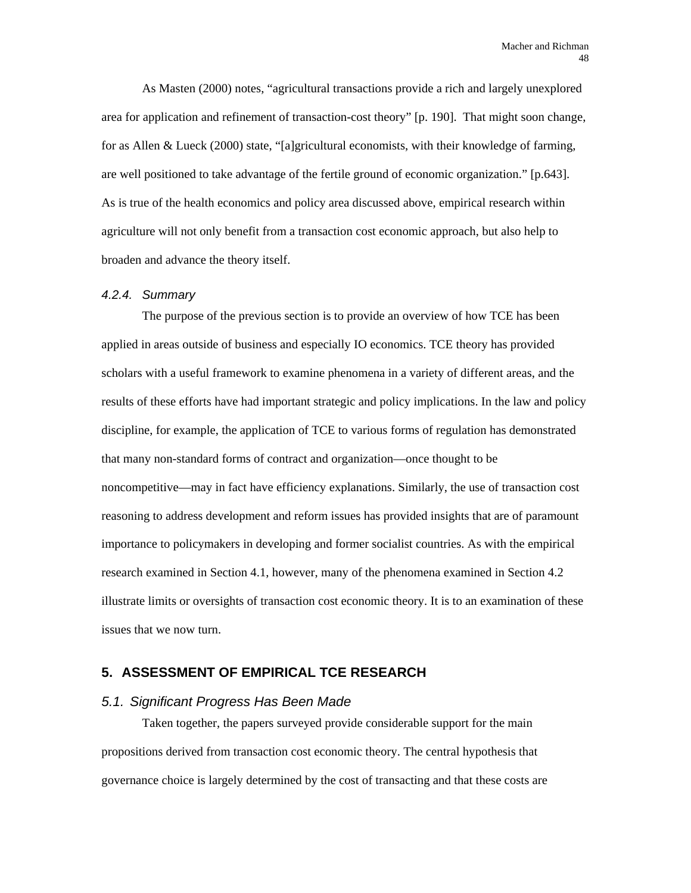As Masten (2000) notes, "agricultural transactions provide a rich and largely unexplored area for application and refinement of transaction-cost theory" [p. 190]. That might soon change, for as Allen & Lueck (2000) state, "[a]gricultural economists, with their knowledge of farming, are well positioned to take advantage of the fertile ground of economic organization." [p.643]. As is true of the health economics and policy area discussed above, empirical research within agriculture will not only benefit from a transaction cost economic approach, but also help to broaden and advance the theory itself.

#### *4.2.4. Summary*

The purpose of the previous section is to provide an overview of how TCE has been applied in areas outside of business and especially IO economics. TCE theory has provided scholars with a useful framework to examine phenomena in a variety of different areas, and the results of these efforts have had important strategic and policy implications. In the law and policy discipline, for example, the application of TCE to various forms of regulation has demonstrated that many non-standard forms of contract and organization—once thought to be noncompetitive—may in fact have efficiency explanations. Similarly, the use of transaction cost reasoning to address development and reform issues has provided insights that are of paramount importance to policymakers in developing and former socialist countries. As with the empirical research examined in Section 4.1, however, many of the phenomena examined in Section 4.2 illustrate limits or oversights of transaction cost economic theory. It is to an examination of these issues that we now turn.

# **5. ASSESSMENT OF EMPIRICAL TCE RESEARCH**

### *5.1. Significant Progress Has Been Made*

Taken together, the papers surveyed provide considerable support for the main propositions derived from transaction cost economic theory. The central hypothesis that governance choice is largely determined by the cost of transacting and that these costs are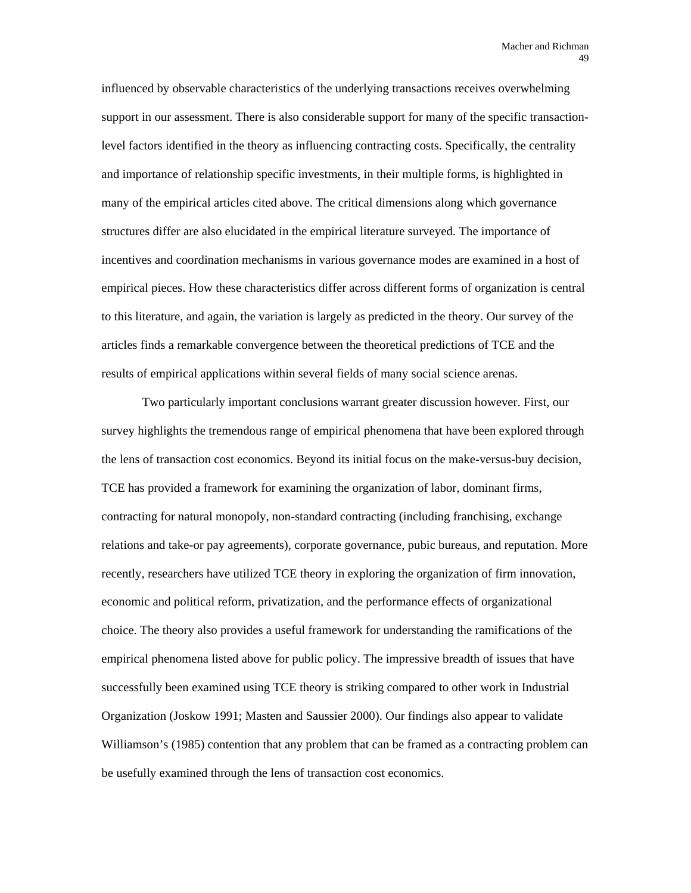influenced by observable characteristics of the underlying transactions receives overwhelming support in our assessment. There is also considerable support for many of the specific transactionlevel factors identified in the theory as influencing contracting costs. Specifically, the centrality and importance of relationship specific investments, in their multiple forms, is highlighted in many of the empirical articles cited above. The critical dimensions along which governance structures differ are also elucidated in the empirical literature surveyed. The importance of incentives and coordination mechanisms in various governance modes are examined in a host of empirical pieces. How these characteristics differ across different forms of organization is central to this literature, and again, the variation is largely as predicted in the theory. Our survey of the articles finds a remarkable convergence between the theoretical predictions of TCE and the results of empirical applications within several fields of many social science arenas.

Two particularly important conclusions warrant greater discussion however. First, our survey highlights the tremendous range of empirical phenomena that have been explored through the lens of transaction cost economics. Beyond its initial focus on the make-versus-buy decision, TCE has provided a framework for examining the organization of labor, dominant firms, contracting for natural monopoly, non-standard contracting (including franchising, exchange relations and take-or pay agreements), corporate governance, pubic bureaus, and reputation. More recently, researchers have utilized TCE theory in exploring the organization of firm innovation, economic and political reform, privatization, and the performance effects of organizational choice. The theory also provides a useful framework for understanding the ramifications of the empirical phenomena listed above for public policy. The impressive breadth of issues that have successfully been examined using TCE theory is striking compared to other work in Industrial Organization (Joskow 1991; Masten and Saussier 2000). Our findings also appear to validate Williamson's (1985) contention that any problem that can be framed as a contracting problem can be usefully examined through the lens of transaction cost economics.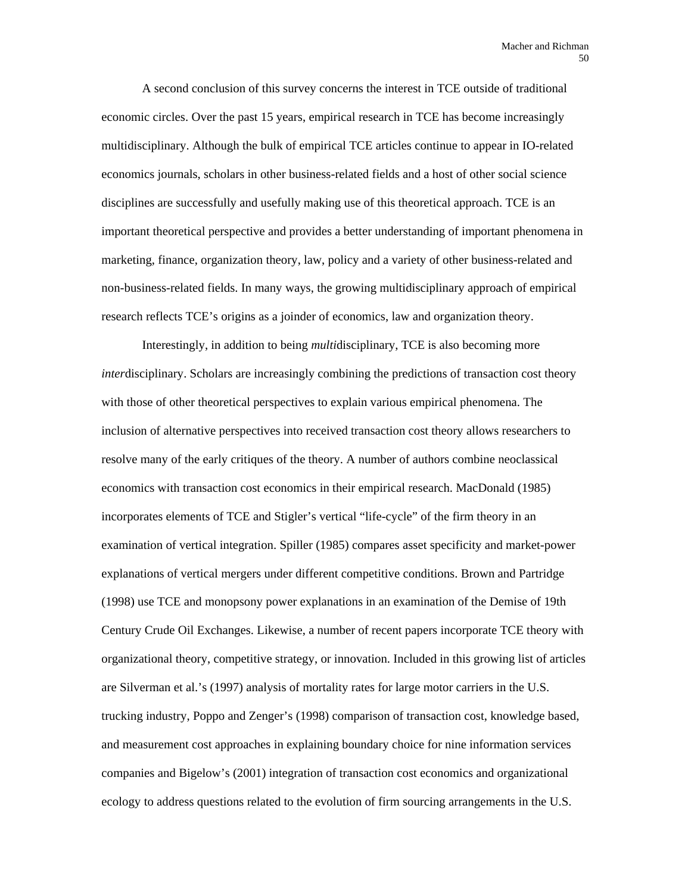A second conclusion of this survey concerns the interest in TCE outside of traditional economic circles. Over the past 15 years, empirical research in TCE has become increasingly multidisciplinary. Although the bulk of empirical TCE articles continue to appear in IO-related economics journals, scholars in other business-related fields and a host of other social science disciplines are successfully and usefully making use of this theoretical approach. TCE is an important theoretical perspective and provides a better understanding of important phenomena in marketing, finance, organization theory, law, policy and a variety of other business-related and non-business-related fields. In many ways, the growing multidisciplinary approach of empirical research reflects TCE's origins as a joinder of economics, law and organization theory.

Interestingly, in addition to being *multi*disciplinary, TCE is also becoming more *inter*disciplinary. Scholars are increasingly combining the predictions of transaction cost theory with those of other theoretical perspectives to explain various empirical phenomena. The inclusion of alternative perspectives into received transaction cost theory allows researchers to resolve many of the early critiques of the theory. A number of authors combine neoclassical economics with transaction cost economics in their empirical research. MacDonald (1985) incorporates elements of TCE and Stigler's vertical "life-cycle" of the firm theory in an examination of vertical integration. Spiller (1985) compares asset specificity and market-power explanations of vertical mergers under different competitive conditions. Brown and Partridge (1998) use TCE and monopsony power explanations in an examination of the Demise of 19th Century Crude Oil Exchanges. Likewise, a number of recent papers incorporate TCE theory with organizational theory, competitive strategy, or innovation. Included in this growing list of articles are Silverman et al.'s (1997) analysis of mortality rates for large motor carriers in the U.S. trucking industry, Poppo and Zenger's (1998) comparison of transaction cost, knowledge based, and measurement cost approaches in explaining boundary choice for nine information services companies and Bigelow's (2001) integration of transaction cost economics and organizational ecology to address questions related to the evolution of firm sourcing arrangements in the U.S.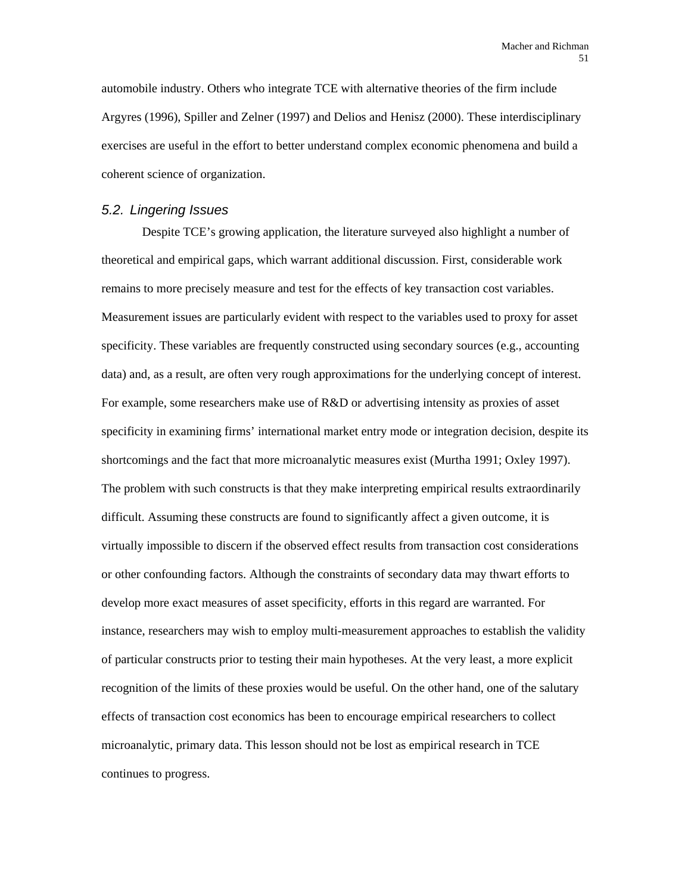automobile industry. Others who integrate TCE with alternative theories of the firm include Argyres (1996), Spiller and Zelner (1997) and Delios and Henisz (2000). These interdisciplinary exercises are useful in the effort to better understand complex economic phenomena and build a coherent science of organization.

### *5.2. Lingering Issues*

Despite TCE's growing application, the literature surveyed also highlight a number of theoretical and empirical gaps, which warrant additional discussion. First, considerable work remains to more precisely measure and test for the effects of key transaction cost variables. Measurement issues are particularly evident with respect to the variables used to proxy for asset specificity. These variables are frequently constructed using secondary sources (e.g., accounting data) and, as a result, are often very rough approximations for the underlying concept of interest. For example, some researchers make use of R&D or advertising intensity as proxies of asset specificity in examining firms' international market entry mode or integration decision, despite its shortcomings and the fact that more microanalytic measures exist (Murtha 1991; Oxley 1997). The problem with such constructs is that they make interpreting empirical results extraordinarily difficult. Assuming these constructs are found to significantly affect a given outcome, it is virtually impossible to discern if the observed effect results from transaction cost considerations or other confounding factors. Although the constraints of secondary data may thwart efforts to develop more exact measures of asset specificity, efforts in this regard are warranted. For instance, researchers may wish to employ multi-measurement approaches to establish the validity of particular constructs prior to testing their main hypotheses. At the very least, a more explicit recognition of the limits of these proxies would be useful. On the other hand, one of the salutary effects of transaction cost economics has been to encourage empirical researchers to collect microanalytic, primary data. This lesson should not be lost as empirical research in TCE continues to progress.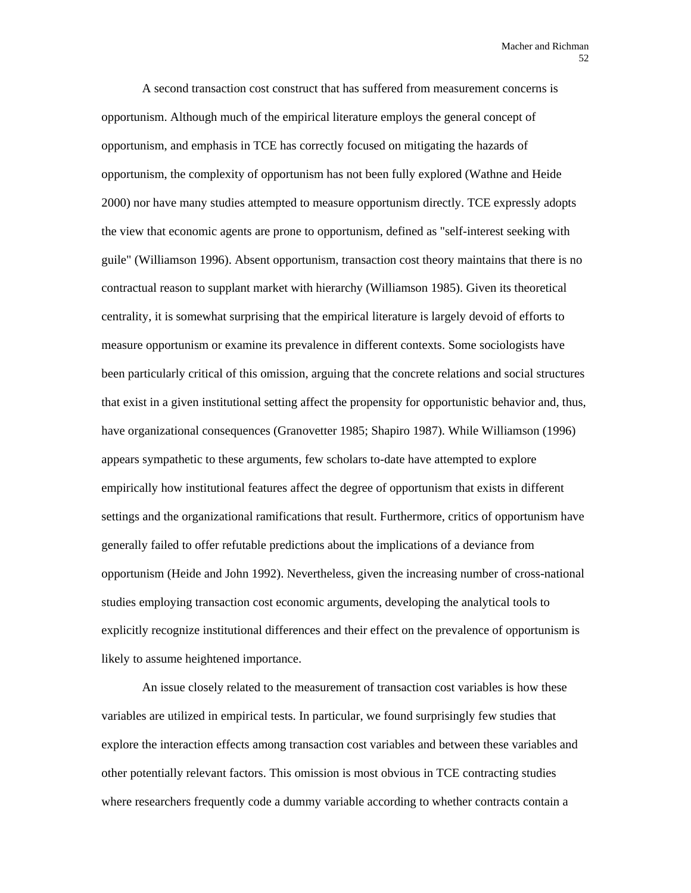A second transaction cost construct that has suffered from measurement concerns is opportunism. Although much of the empirical literature employs the general concept of opportunism, and emphasis in TCE has correctly focused on mitigating the hazards of opportunism, the complexity of opportunism has not been fully explored (Wathne and Heide 2000) nor have many studies attempted to measure opportunism directly. TCE expressly adopts the view that economic agents are prone to opportunism, defined as "self-interest seeking with guile" (Williamson 1996). Absent opportunism, transaction cost theory maintains that there is no contractual reason to supplant market with hierarchy (Williamson 1985). Given its theoretical centrality, it is somewhat surprising that the empirical literature is largely devoid of efforts to measure opportunism or examine its prevalence in different contexts. Some sociologists have been particularly critical of this omission, arguing that the concrete relations and social structures that exist in a given institutional setting affect the propensity for opportunistic behavior and, thus, have organizational consequences (Granovetter 1985; Shapiro 1987). While Williamson (1996) appears sympathetic to these arguments, few scholars to-date have attempted to explore empirically how institutional features affect the degree of opportunism that exists in different settings and the organizational ramifications that result. Furthermore, critics of opportunism have generally failed to offer refutable predictions about the implications of a deviance from opportunism (Heide and John 1992). Nevertheless, given the increasing number of cross-national studies employing transaction cost economic arguments, developing the analytical tools to explicitly recognize institutional differences and their effect on the prevalence of opportunism is likely to assume heightened importance.

An issue closely related to the measurement of transaction cost variables is how these variables are utilized in empirical tests. In particular, we found surprisingly few studies that explore the interaction effects among transaction cost variables and between these variables and other potentially relevant factors. This omission is most obvious in TCE contracting studies where researchers frequently code a dummy variable according to whether contracts contain a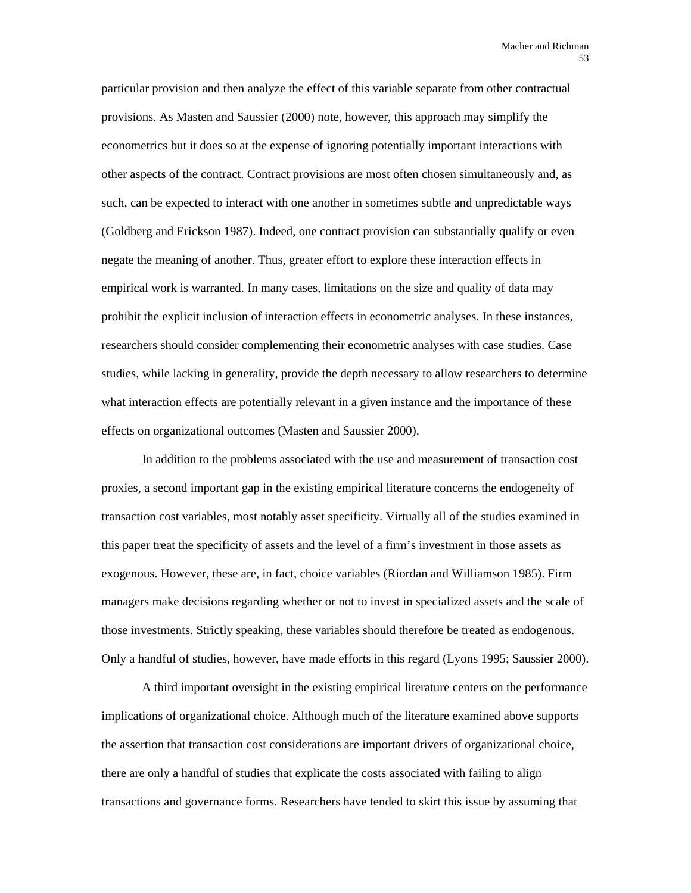particular provision and then analyze the effect of this variable separate from other contractual provisions. As Masten and Saussier (2000) note, however, this approach may simplify the econometrics but it does so at the expense of ignoring potentially important interactions with other aspects of the contract. Contract provisions are most often chosen simultaneously and, as such, can be expected to interact with one another in sometimes subtle and unpredictable ways (Goldberg and Erickson 1987). Indeed, one contract provision can substantially qualify or even negate the meaning of another. Thus, greater effort to explore these interaction effects in empirical work is warranted. In many cases, limitations on the size and quality of data may prohibit the explicit inclusion of interaction effects in econometric analyses. In these instances, researchers should consider complementing their econometric analyses with case studies. Case studies, while lacking in generality, provide the depth necessary to allow researchers to determine what interaction effects are potentially relevant in a given instance and the importance of these effects on organizational outcomes (Masten and Saussier 2000).

In addition to the problems associated with the use and measurement of transaction cost proxies, a second important gap in the existing empirical literature concerns the endogeneity of transaction cost variables, most notably asset specificity. Virtually all of the studies examined in this paper treat the specificity of assets and the level of a firm's investment in those assets as exogenous. However, these are, in fact, choice variables (Riordan and Williamson 1985). Firm managers make decisions regarding whether or not to invest in specialized assets and the scale of those investments. Strictly speaking, these variables should therefore be treated as endogenous. Only a handful of studies, however, have made efforts in this regard (Lyons 1995; Saussier 2000).

A third important oversight in the existing empirical literature centers on the performance implications of organizational choice. Although much of the literature examined above supports the assertion that transaction cost considerations are important drivers of organizational choice, there are only a handful of studies that explicate the costs associated with failing to align transactions and governance forms. Researchers have tended to skirt this issue by assuming that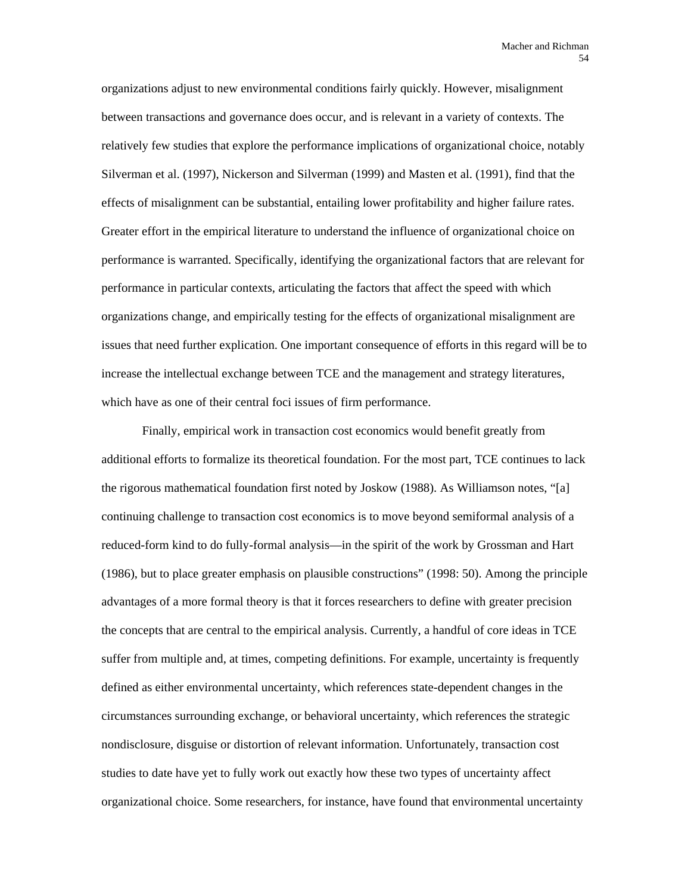organizations adjust to new environmental conditions fairly quickly. However, misalignment between transactions and governance does occur, and is relevant in a variety of contexts. The relatively few studies that explore the performance implications of organizational choice, notably Silverman et al. (1997), Nickerson and Silverman (1999) and Masten et al. (1991), find that the effects of misalignment can be substantial, entailing lower profitability and higher failure rates. Greater effort in the empirical literature to understand the influence of organizational choice on performance is warranted. Specifically, identifying the organizational factors that are relevant for performance in particular contexts, articulating the factors that affect the speed with which organizations change, and empirically testing for the effects of organizational misalignment are issues that need further explication. One important consequence of efforts in this regard will be to increase the intellectual exchange between TCE and the management and strategy literatures, which have as one of their central foci issues of firm performance.

Finally, empirical work in transaction cost economics would benefit greatly from additional efforts to formalize its theoretical foundation. For the most part, TCE continues to lack the rigorous mathematical foundation first noted by Joskow (1988). As Williamson notes, "[a] continuing challenge to transaction cost economics is to move beyond semiformal analysis of a reduced-form kind to do fully-formal analysis—in the spirit of the work by Grossman and Hart (1986), but to place greater emphasis on plausible constructions" (1998: 50). Among the principle advantages of a more formal theory is that it forces researchers to define with greater precision the concepts that are central to the empirical analysis. Currently, a handful of core ideas in TCE suffer from multiple and, at times, competing definitions. For example, uncertainty is frequently defined as either environmental uncertainty, which references state-dependent changes in the circumstances surrounding exchange, or behavioral uncertainty, which references the strategic nondisclosure, disguise or distortion of relevant information. Unfortunately, transaction cost studies to date have yet to fully work out exactly how these two types of uncertainty affect organizational choice. Some researchers, for instance, have found that environmental uncertainty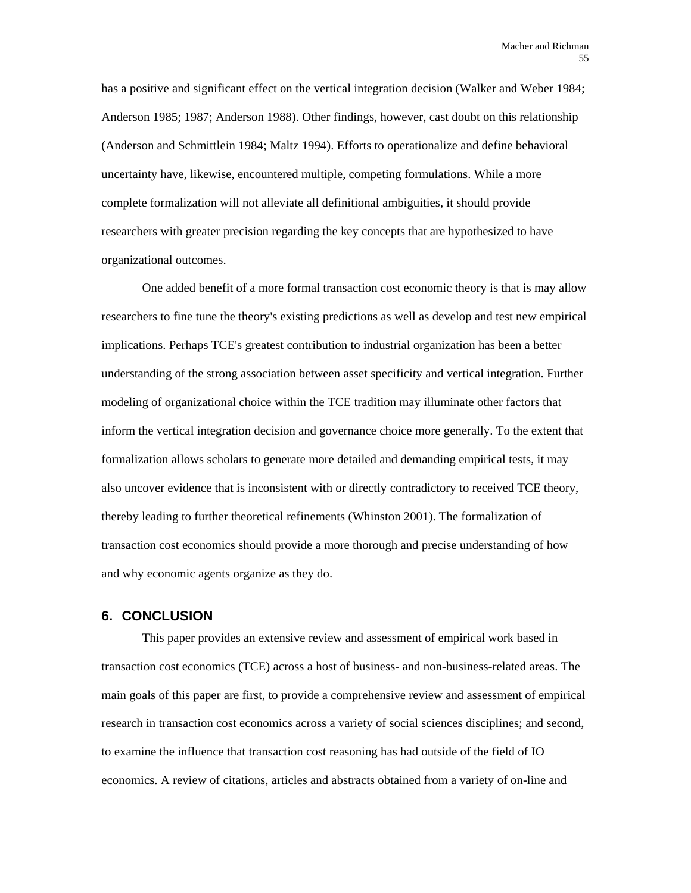has a positive and significant effect on the vertical integration decision (Walker and Weber 1984; Anderson 1985; 1987; Anderson 1988). Other findings, however, cast doubt on this relationship (Anderson and Schmittlein 1984; Maltz 1994). Efforts to operationalize and define behavioral uncertainty have, likewise, encountered multiple, competing formulations. While a more complete formalization will not alleviate all definitional ambiguities, it should provide researchers with greater precision regarding the key concepts that are hypothesized to have organizational outcomes.

One added benefit of a more formal transaction cost economic theory is that is may allow researchers to fine tune the theory's existing predictions as well as develop and test new empirical implications. Perhaps TCE's greatest contribution to industrial organization has been a better understanding of the strong association between asset specificity and vertical integration. Further modeling of organizational choice within the TCE tradition may illuminate other factors that inform the vertical integration decision and governance choice more generally. To the extent that formalization allows scholars to generate more detailed and demanding empirical tests, it may also uncover evidence that is inconsistent with or directly contradictory to received TCE theory, thereby leading to further theoretical refinements (Whinston 2001). The formalization of transaction cost economics should provide a more thorough and precise understanding of how and why economic agents organize as they do.

## **6. CONCLUSION**

This paper provides an extensive review and assessment of empirical work based in transaction cost economics (TCE) across a host of business- and non-business-related areas. The main goals of this paper are first, to provide a comprehensive review and assessment of empirical research in transaction cost economics across a variety of social sciences disciplines; and second, to examine the influence that transaction cost reasoning has had outside of the field of IO economics. A review of citations, articles and abstracts obtained from a variety of on-line and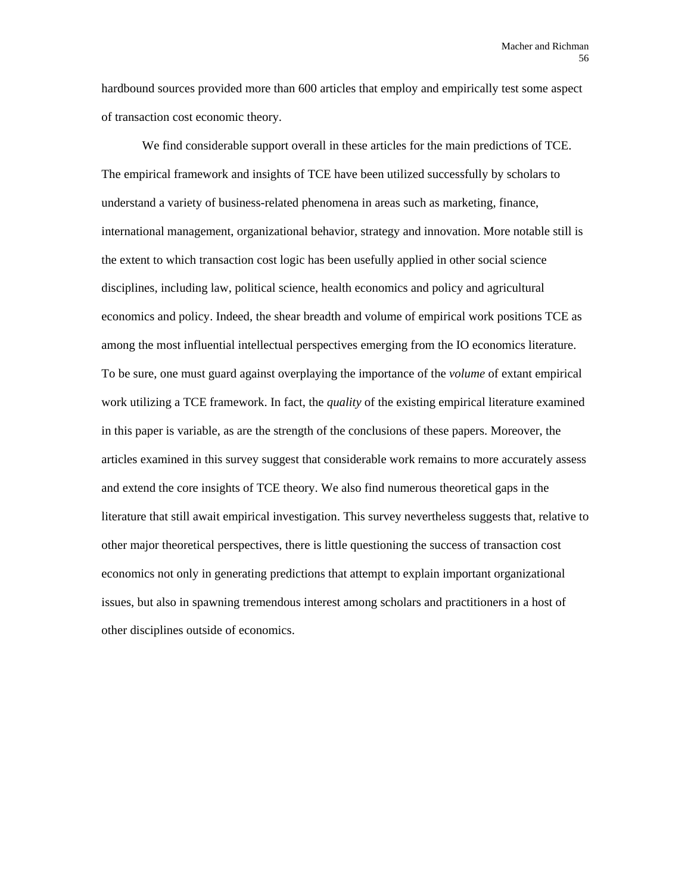hardbound sources provided more than 600 articles that employ and empirically test some aspect of transaction cost economic theory.

We find considerable support overall in these articles for the main predictions of TCE. The empirical framework and insights of TCE have been utilized successfully by scholars to understand a variety of business-related phenomena in areas such as marketing, finance, international management, organizational behavior, strategy and innovation. More notable still is the extent to which transaction cost logic has been usefully applied in other social science disciplines, including law, political science, health economics and policy and agricultural economics and policy. Indeed, the shear breadth and volume of empirical work positions TCE as among the most influential intellectual perspectives emerging from the IO economics literature. To be sure, one must guard against overplaying the importance of the *volume* of extant empirical work utilizing a TCE framework. In fact, the *quality* of the existing empirical literature examined in this paper is variable, as are the strength of the conclusions of these papers. Moreover, the articles examined in this survey suggest that considerable work remains to more accurately assess and extend the core insights of TCE theory. We also find numerous theoretical gaps in the literature that still await empirical investigation. This survey nevertheless suggests that, relative to other major theoretical perspectives, there is little questioning the success of transaction cost economics not only in generating predictions that attempt to explain important organizational issues, but also in spawning tremendous interest among scholars and practitioners in a host of other disciplines outside of economics.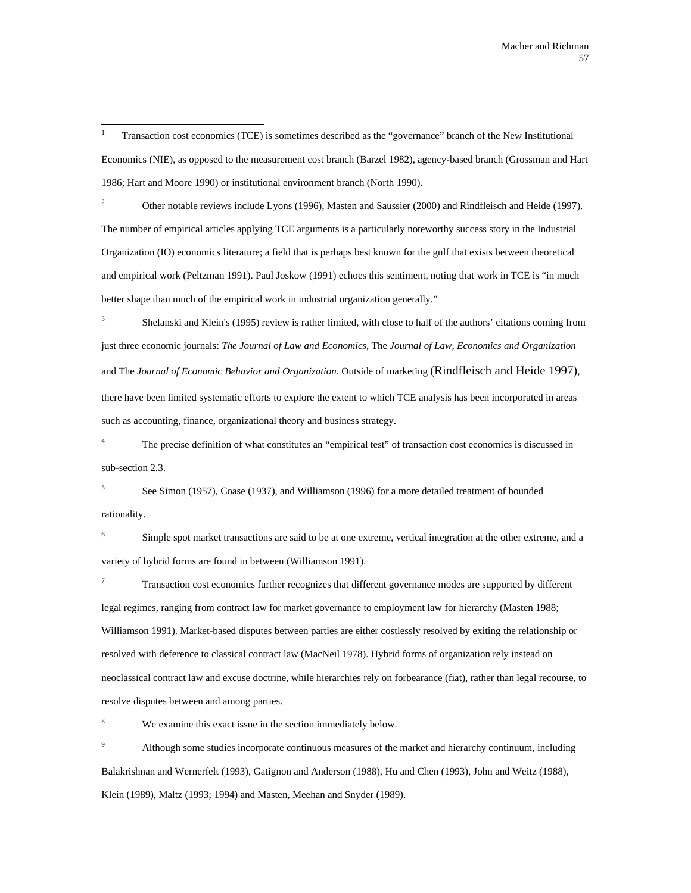$\overline{a}$ 1 Transaction cost economics (TCE) is sometimes described as the "governance" branch of the New Institutional Economics (NIE), as opposed to the measurement cost branch (Barzel 1982), agency-based branch (Grossman and Hart 1986; Hart and Moore 1990) or institutional environment branch (North 1990).

2 Other notable reviews include Lyons (1996), Masten and Saussier (2000) and Rindfleisch and Heide (1997). The number of empirical articles applying TCE arguments is a particularly noteworthy success story in the Industrial Organization (IO) economics literature; a field that is perhaps best known for the gulf that exists between theoretical and empirical work (Peltzman 1991). Paul Joskow (1991) echoes this sentiment, noting that work in TCE is "in much better shape than much of the empirical work in industrial organization generally."

3 Shelanski and Klein's (1995) review is rather limited, with close to half of the authors' citations coming from just three economic journals: *The Journal of Law and Economics*, The *Journal of Law, Economics and Organization* and The *Journal of Economic Behavior and Organization*. Outside of marketing (Rindfleisch and Heide 1997), there have been limited systematic efforts to explore the extent to which TCE analysis has been incorporated in areas such as accounting, finance, organizational theory and business strategy.

4 The precise definition of what constitutes an "empirical test" of transaction cost economics is discussed in sub-section 2.3.

5 See Simon (1957), Coase (1937), and Williamson (1996) for a more detailed treatment of bounded rationality.

6 Simple spot market transactions are said to be at one extreme, vertical integration at the other extreme, and a variety of hybrid forms are found in between (Williamson 1991).

7 Transaction cost economics further recognizes that different governance modes are supported by different legal regimes, ranging from contract law for market governance to employment law for hierarchy (Masten 1988; Williamson 1991). Market-based disputes between parties are either costlessly resolved by exiting the relationship or resolved with deference to classical contract law (MacNeil 1978). Hybrid forms of organization rely instead on neoclassical contract law and excuse doctrine, while hierarchies rely on forbearance (fiat), rather than legal recourse, to resolve disputes between and among parties.

8 We examine this exact issue in the section immediately below.

9 Although some studies incorporate continuous measures of the market and hierarchy continuum, including Balakrishnan and Wernerfelt (1993), Gatignon and Anderson (1988), Hu and Chen (1993), John and Weitz (1988), Klein (1989), Maltz (1993; 1994) and Masten, Meehan and Snyder (1989).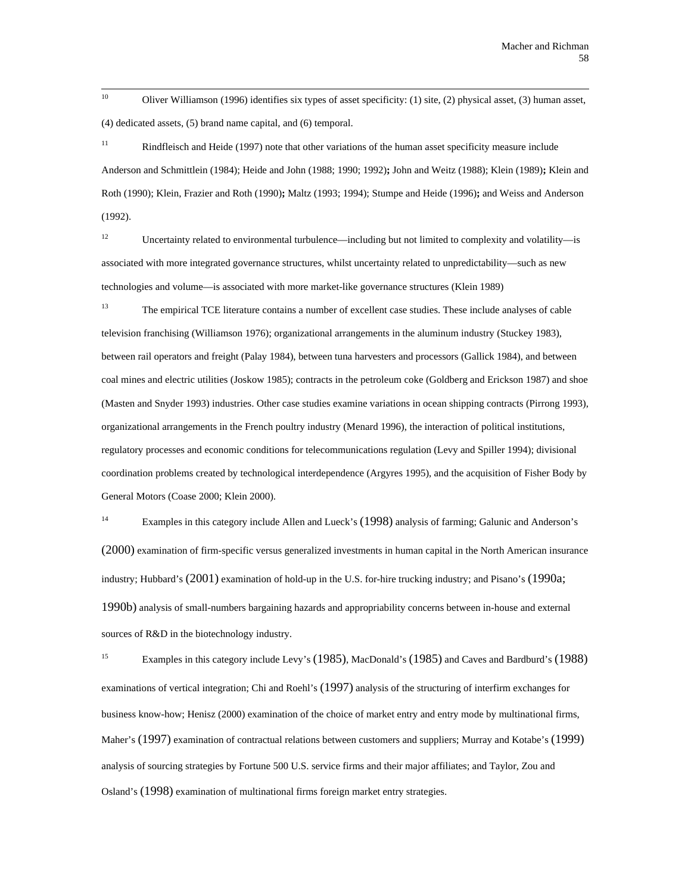$10<sup>10</sup>$ 10 Oliver Williamson (1996) identifies six types of asset specificity: (1) site, (2) physical asset, (3) human asset, (4) dedicated assets, (5) brand name capital, and (6) temporal.

<sup>11</sup> Rindfleisch and Heide (1997) note that other variations of the human asset specificity measure include Anderson and Schmittlein (1984); Heide and John (1988; 1990; 1992)**;** John and Weitz (1988); Klein (1989)**;** Klein and Roth (1990); Klein, Frazier and Roth (1990)**;** Maltz (1993; 1994); Stumpe and Heide (1996)**;** and Weiss and Anderson (1992).

<sup>12</sup> Uncertainty related to environmental turbulence—including but not limited to complexity and volatility—is associated with more integrated governance structures, whilst uncertainty related to unpredictability—such as new technologies and volume—is associated with more market-like governance structures (Klein 1989)

<sup>13</sup> The empirical TCE literature contains a number of excellent case studies. These include analyses of cable television franchising (Williamson 1976); organizational arrangements in the aluminum industry (Stuckey 1983), between rail operators and freight (Palay 1984), between tuna harvesters and processors (Gallick 1984), and between coal mines and electric utilities (Joskow 1985); contracts in the petroleum coke (Goldberg and Erickson 1987) and shoe (Masten and Snyder 1993) industries. Other case studies examine variations in ocean shipping contracts (Pirrong 1993), organizational arrangements in the French poultry industry (Menard 1996), the interaction of political institutions, regulatory processes and economic conditions for telecommunications regulation (Levy and Spiller 1994); divisional coordination problems created by technological interdependence (Argyres 1995), and the acquisition of Fisher Body by General Motors (Coase 2000; Klein 2000).

<sup>14</sup> Examples in this category include Allen and Lueck's (1998) analysis of farming; Galunic and Anderson's (2000) examination of firm-specific versus generalized investments in human capital in the North American insurance industry; Hubbard's (2001) examination of hold-up in the U.S. for-hire trucking industry; and Pisano's (1990a; 1990b) analysis of small-numbers bargaining hazards and appropriability concerns between in-house and external sources of R&D in the biotechnology industry.

<sup>15</sup> Examples in this category include Levy's (1985), MacDonald's (1985) and Caves and Bardburd's (1988) examinations of vertical integration; Chi and Roehl's (1997) analysis of the structuring of interfirm exchanges for business know-how; Henisz (2000) examination of the choice of market entry and entry mode by multinational firms, Maher's (1997) examination of contractual relations between customers and suppliers; Murray and Kotabe's (1999) analysis of sourcing strategies by Fortune 500 U.S. service firms and their major affiliates; and Taylor, Zou and Osland's (1998) examination of multinational firms foreign market entry strategies.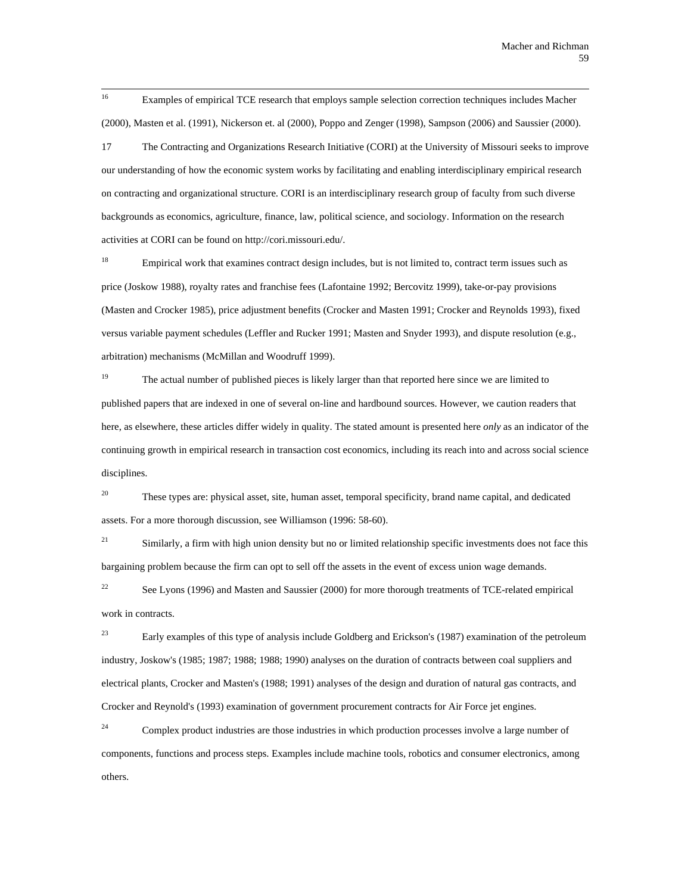16 16 Examples of empirical TCE research that employs sample selection correction techniques includes Macher (2000), Masten et al. (1991), Nickerson et. al (2000), Poppo and Zenger (1998), Sampson (2006) and Saussier (2000). 17 The Contracting and Organizations Research Initiative (CORI) at the University of Missouri seeks to improve

our understanding of how the economic system works by facilitating and enabling interdisciplinary empirical research on contracting and organizational structure. CORI is an interdisciplinary research group of faculty from such diverse backgrounds as economics, agriculture, finance, law, political science, and sociology. Information on the research activities at CORI can be found on http://cori.missouri.edu/.

<sup>18</sup> Empirical work that examines contract design includes, but is not limited to, contract term issues such as price (Joskow 1988), royalty rates and franchise fees (Lafontaine 1992; Bercovitz 1999), take-or-pay provisions (Masten and Crocker 1985), price adjustment benefits (Crocker and Masten 1991; Crocker and Reynolds 1993), fixed versus variable payment schedules (Leffler and Rucker 1991; Masten and Snyder 1993), and dispute resolution (e.g., arbitration) mechanisms (McMillan and Woodruff 1999).

<sup>19</sup> The actual number of published pieces is likely larger than that reported here since we are limited to published papers that are indexed in one of several on-line and hardbound sources. However, we caution readers that here, as elsewhere, these articles differ widely in quality. The stated amount is presented here *only* as an indicator of the continuing growth in empirical research in transaction cost economics, including its reach into and across social science disciplines.

<sup>20</sup> These types are: physical asset, site, human asset, temporal specificity, brand name capital, and dedicated assets. For a more thorough discussion, see Williamson (1996: 58-60).

<sup>21</sup> Similarly, a firm with high union density but no or limited relationship specific investments does not face this bargaining problem because the firm can opt to sell off the assets in the event of excess union wage demands.

<sup>22</sup> See Lyons (1996) and Masten and Saussier (2000) for more thorough treatments of TCE-related empirical work in contracts.

<sup>23</sup> Early examples of this type of analysis include Goldberg and Erickson's (1987) examination of the petroleum industry, Joskow's (1985; 1987; 1988; 1988; 1990) analyses on the duration of contracts between coal suppliers and electrical plants, Crocker and Masten's (1988; 1991) analyses of the design and duration of natural gas contracts, and Crocker and Reynold's (1993) examination of government procurement contracts for Air Force jet engines.

 $24$  Complex product industries are those industries in which production processes involve a large number of components, functions and process steps. Examples include machine tools, robotics and consumer electronics, among others.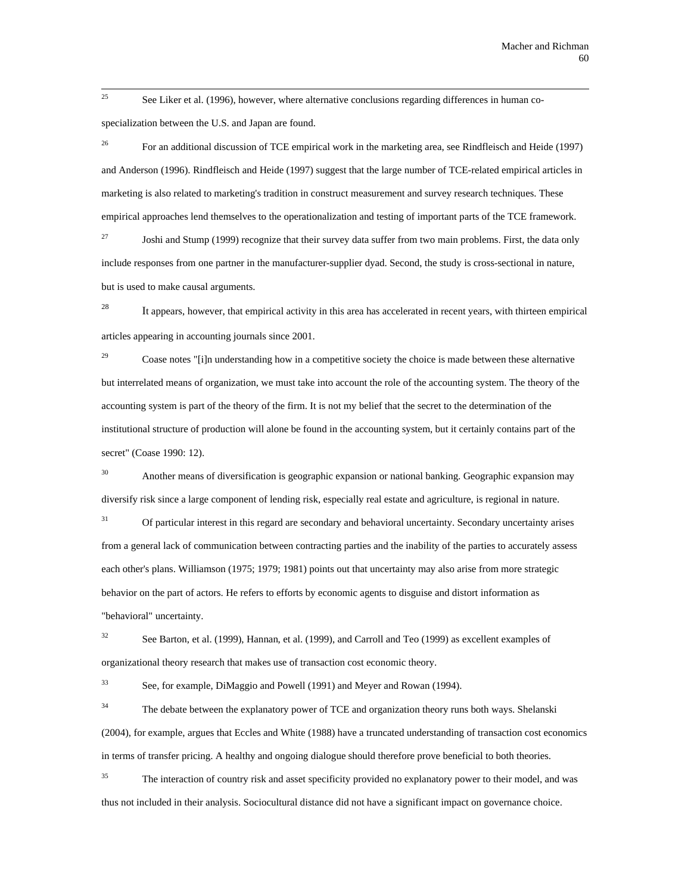$25$ See Liker et al. (1996), however, where alternative conclusions regarding differences in human cospecialization between the U.S. and Japan are found.

<sup>26</sup> For an additional discussion of TCE empirical work in the marketing area, see Rindfleisch and Heide (1997) and Anderson (1996). Rindfleisch and Heide (1997) suggest that the large number of TCE-related empirical articles in marketing is also related to marketing's tradition in construct measurement and survey research techniques. These empirical approaches lend themselves to the operationalization and testing of important parts of the TCE framework.

<sup>27</sup> Joshi and Stump (1999) recognize that their survey data suffer from two main problems. First, the data only include responses from one partner in the manufacturer-supplier dyad. Second, the study is cross-sectional in nature, but is used to make causal arguments.

 $28$  It appears, however, that empirical activity in this area has accelerated in recent years, with thirteen empirical articles appearing in accounting journals since 2001.

 $29$  Coase notes "[i]n understanding how in a competitive society the choice is made between these alternative but interrelated means of organization, we must take into account the role of the accounting system. The theory of the accounting system is part of the theory of the firm. It is not my belief that the secret to the determination of the institutional structure of production will alone be found in the accounting system, but it certainly contains part of the secret" (Coase 1990: 12).

<sup>30</sup> Another means of diversification is geographic expansion or national banking. Geographic expansion may diversify risk since a large component of lending risk, especially real estate and agriculture, is regional in nature.

<sup>31</sup> Of particular interest in this regard are secondary and behavioral uncertainty. Secondary uncertainty arises from a general lack of communication between contracting parties and the inability of the parties to accurately assess each other's plans. Williamson (1975; 1979; 1981) points out that uncertainty may also arise from more strategic behavior on the part of actors. He refers to efforts by economic agents to disguise and distort information as "behavioral" uncertainty.

 $32$  See Barton, et al. (1999), Hannan, et al. (1999), and Carroll and Teo (1999) as excellent examples of organizational theory research that makes use of transaction cost economic theory.

33 See, for example, DiMaggio and Powell (1991) and Meyer and Rowan (1994).

<sup>34</sup> The debate between the explanatory power of TCE and organization theory runs both ways. Shelanski (2004), for example, argues that Eccles and White (1988) have a truncated understanding of transaction cost economics in terms of transfer pricing. A healthy and ongoing dialogue should therefore prove beneficial to both theories.

<sup>35</sup> The interaction of country risk and asset specificity provided no explanatory power to their model, and was thus not included in their analysis. Sociocultural distance did not have a significant impact on governance choice.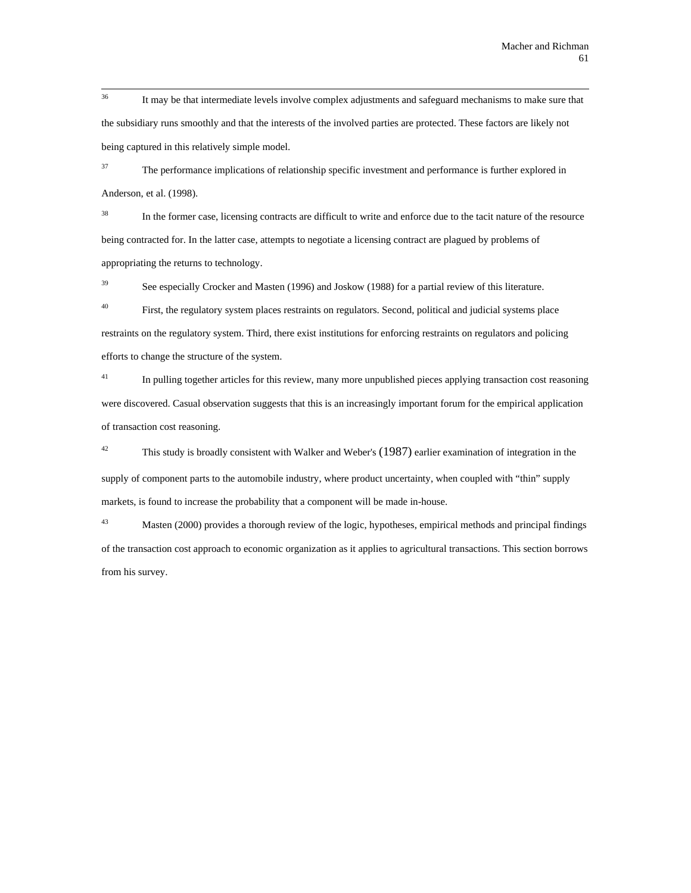$36$ It may be that intermediate levels involve complex adjustments and safeguard mechanisms to make sure that the subsidiary runs smoothly and that the interests of the involved parties are protected. These factors are likely not being captured in this relatively simple model.

<sup>37</sup> The performance implications of relationship specific investment and performance is further explored in Anderson, et al. (1998).

<sup>38</sup> In the former case, licensing contracts are difficult to write and enforce due to the tacit nature of the resource being contracted for. In the latter case, attempts to negotiate a licensing contract are plagued by problems of appropriating the returns to technology.

<sup>39</sup> See especially Crocker and Masten (1996) and Joskow (1988) for a partial review of this literature.

<sup>40</sup> First, the regulatory system places restraints on regulators. Second, political and judicial systems place restraints on the regulatory system. Third, there exist institutions for enforcing restraints on regulators and policing efforts to change the structure of the system.

 $^{41}$  In pulling together articles for this review, many more unpublished pieces applying transaction cost reasoning were discovered. Casual observation suggests that this is an increasingly important forum for the empirical application of transaction cost reasoning.

<sup>42</sup> This study is broadly consistent with Walker and Weber's  $(1987)$  earlier examination of integration in the supply of component parts to the automobile industry, where product uncertainty, when coupled with "thin" supply markets, is found to increase the probability that a component will be made in-house.

<sup>43</sup> Masten (2000) provides a thorough review of the logic, hypotheses, empirical methods and principal findings of the transaction cost approach to economic organization as it applies to agricultural transactions. This section borrows from his survey.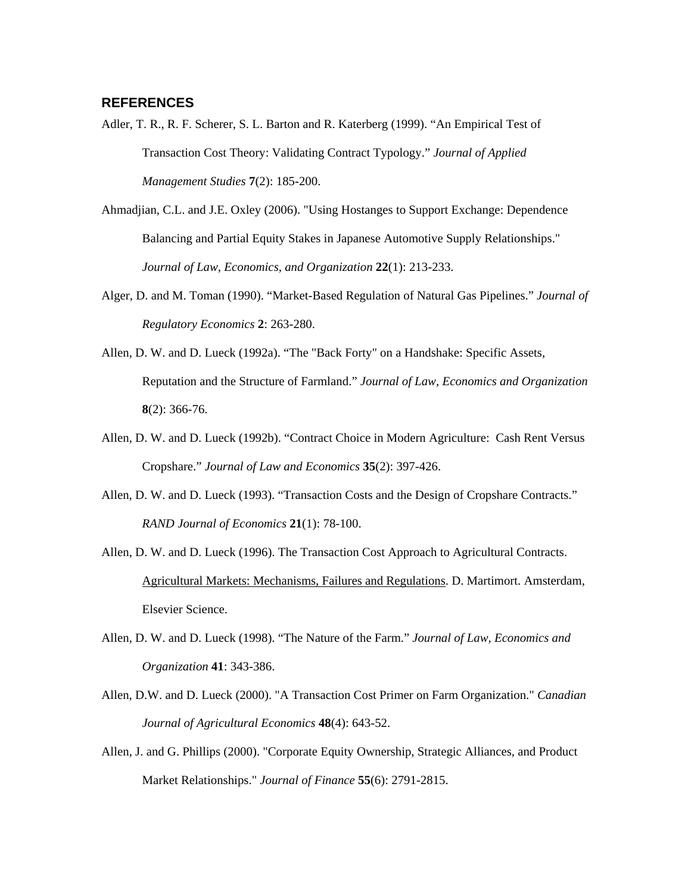# **REFERENCES**

- Adler, T. R., R. F. Scherer, S. L. Barton and R. Katerberg (1999). "An Empirical Test of Transaction Cost Theory: Validating Contract Typology." *Journal of Applied Management Studies* **7**(2): 185-200.
- Ahmadjian, C.L. and J.E. Oxley (2006). "Using Hostanges to Support Exchange: Dependence Balancing and Partial Equity Stakes in Japanese Automotive Supply Relationships." *Journal of Law, Economics, and Organization* **22**(1): 213-233.
- Alger, D. and M. Toman (1990). "Market-Based Regulation of Natural Gas Pipelines." *Journal of Regulatory Economics* **2**: 263-280.
- Allen, D. W. and D. Lueck (1992a). "The "Back Forty" on a Handshake: Specific Assets, Reputation and the Structure of Farmland." *Journal of Law, Economics and Organization* **8**(2): 366-76.
- Allen, D. W. and D. Lueck (1992b). "Contract Choice in Modern Agriculture: Cash Rent Versus Cropshare." *Journal of Law and Economics* **35**(2): 397-426.
- Allen, D. W. and D. Lueck (1993). "Transaction Costs and the Design of Cropshare Contracts." *RAND Journal of Economics* **21**(1): 78-100.
- Allen, D. W. and D. Lueck (1996). The Transaction Cost Approach to Agricultural Contracts. Agricultural Markets: Mechanisms, Failures and Regulations. D. Martimort. Amsterdam, Elsevier Science.
- Allen, D. W. and D. Lueck (1998). "The Nature of the Farm." *Journal of Law, Economics and Organization* **41**: 343-386.
- Allen, D.W. and D. Lueck (2000). "A Transaction Cost Primer on Farm Organization." *Canadian Journal of Agricultural Economics* **48**(4): 643-52.
- Allen, J. and G. Phillips (2000). "Corporate Equity Ownership, Strategic Alliances, and Product Market Relationships." *Journal of Finance* **55**(6): 2791-2815.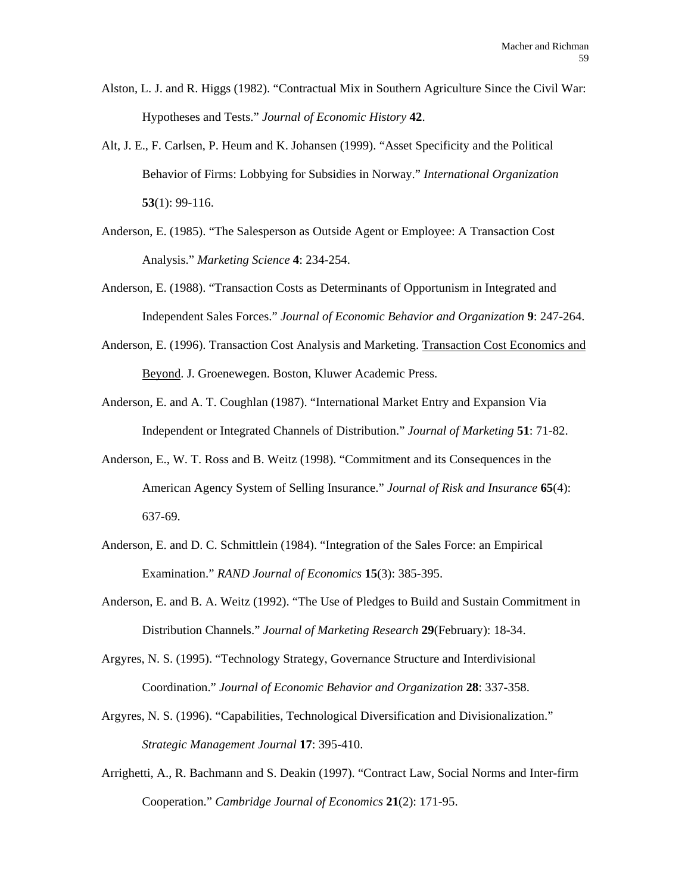- Alston, L. J. and R. Higgs (1982). "Contractual Mix in Southern Agriculture Since the Civil War: Hypotheses and Tests." *Journal of Economic History* **42**.
- Alt, J. E., F. Carlsen, P. Heum and K. Johansen (1999). "Asset Specificity and the Political Behavior of Firms: Lobbying for Subsidies in Norway." *International Organization* **53**(1): 99-116.
- Anderson, E. (1985). "The Salesperson as Outside Agent or Employee: A Transaction Cost Analysis." *Marketing Science* **4**: 234-254.
- Anderson, E. (1988). "Transaction Costs as Determinants of Opportunism in Integrated and Independent Sales Forces." *Journal of Economic Behavior and Organization* **9**: 247-264.
- Anderson, E. (1996). Transaction Cost Analysis and Marketing. Transaction Cost Economics and Beyond. J. Groenewegen. Boston, Kluwer Academic Press.
- Anderson, E. and A. T. Coughlan (1987). "International Market Entry and Expansion Via Independent or Integrated Channels of Distribution." *Journal of Marketing* **51**: 71-82.
- Anderson, E., W. T. Ross and B. Weitz (1998). "Commitment and its Consequences in the American Agency System of Selling Insurance." *Journal of Risk and Insurance* **65**(4): 637-69.
- Anderson, E. and D. C. Schmittlein (1984). "Integration of the Sales Force: an Empirical Examination." *RAND Journal of Economics* **15**(3): 385-395.
- Anderson, E. and B. A. Weitz (1992). "The Use of Pledges to Build and Sustain Commitment in Distribution Channels." *Journal of Marketing Research* **29**(February): 18-34.
- Argyres, N. S. (1995). "Technology Strategy, Governance Structure and Interdivisional Coordination." *Journal of Economic Behavior and Organization* **28**: 337-358.
- Argyres, N. S. (1996). "Capabilities, Technological Diversification and Divisionalization." *Strategic Management Journal* **17**: 395-410.
- Arrighetti, A., R. Bachmann and S. Deakin (1997). "Contract Law, Social Norms and Inter-firm Cooperation." *Cambridge Journal of Economics* **21**(2): 171-95.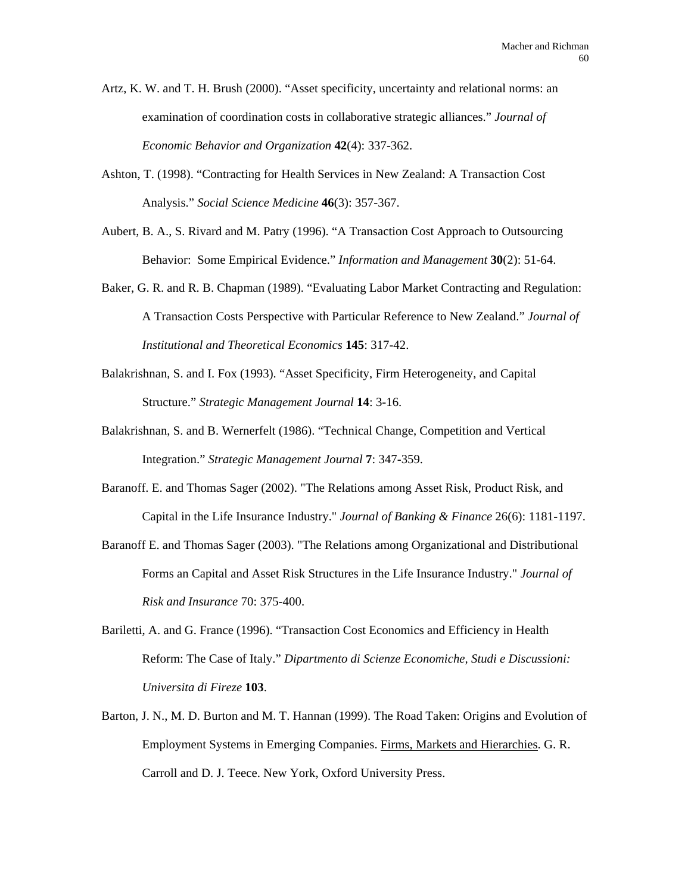- Artz, K. W. and T. H. Brush (2000). "Asset specificity, uncertainty and relational norms: an examination of coordination costs in collaborative strategic alliances." *Journal of Economic Behavior and Organization* **42**(4): 337-362.
- Ashton, T. (1998). "Contracting for Health Services in New Zealand: A Transaction Cost Analysis." *Social Science Medicine* **46**(3): 357-367.
- Aubert, B. A., S. Rivard and M. Patry (1996). "A Transaction Cost Approach to Outsourcing Behavior: Some Empirical Evidence." *Information and Management* **30**(2): 51-64.
- Baker, G. R. and R. B. Chapman (1989). "Evaluating Labor Market Contracting and Regulation: A Transaction Costs Perspective with Particular Reference to New Zealand." *Journal of Institutional and Theoretical Economics* **145**: 317-42.
- Balakrishnan, S. and I. Fox (1993). "Asset Specificity, Firm Heterogeneity, and Capital Structure." *Strategic Management Journal* **14**: 3-16.
- Balakrishnan, S. and B. Wernerfelt (1986). "Technical Change, Competition and Vertical Integration." *Strategic Management Journal* **7**: 347-359.
- Baranoff. E. and Thomas Sager (2002). "The Relations among Asset Risk, Product Risk, and Capital in the Life Insurance Industry." *Journal of Banking & Finance* 26(6): 1181-1197.
- Baranoff E. and Thomas Sager (2003). "The Relations among Organizational and Distributional Forms an Capital and Asset Risk Structures in the Life Insurance Industry." *Journal of Risk and Insurance* 70: 375-400.
- Bariletti, A. and G. France (1996). "Transaction Cost Economics and Efficiency in Health Reform: The Case of Italy." *Dipartmento di Scienze Economiche, Studi e Discussioni: Universita di Fireze* **103**.
- Barton, J. N., M. D. Burton and M. T. Hannan (1999). The Road Taken: Origins and Evolution of Employment Systems in Emerging Companies. Firms, Markets and Hierarchies. G. R. Carroll and D. J. Teece. New York, Oxford University Press.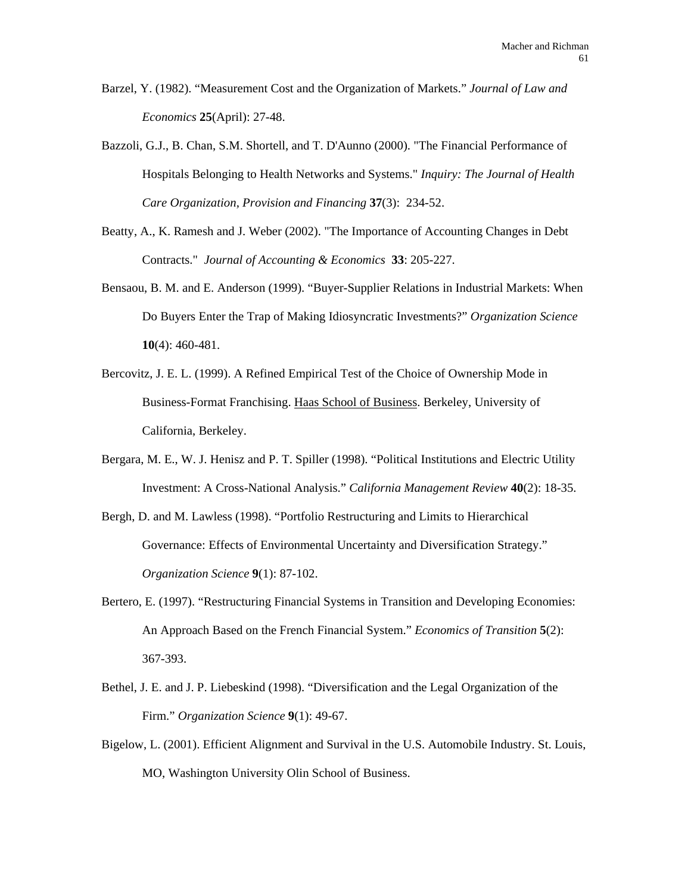- Barzel, Y. (1982). "Measurement Cost and the Organization of Markets." *Journal of Law and Economics* **25**(April): 27-48.
- Bazzoli, G.J., B. Chan, S.M. Shortell, and T. D'Aunno (2000). "The Financial Performance of Hospitals Belonging to Health Networks and Systems." *Inquiry: The Journal of Health Care Organization, Provision and Financing* **37**(3): 234-52.
- Beatty, A., K. Ramesh and J. Weber (2002). "The Importance of Accounting Changes in Debt Contracts." *Journal of Accounting & Economics* **33**: 205-227.
- Bensaou, B. M. and E. Anderson (1999). "Buyer-Supplier Relations in Industrial Markets: When Do Buyers Enter the Trap of Making Idiosyncratic Investments?" *Organization Science* **10**(4): 460-481.
- Bercovitz, J. E. L. (1999). A Refined Empirical Test of the Choice of Ownership Mode in Business-Format Franchising. Haas School of Business. Berkeley, University of California, Berkeley.
- Bergara, M. E., W. J. Henisz and P. T. Spiller (1998). "Political Institutions and Electric Utility Investment: A Cross-National Analysis." *California Management Review* **40**(2): 18-35.
- Bergh, D. and M. Lawless (1998). "Portfolio Restructuring and Limits to Hierarchical Governance: Effects of Environmental Uncertainty and Diversification Strategy." *Organization Science* **9**(1): 87-102.
- Bertero, E. (1997). "Restructuring Financial Systems in Transition and Developing Economies: An Approach Based on the French Financial System." *Economics of Transition* **5**(2): 367-393.
- Bethel, J. E. and J. P. Liebeskind (1998). "Diversification and the Legal Organization of the Firm." *Organization Science* **9**(1): 49-67.
- Bigelow, L. (2001). Efficient Alignment and Survival in the U.S. Automobile Industry. St. Louis, MO, Washington University Olin School of Business.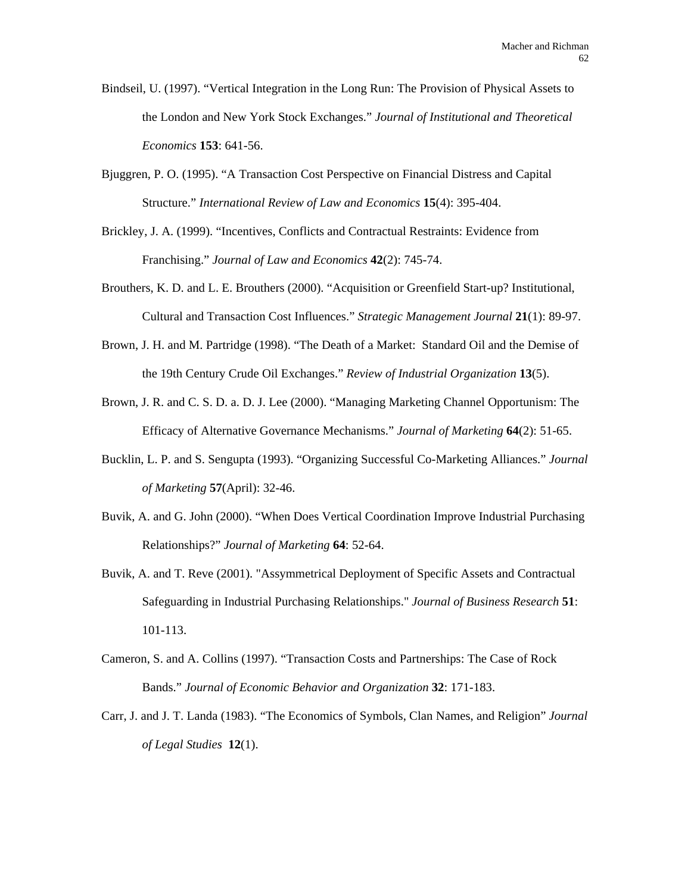- Bindseil, U. (1997). "Vertical Integration in the Long Run: The Provision of Physical Assets to the London and New York Stock Exchanges." *Journal of Institutional and Theoretical Economics* **153**: 641-56.
- Bjuggren, P. O. (1995). "A Transaction Cost Perspective on Financial Distress and Capital Structure." *International Review of Law and Economics* **15**(4): 395-404.
- Brickley, J. A. (1999). "Incentives, Conflicts and Contractual Restraints: Evidence from Franchising." *Journal of Law and Economics* **42**(2): 745-74.
- Brouthers, K. D. and L. E. Brouthers (2000). "Acquisition or Greenfield Start-up? Institutional, Cultural and Transaction Cost Influences." *Strategic Management Journal* **21**(1): 89-97.
- Brown, J. H. and M. Partridge (1998). "The Death of a Market: Standard Oil and the Demise of the 19th Century Crude Oil Exchanges." *Review of Industrial Organization* **13**(5).
- Brown, J. R. and C. S. D. a. D. J. Lee (2000). "Managing Marketing Channel Opportunism: The Efficacy of Alternative Governance Mechanisms." *Journal of Marketing* **64**(2): 51-65.
- Bucklin, L. P. and S. Sengupta (1993). "Organizing Successful Co-Marketing Alliances." *Journal of Marketing* **57**(April): 32-46.
- Buvik, A. and G. John (2000). "When Does Vertical Coordination Improve Industrial Purchasing Relationships?" *Journal of Marketing* **64**: 52-64.
- Buvik, A. and T. Reve (2001). "Assymmetrical Deployment of Specific Assets and Contractual Safeguarding in Industrial Purchasing Relationships." *Journal of Business Research* **51**: 101-113.
- Cameron, S. and A. Collins (1997). "Transaction Costs and Partnerships: The Case of Rock Bands." *Journal of Economic Behavior and Organization* **32**: 171-183.
- Carr, J. and J. T. Landa (1983). "The Economics of Symbols, Clan Names, and Religion" *Journal of Legal Studies* **12**(1).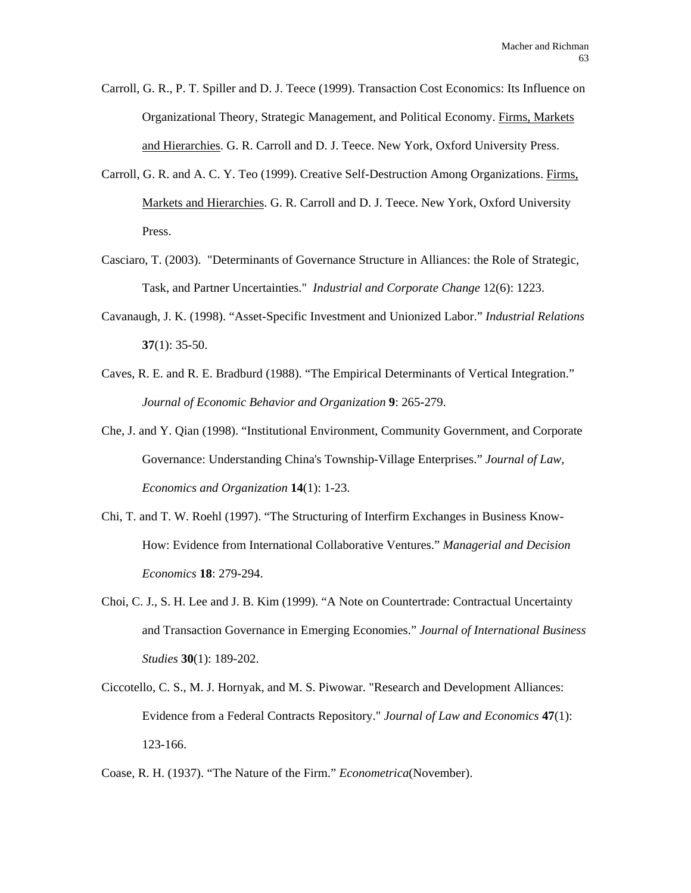- Carroll, G. R., P. T. Spiller and D. J. Teece (1999). Transaction Cost Economics: Its Influence on Organizational Theory, Strategic Management, and Political Economy. Firms, Markets and Hierarchies. G. R. Carroll and D. J. Teece. New York, Oxford University Press.
- Carroll, G. R. and A. C. Y. Teo (1999). Creative Self-Destruction Among Organizations. Firms, Markets and Hierarchies. G. R. Carroll and D. J. Teece. New York, Oxford University Press.
- Casciaro, T. (2003). "Determinants of Governance Structure in Alliances: the Role of Strategic, Task, and Partner Uncertainties." *Industrial and Corporate Change* 12(6): 1223.
- Cavanaugh, J. K. (1998). "Asset-Specific Investment and Unionized Labor." *Industrial Relations* **37**(1): 35-50.
- Caves, R. E. and R. E. Bradburd (1988). "The Empirical Determinants of Vertical Integration." *Journal of Economic Behavior and Organization* **9**: 265-279.
- Che, J. and Y. Qian (1998). "Institutional Environment, Community Government, and Corporate Governance: Understanding China's Township-Village Enterprises." *Journal of Law, Economics and Organization* **14**(1): 1-23.
- Chi, T. and T. W. Roehl (1997). "The Structuring of Interfirm Exchanges in Business Know-How: Evidence from International Collaborative Ventures." *Managerial and Decision Economics* **18**: 279-294.
- Choi, C. J., S. H. Lee and J. B. Kim (1999). "A Note on Countertrade: Contractual Uncertainty and Transaction Governance in Emerging Economies." *Journal of International Business Studies* **30**(1): 189-202.
- Ciccotello, C. S., M. J. Hornyak, and M. S. Piwowar. "Research and Development Alliances: Evidence from a Federal Contracts Repository." *Journal of Law and Economics* **47**(1): 123-166.

Coase, R. H. (1937). "The Nature of the Firm." *Econometrica*(November).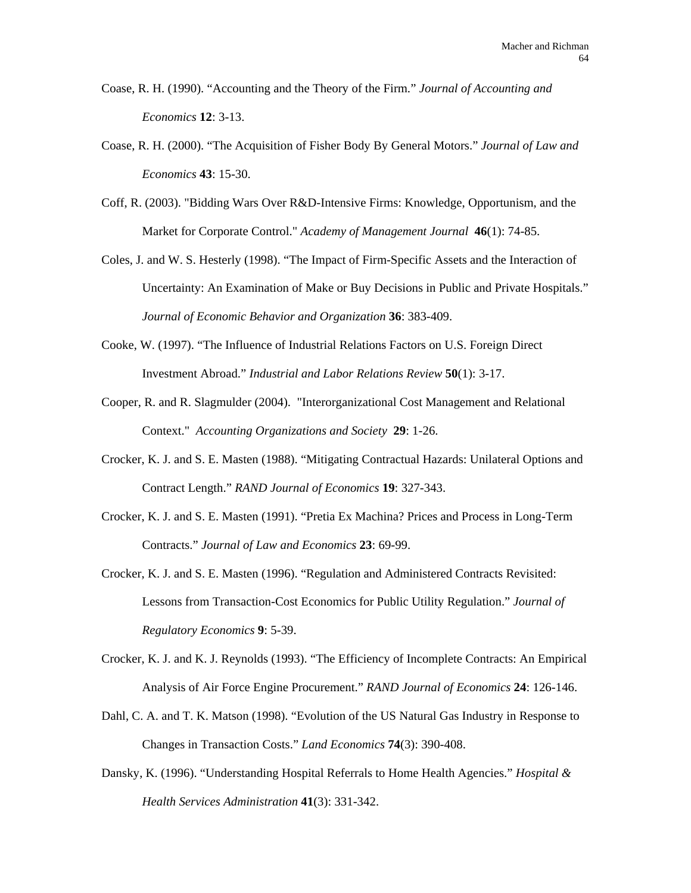- Coase, R. H. (1990). "Accounting and the Theory of the Firm." *Journal of Accounting and Economics* **12**: 3-13.
- Coase, R. H. (2000). "The Acquisition of Fisher Body By General Motors." *Journal of Law and Economics* **43**: 15-30.
- Coff, R. (2003). "Bidding Wars Over R&D-Intensive Firms: Knowledge, Opportunism, and the Market for Corporate Control." *Academy of Management Journal* **46**(1): 74-85.
- Coles, J. and W. S. Hesterly (1998). "The Impact of Firm-Specific Assets and the Interaction of Uncertainty: An Examination of Make or Buy Decisions in Public and Private Hospitals." *Journal of Economic Behavior and Organization* **36**: 383-409.
- Cooke, W. (1997). "The Influence of Industrial Relations Factors on U.S. Foreign Direct Investment Abroad." *Industrial and Labor Relations Review* **50**(1): 3-17.
- Cooper, R. and R. Slagmulder (2004). "Interorganizational Cost Management and Relational Context." *Accounting Organizations and Society* **29**: 1-26.
- Crocker, K. J. and S. E. Masten (1988). "Mitigating Contractual Hazards: Unilateral Options and Contract Length." *RAND Journal of Economics* **19**: 327-343.
- Crocker, K. J. and S. E. Masten (1991). "Pretia Ex Machina? Prices and Process in Long-Term Contracts." *Journal of Law and Economics* **23**: 69-99.
- Crocker, K. J. and S. E. Masten (1996). "Regulation and Administered Contracts Revisited: Lessons from Transaction-Cost Economics for Public Utility Regulation." *Journal of Regulatory Economics* **9**: 5-39.
- Crocker, K. J. and K. J. Reynolds (1993). "The Efficiency of Incomplete Contracts: An Empirical Analysis of Air Force Engine Procurement." *RAND Journal of Economics* **24**: 126-146.
- Dahl, C. A. and T. K. Matson (1998). "Evolution of the US Natural Gas Industry in Response to Changes in Transaction Costs." *Land Economics* **74**(3): 390-408.
- Dansky, K. (1996). "Understanding Hospital Referrals to Home Health Agencies." *Hospital & Health Services Administration* **41**(3): 331-342.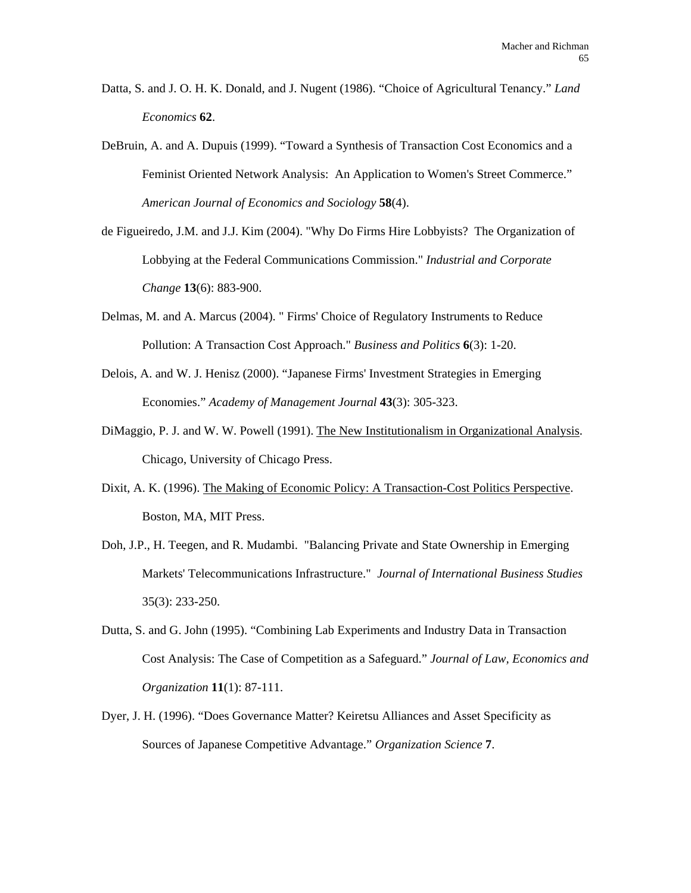- Datta, S. and J. O. H. K. Donald, and J. Nugent (1986). "Choice of Agricultural Tenancy." *Land Economics* **62**.
- DeBruin, A. and A. Dupuis (1999). "Toward a Synthesis of Transaction Cost Economics and a Feminist Oriented Network Analysis: An Application to Women's Street Commerce." *American Journal of Economics and Sociology* **58**(4).
- de Figueiredo, J.M. and J.J. Kim (2004). "Why Do Firms Hire Lobbyists? The Organization of Lobbying at the Federal Communications Commission." *Industrial and Corporate Change* **13**(6): 883-900.
- Delmas, M. and A. Marcus (2004). " Firms' Choice of Regulatory Instruments to Reduce Pollution: A Transaction Cost Approach." *Business and Politics* **6**(3): 1-20.
- Delois, A. and W. J. Henisz (2000). "Japanese Firms' Investment Strategies in Emerging Economies." *Academy of Management Journal* **43**(3): 305-323.
- DiMaggio, P. J. and W. W. Powell (1991). The New Institutionalism in Organizational Analysis. Chicago, University of Chicago Press.
- Dixit, A. K. (1996). The Making of Economic Policy: A Transaction-Cost Politics Perspective. Boston, MA, MIT Press.
- Doh, J.P., H. Teegen, and R. Mudambi. "Balancing Private and State Ownership in Emerging Markets' Telecommunications Infrastructure." *Journal of International Business Studies*  35(3): 233-250.
- Dutta, S. and G. John (1995). "Combining Lab Experiments and Industry Data in Transaction Cost Analysis: The Case of Competition as a Safeguard." *Journal of Law, Economics and Organization* **11**(1): 87-111.
- Dyer, J. H. (1996). "Does Governance Matter? Keiretsu Alliances and Asset Specificity as Sources of Japanese Competitive Advantage." *Organization Science* **7**.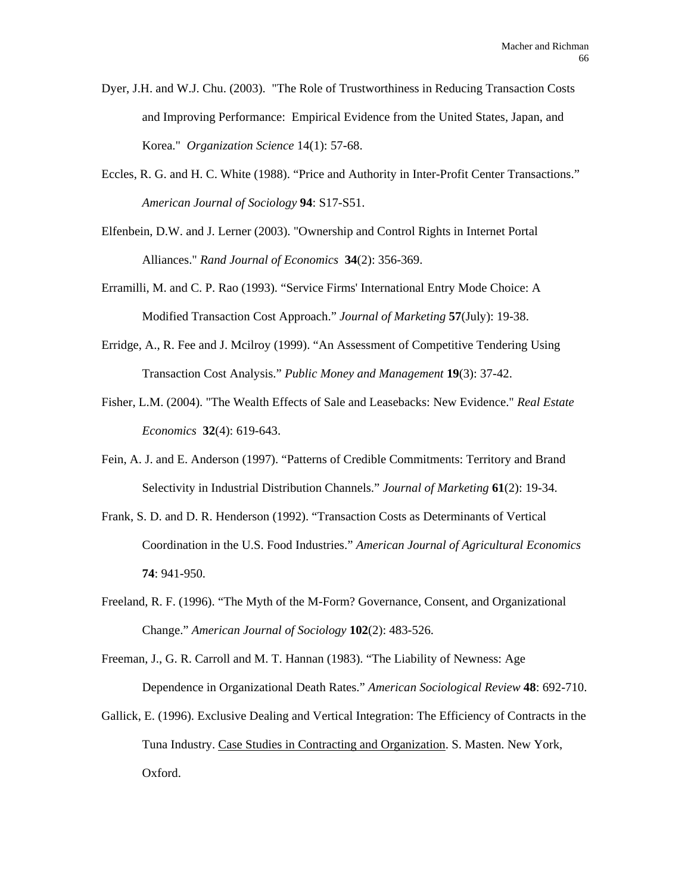- Dyer, J.H. and W.J. Chu. (2003). "The Role of Trustworthiness in Reducing Transaction Costs and Improving Performance: Empirical Evidence from the United States, Japan, and Korea." *Organization Science* 14(1): 57-68.
- Eccles, R. G. and H. C. White (1988). "Price and Authority in Inter-Profit Center Transactions." *American Journal of Sociology* **94**: S17-S51.
- Elfenbein, D.W. and J. Lerner (2003). "Ownership and Control Rights in Internet Portal Alliances." *Rand Journal of Economics* **34**(2): 356-369.
- Erramilli, M. and C. P. Rao (1993). "Service Firms' International Entry Mode Choice: A Modified Transaction Cost Approach." *Journal of Marketing* **57**(July): 19-38.
- Erridge, A., R. Fee and J. Mcilroy (1999). "An Assessment of Competitive Tendering Using Transaction Cost Analysis." *Public Money and Management* **19**(3): 37-42.
- Fisher, L.M. (2004). "The Wealth Effects of Sale and Leasebacks: New Evidence." *Real Estate Economics* **32**(4): 619-643.
- Fein, A. J. and E. Anderson (1997). "Patterns of Credible Commitments: Territory and Brand Selectivity in Industrial Distribution Channels." *Journal of Marketing* **61**(2): 19-34.
- Frank, S. D. and D. R. Henderson (1992). "Transaction Costs as Determinants of Vertical Coordination in the U.S. Food Industries." *American Journal of Agricultural Economics* **74**: 941-950.
- Freeland, R. F. (1996). "The Myth of the M-Form? Governance, Consent, and Organizational Change." *American Journal of Sociology* **102**(2): 483-526.

Freeman, J., G. R. Carroll and M. T. Hannan (1983). "The Liability of Newness: Age Dependence in Organizational Death Rates." *American Sociological Review* **48**: 692-710.

Gallick, E. (1996). Exclusive Dealing and Vertical Integration: The Efficiency of Contracts in the Tuna Industry. Case Studies in Contracting and Organization. S. Masten. New York, Oxford.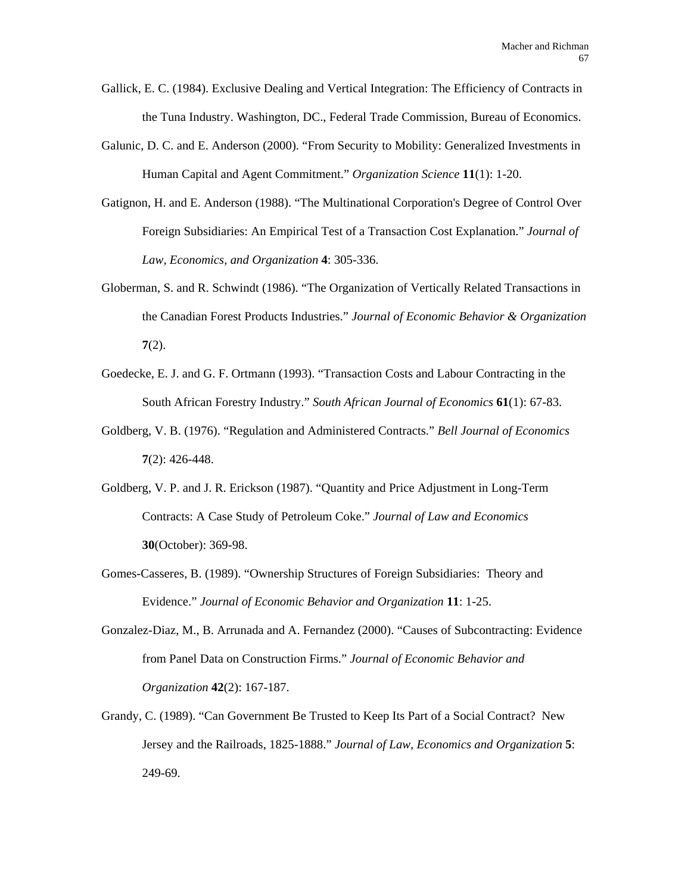- Gallick, E. C. (1984). Exclusive Dealing and Vertical Integration: The Efficiency of Contracts in the Tuna Industry. Washington, DC., Federal Trade Commission, Bureau of Economics.
- Galunic, D. C. and E. Anderson (2000). "From Security to Mobility: Generalized Investments in Human Capital and Agent Commitment." *Organization Science* **11**(1): 1-20.
- Gatignon, H. and E. Anderson (1988). "The Multinational Corporation's Degree of Control Over Foreign Subsidiaries: An Empirical Test of a Transaction Cost Explanation." *Journal of Law, Economics, and Organization* **4**: 305-336.
- Globerman, S. and R. Schwindt (1986). "The Organization of Vertically Related Transactions in the Canadian Forest Products Industries." *Journal of Economic Behavior & Organization* **7**(2).
- Goedecke, E. J. and G. F. Ortmann (1993). "Transaction Costs and Labour Contracting in the South African Forestry Industry." *South African Journal of Economics* **61**(1): 67-83.
- Goldberg, V. B. (1976). "Regulation and Administered Contracts." *Bell Journal of Economics* **7**(2): 426-448.
- Goldberg, V. P. and J. R. Erickson (1987). "Quantity and Price Adjustment in Long-Term Contracts: A Case Study of Petroleum Coke." *Journal of Law and Economics* **30**(October): 369-98.
- Gomes-Casseres, B. (1989). "Ownership Structures of Foreign Subsidiaries: Theory and Evidence." *Journal of Economic Behavior and Organization* **11**: 1-25.
- Gonzalez-Diaz, M., B. Arrunada and A. Fernandez (2000). "Causes of Subcontracting: Evidence from Panel Data on Construction Firms." *Journal of Economic Behavior and Organization* **42**(2): 167-187.
- Grandy, C. (1989). "Can Government Be Trusted to Keep Its Part of a Social Contract? New Jersey and the Railroads, 1825-1888." *Journal of Law, Economics and Organization* **5**: 249-69.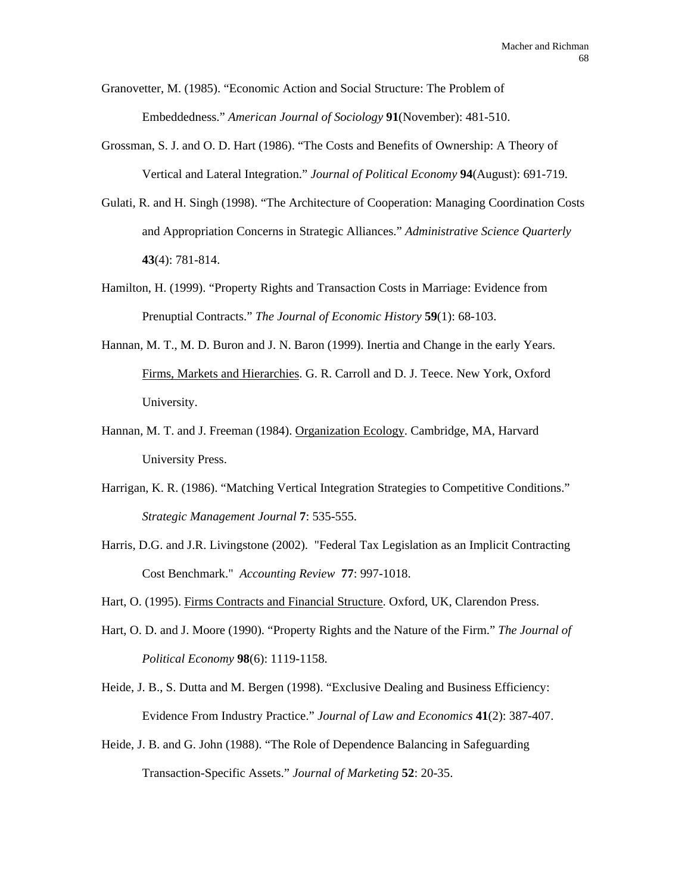Granovetter, M. (1985). "Economic Action and Social Structure: The Problem of Embeddedness." *American Journal of Sociology* **91**(November): 481-510.

- Grossman, S. J. and O. D. Hart (1986). "The Costs and Benefits of Ownership: A Theory of Vertical and Lateral Integration." *Journal of Political Economy* **94**(August): 691-719.
- Gulati, R. and H. Singh (1998). "The Architecture of Cooperation: Managing Coordination Costs and Appropriation Concerns in Strategic Alliances." *Administrative Science Quarterly* **43**(4): 781-814.
- Hamilton, H. (1999). "Property Rights and Transaction Costs in Marriage: Evidence from Prenuptial Contracts." *The Journal of Economic History* **59**(1): 68-103.
- Hannan, M. T., M. D. Buron and J. N. Baron (1999). Inertia and Change in the early Years. Firms, Markets and Hierarchies. G. R. Carroll and D. J. Teece. New York, Oxford University.
- Hannan, M. T. and J. Freeman (1984). Organization Ecology. Cambridge, MA, Harvard University Press.
- Harrigan, K. R. (1986). "Matching Vertical Integration Strategies to Competitive Conditions." *Strategic Management Journal* **7**: 535-555.
- Harris, D.G. and J.R. Livingstone (2002). "Federal Tax Legislation as an Implicit Contracting Cost Benchmark." *Accounting Review* **77**: 997-1018.
- Hart, O. (1995). Firms Contracts and Financial Structure. Oxford, UK, Clarendon Press.
- Hart, O. D. and J. Moore (1990). "Property Rights and the Nature of the Firm." *The Journal of Political Economy* **98**(6): 1119-1158.
- Heide, J. B., S. Dutta and M. Bergen (1998). "Exclusive Dealing and Business Efficiency: Evidence From Industry Practice." *Journal of Law and Economics* **41**(2): 387-407.
- Heide, J. B. and G. John (1988). "The Role of Dependence Balancing in Safeguarding Transaction-Specific Assets." *Journal of Marketing* **52**: 20-35.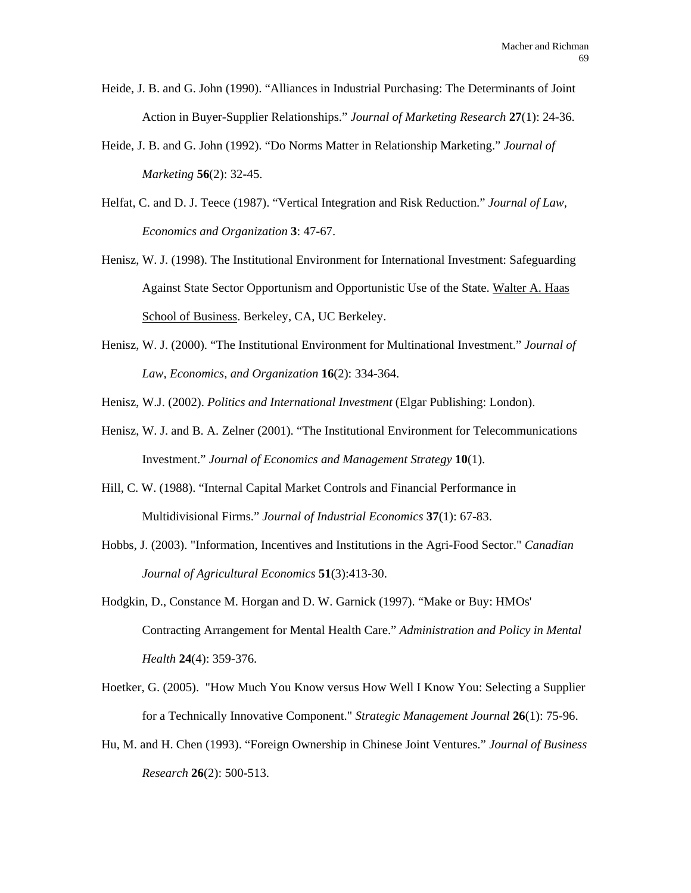- Heide, J. B. and G. John (1990). "Alliances in Industrial Purchasing: The Determinants of Joint Action in Buyer-Supplier Relationships." *Journal of Marketing Research* **27**(1): 24-36.
- Heide, J. B. and G. John (1992). "Do Norms Matter in Relationship Marketing." *Journal of Marketing* **56**(2): 32-45.
- Helfat, C. and D. J. Teece (1987). "Vertical Integration and Risk Reduction." *Journal of Law, Economics and Organization* **3**: 47-67.
- Henisz, W. J. (1998). The Institutional Environment for International Investment: Safeguarding Against State Sector Opportunism and Opportunistic Use of the State. Walter A. Haas School of Business. Berkeley, CA, UC Berkeley.
- Henisz, W. J. (2000). "The Institutional Environment for Multinational Investment." *Journal of Law, Economics, and Organization* **16**(2): 334-364.
- Henisz, W.J. (2002). *Politics and International Investment* (Elgar Publishing: London).
- Henisz, W. J. and B. A. Zelner (2001). "The Institutional Environment for Telecommunications Investment." *Journal of Economics and Management Strategy* **10**(1).
- Hill, C. W. (1988). "Internal Capital Market Controls and Financial Performance in Multidivisional Firms." *Journal of Industrial Economics* **37**(1): 67-83.
- Hobbs, J. (2003). "Information, Incentives and Institutions in the Agri-Food Sector." *Canadian Journal of Agricultural Economics* **51**(3):413-30.
- Hodgkin, D., Constance M. Horgan and D. W. Garnick (1997). "Make or Buy: HMOs' Contracting Arrangement for Mental Health Care." *Administration and Policy in Mental Health* **24**(4): 359-376.
- Hoetker, G. (2005). "How Much You Know versus How Well I Know You: Selecting a Supplier for a Technically Innovative Component." *Strategic Management Journal* **26**(1): 75-96.
- Hu, M. and H. Chen (1993). "Foreign Ownership in Chinese Joint Ventures." *Journal of Business Research* **26**(2): 500-513.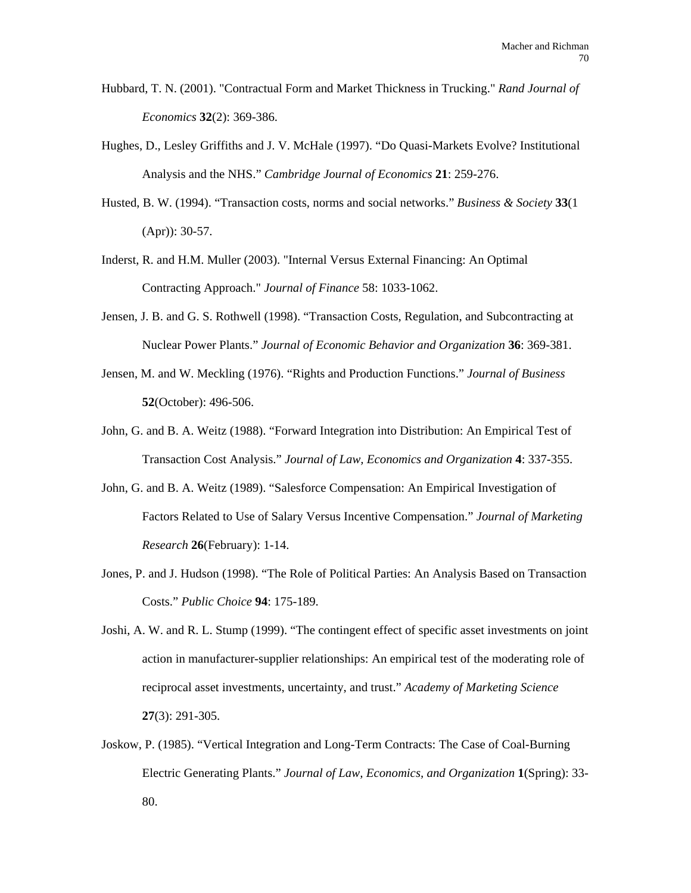- Hubbard, T. N. (2001). "Contractual Form and Market Thickness in Trucking." *Rand Journal of Economics* **32**(2): 369-386.
- Hughes, D., Lesley Griffiths and J. V. McHale (1997). "Do Quasi-Markets Evolve? Institutional Analysis and the NHS." *Cambridge Journal of Economics* **21**: 259-276.
- Husted, B. W. (1994). "Transaction costs, norms and social networks." *Business & Society* **33**(1 (Apr)): 30-57.
- Inderst, R. and H.M. Muller (2003). "Internal Versus External Financing: An Optimal Contracting Approach." *Journal of Finance* 58: 1033-1062.
- Jensen, J. B. and G. S. Rothwell (1998). "Transaction Costs, Regulation, and Subcontracting at Nuclear Power Plants." *Journal of Economic Behavior and Organization* **36**: 369-381.
- Jensen, M. and W. Meckling (1976). "Rights and Production Functions." *Journal of Business* **52**(October): 496-506.
- John, G. and B. A. Weitz (1988). "Forward Integration into Distribution: An Empirical Test of Transaction Cost Analysis." *Journal of Law, Economics and Organization* **4**: 337-355.
- John, G. and B. A. Weitz (1989). "Salesforce Compensation: An Empirical Investigation of Factors Related to Use of Salary Versus Incentive Compensation." *Journal of Marketing Research* **26**(February): 1-14.
- Jones, P. and J. Hudson (1998). "The Role of Political Parties: An Analysis Based on Transaction Costs." *Public Choice* **94**: 175-189.
- Joshi, A. W. and R. L. Stump (1999). "The contingent effect of specific asset investments on joint action in manufacturer-supplier relationships: An empirical test of the moderating role of reciprocal asset investments, uncertainty, and trust." *Academy of Marketing Science* **27**(3): 291-305.
- Joskow, P. (1985). "Vertical Integration and Long-Term Contracts: The Case of Coal-Burning Electric Generating Plants." *Journal of Law, Economics, and Organization* **1**(Spring): 33- 80.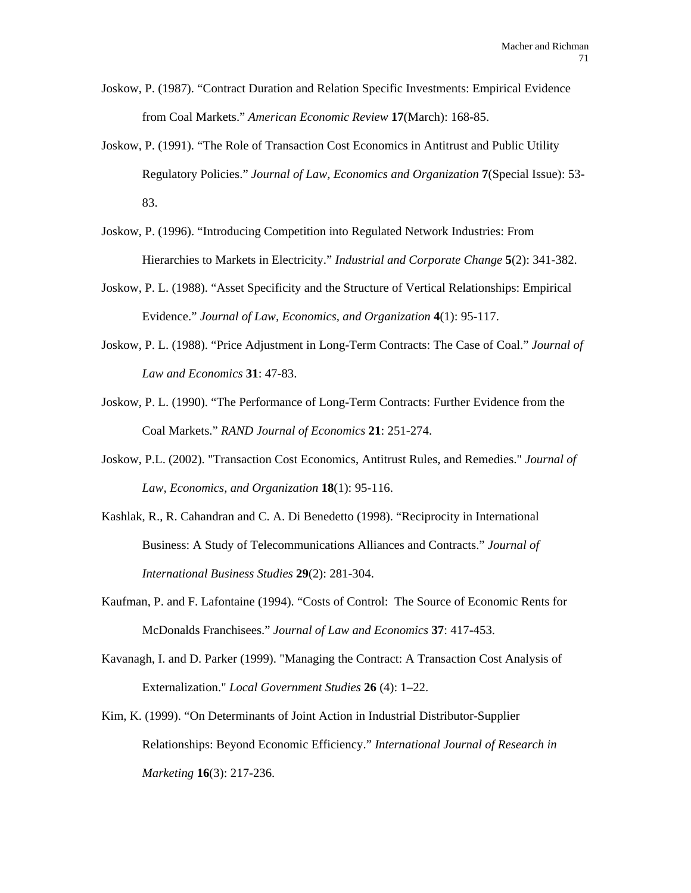- Joskow, P. (1987). "Contract Duration and Relation Specific Investments: Empirical Evidence from Coal Markets." *American Economic Review* **17**(March): 168-85.
- Joskow, P. (1991). "The Role of Transaction Cost Economics in Antitrust and Public Utility Regulatory Policies." *Journal of Law, Economics and Organization* **7**(Special Issue): 53- 83.
- Joskow, P. (1996). "Introducing Competition into Regulated Network Industries: From Hierarchies to Markets in Electricity." *Industrial and Corporate Change* **5**(2): 341-382.
- Joskow, P. L. (1988). "Asset Specificity and the Structure of Vertical Relationships: Empirical Evidence." *Journal of Law, Economics, and Organization* **4**(1): 95-117.
- Joskow, P. L. (1988). "Price Adjustment in Long-Term Contracts: The Case of Coal." *Journal of Law and Economics* **31**: 47-83.
- Joskow, P. L. (1990). "The Performance of Long-Term Contracts: Further Evidence from the Coal Markets." *RAND Journal of Economics* **21**: 251-274.
- Joskow, P.L. (2002). "Transaction Cost Economics, Antitrust Rules, and Remedies." *Journal of Law, Economics, and Organization* **18**(1): 95-116.
- Kashlak, R., R. Cahandran and C. A. Di Benedetto (1998). "Reciprocity in International Business: A Study of Telecommunications Alliances and Contracts." *Journal of International Business Studies* **29**(2): 281-304.
- Kaufman, P. and F. Lafontaine (1994). "Costs of Control: The Source of Economic Rents for McDonalds Franchisees." *Journal of Law and Economics* **37**: 417-453.
- Kavanagh, I. and D. Parker (1999). "Managing the Contract: A Transaction Cost Analysis of Externalization." *Local Government Studies* **26** (4): 1–22.
- Kim, K. (1999). "On Determinants of Joint Action in Industrial Distributor-Supplier Relationships: Beyond Economic Efficiency." *International Journal of Research in Marketing* **16**(3): 217-236.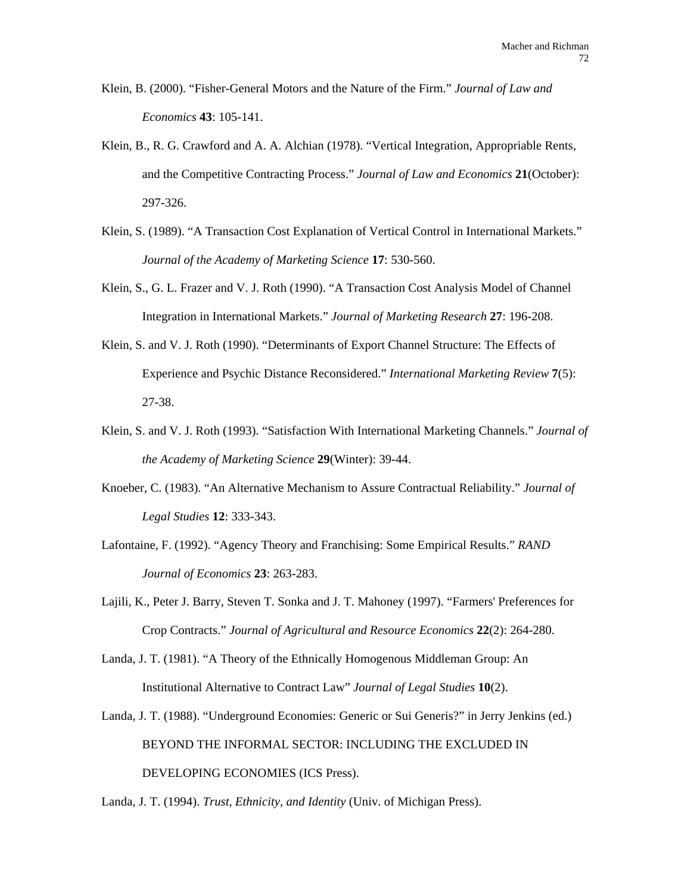- Klein, B. (2000). "Fisher-General Motors and the Nature of the Firm." *Journal of Law and Economics* **43**: 105-141.
- Klein, B., R. G. Crawford and A. A. Alchian (1978). "Vertical Integration, Appropriable Rents, and the Competitive Contracting Process." *Journal of Law and Economics* **21**(October): 297-326.
- Klein, S. (1989). "A Transaction Cost Explanation of Vertical Control in International Markets." *Journal of the Academy of Marketing Science* **17**: 530-560.
- Klein, S., G. L. Frazer and V. J. Roth (1990). "A Transaction Cost Analysis Model of Channel Integration in International Markets." *Journal of Marketing Research* **27**: 196-208.
- Klein, S. and V. J. Roth (1990). "Determinants of Export Channel Structure: The Effects of Experience and Psychic Distance Reconsidered." *International Marketing Review* **7**(5): 27-38.
- Klein, S. and V. J. Roth (1993). "Satisfaction With International Marketing Channels." *Journal of the Academy of Marketing Science* **29**(Winter): 39-44.
- Knoeber, C. (1983). "An Alternative Mechanism to Assure Contractual Reliability." *Journal of Legal Studies* **12**: 333-343.
- Lafontaine, F. (1992). "Agency Theory and Franchising: Some Empirical Results." *RAND Journal of Economics* **23**: 263-283.
- Lajili, K., Peter J. Barry, Steven T. Sonka and J. T. Mahoney (1997). "Farmers' Preferences for Crop Contracts." *Journal of Agricultural and Resource Economics* **22**(2): 264-280.
- Landa, J. T. (1981). "A Theory of the Ethnically Homogenous Middleman Group: An Institutional Alternative to Contract Law" *Journal of Legal Studies* **10**(2).
- Landa, J. T. (1988). "Underground Economies: Generic or Sui Generis?" in Jerry Jenkins (ed.) BEYOND THE INFORMAL SECTOR: INCLUDING THE EXCLUDED IN DEVELOPING ECONOMIES (ICS Press).

Landa, J. T. (1994). *Trust, Ethnicity, and Identity* (Univ. of Michigan Press).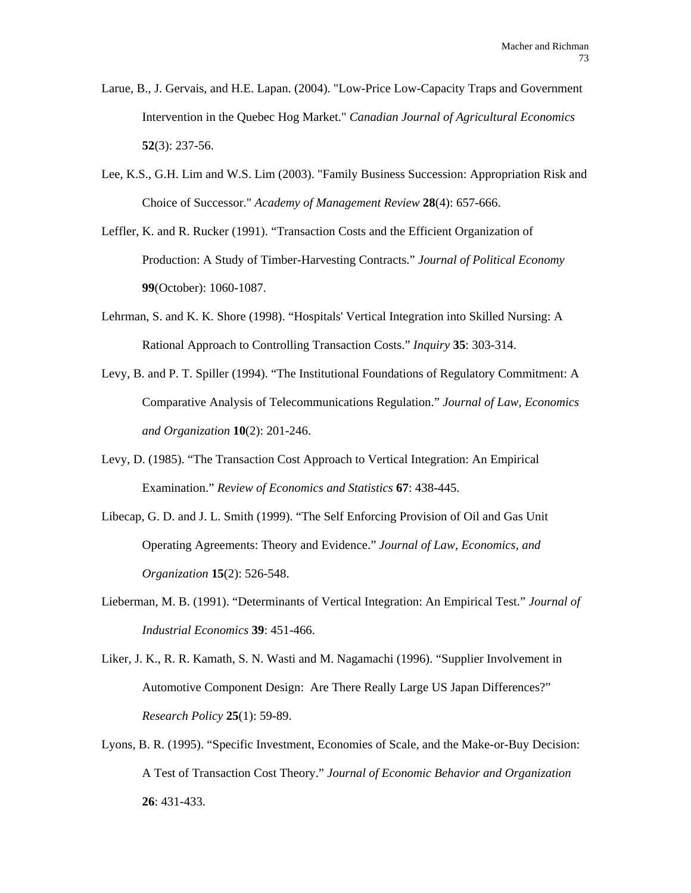- Larue, B., J. Gervais, and H.E. Lapan. (2004). "Low-Price Low-Capacity Traps and Government Intervention in the Quebec Hog Market." *Canadian Journal of Agricultural Economics*  **52**(3): 237-56.
- Lee, K.S., G.H. Lim and W.S. Lim (2003). "Family Business Succession: Appropriation Risk and Choice of Successor." *Academy of Management Review* **28**(4): 657-666.
- Leffler, K. and R. Rucker (1991). "Transaction Costs and the Efficient Organization of Production: A Study of Timber-Harvesting Contracts." *Journal of Political Economy* **99**(October): 1060-1087.
- Lehrman, S. and K. K. Shore (1998). "Hospitals' Vertical Integration into Skilled Nursing: A Rational Approach to Controlling Transaction Costs." *Inquiry* **35**: 303-314.
- Levy, B. and P. T. Spiller (1994). "The Institutional Foundations of Regulatory Commitment: A Comparative Analysis of Telecommunications Regulation." *Journal of Law, Economics and Organization* **10**(2): 201-246.
- Levy, D. (1985). "The Transaction Cost Approach to Vertical Integration: An Empirical Examination." *Review of Economics and Statistics* **67**: 438-445.
- Libecap, G. D. and J. L. Smith (1999). "The Self Enforcing Provision of Oil and Gas Unit Operating Agreements: Theory and Evidence." *Journal of Law, Economics, and Organization* **15**(2): 526-548.
- Lieberman, M. B. (1991). "Determinants of Vertical Integration: An Empirical Test." *Journal of Industrial Economics* **39**: 451-466.
- Liker, J. K., R. R. Kamath, S. N. Wasti and M. Nagamachi (1996). "Supplier Involvement in Automotive Component Design: Are There Really Large US Japan Differences?" *Research Policy* **25**(1): 59-89.
- Lyons, B. R. (1995). "Specific Investment, Economies of Scale, and the Make-or-Buy Decision: A Test of Transaction Cost Theory." *Journal of Economic Behavior and Organization* **26**: 431-433.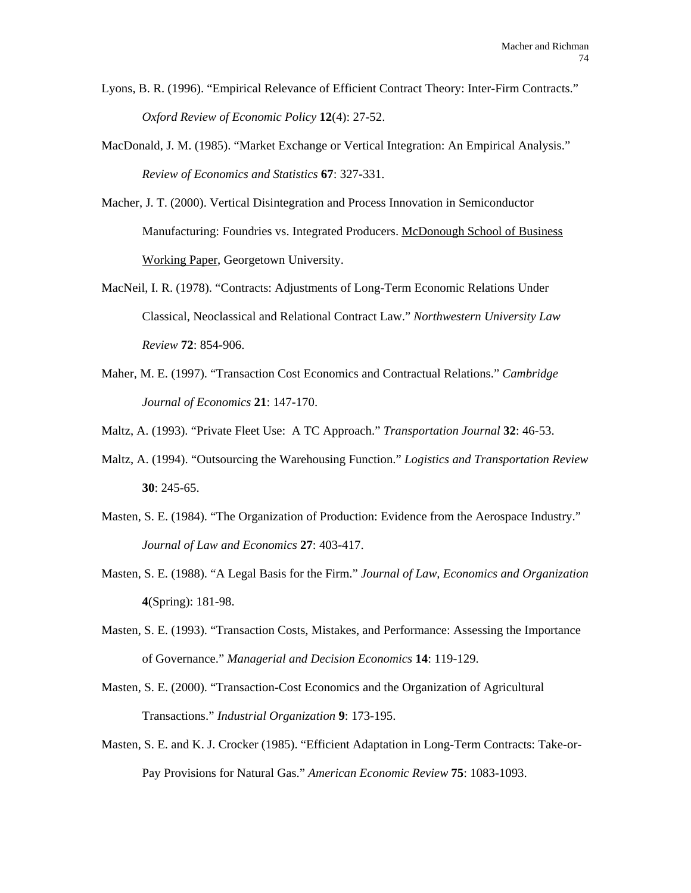- Lyons, B. R. (1996). "Empirical Relevance of Efficient Contract Theory: Inter-Firm Contracts." *Oxford Review of Economic Policy* **12**(4): 27-52.
- MacDonald, J. M. (1985). "Market Exchange or Vertical Integration: An Empirical Analysis." *Review of Economics and Statistics* **67**: 327-331.
- Macher, J. T. (2000). Vertical Disintegration and Process Innovation in Semiconductor Manufacturing: Foundries vs. Integrated Producers. McDonough School of Business Working Paper, Georgetown University.
- MacNeil, I. R. (1978). "Contracts: Adjustments of Long-Term Economic Relations Under Classical, Neoclassical and Relational Contract Law." *Northwestern University Law Review* **72**: 854-906.
- Maher, M. E. (1997). "Transaction Cost Economics and Contractual Relations." *Cambridge Journal of Economics* **21**: 147-170.
- Maltz, A. (1993). "Private Fleet Use: A TC Approach." *Transportation Journal* **32**: 46-53.
- Maltz, A. (1994). "Outsourcing the Warehousing Function." *Logistics and Transportation Review* **30**: 245-65.
- Masten, S. E. (1984). "The Organization of Production: Evidence from the Aerospace Industry." *Journal of Law and Economics* **27**: 403-417.
- Masten, S. E. (1988). "A Legal Basis for the Firm." *Journal of Law, Economics and Organization* **4**(Spring): 181-98.
- Masten, S. E. (1993). "Transaction Costs, Mistakes, and Performance: Assessing the Importance of Governance." *Managerial and Decision Economics* **14**: 119-129.
- Masten, S. E. (2000). "Transaction-Cost Economics and the Organization of Agricultural Transactions." *Industrial Organization* **9**: 173-195.
- Masten, S. E. and K. J. Crocker (1985). "Efficient Adaptation in Long-Term Contracts: Take-or-Pay Provisions for Natural Gas." *American Economic Review* **75**: 1083-1093.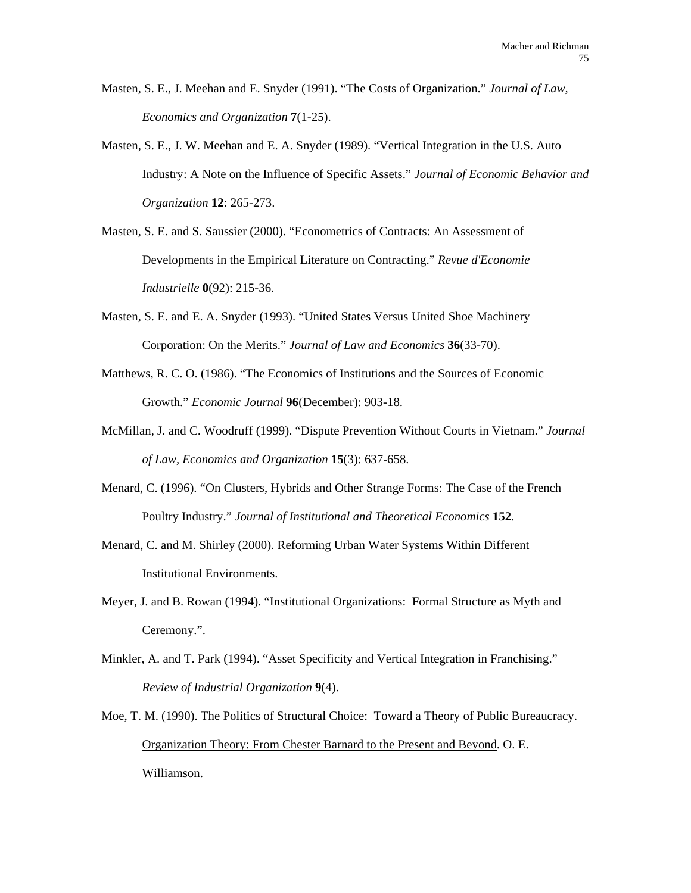- Masten, S. E., J. Meehan and E. Snyder (1991). "The Costs of Organization." *Journal of Law, Economics and Organization* **7**(1-25).
- Masten, S. E., J. W. Meehan and E. A. Snyder (1989). "Vertical Integration in the U.S. Auto Industry: A Note on the Influence of Specific Assets." *Journal of Economic Behavior and Organization* **12**: 265-273.
- Masten, S. E. and S. Saussier (2000). "Econometrics of Contracts: An Assessment of Developments in the Empirical Literature on Contracting." *Revue d'Economie Industrielle* **0**(92): 215-36.
- Masten, S. E. and E. A. Snyder (1993). "United States Versus United Shoe Machinery Corporation: On the Merits." *Journal of Law and Economics* **36**(33-70).
- Matthews, R. C. O. (1986). "The Economics of Institutions and the Sources of Economic Growth." *Economic Journal* **96**(December): 903-18.
- McMillan, J. and C. Woodruff (1999). "Dispute Prevention Without Courts in Vietnam." *Journal of Law, Economics and Organization* **15**(3): 637-658.
- Menard, C. (1996). "On Clusters, Hybrids and Other Strange Forms: The Case of the French Poultry Industry." *Journal of Institutional and Theoretical Economics* **152**.
- Menard, C. and M. Shirley (2000). Reforming Urban Water Systems Within Different Institutional Environments.
- Meyer, J. and B. Rowan (1994). "Institutional Organizations: Formal Structure as Myth and Ceremony.".
- Minkler, A. and T. Park (1994). "Asset Specificity and Vertical Integration in Franchising." *Review of Industrial Organization* **9**(4).
- Moe, T. M. (1990). The Politics of Structural Choice: Toward a Theory of Public Bureaucracy. Organization Theory: From Chester Barnard to the Present and Beyond. O. E. Williamson.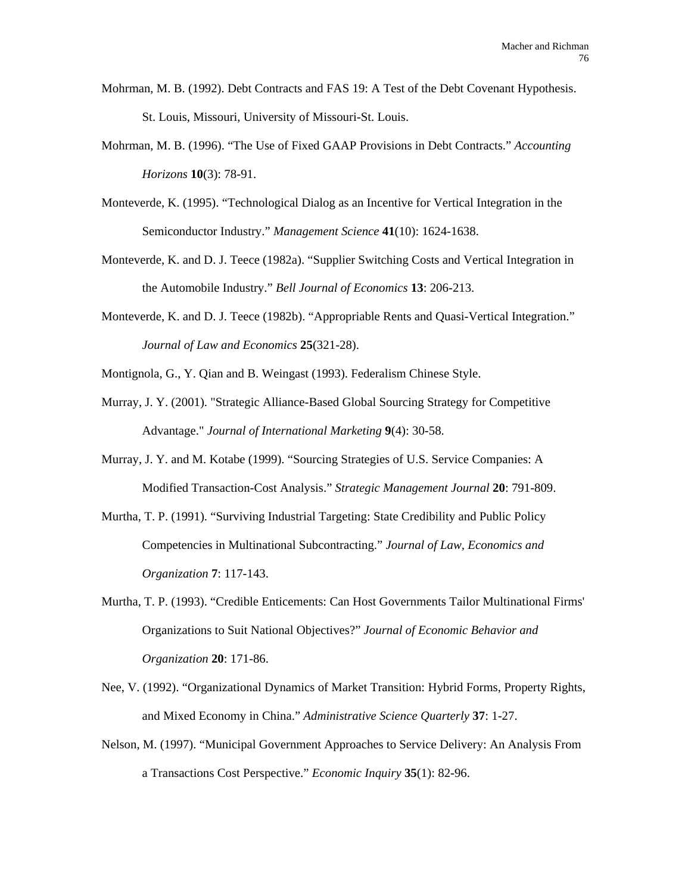- Mohrman, M. B. (1992). Debt Contracts and FAS 19: A Test of the Debt Covenant Hypothesis. St. Louis, Missouri, University of Missouri-St. Louis.
- Mohrman, M. B. (1996). "The Use of Fixed GAAP Provisions in Debt Contracts." *Accounting Horizons* **10**(3): 78-91.
- Monteverde, K. (1995). "Technological Dialog as an Incentive for Vertical Integration in the Semiconductor Industry." *Management Science* **41**(10): 1624-1638.
- Monteverde, K. and D. J. Teece (1982a). "Supplier Switching Costs and Vertical Integration in the Automobile Industry." *Bell Journal of Economics* **13**: 206-213.
- Monteverde, K. and D. J. Teece (1982b). "Appropriable Rents and Quasi-Vertical Integration." *Journal of Law and Economics* **25**(321-28).
- Montignola, G., Y. Qian and B. Weingast (1993). Federalism Chinese Style.
- Murray, J. Y. (2001). "Strategic Alliance-Based Global Sourcing Strategy for Competitive Advantage." *Journal of International Marketing* **9**(4): 30-58.
- Murray, J. Y. and M. Kotabe (1999). "Sourcing Strategies of U.S. Service Companies: A Modified Transaction-Cost Analysis." *Strategic Management Journal* **20**: 791-809.
- Murtha, T. P. (1991). "Surviving Industrial Targeting: State Credibility and Public Policy Competencies in Multinational Subcontracting." *Journal of Law, Economics and Organization* **7**: 117-143.
- Murtha, T. P. (1993). "Credible Enticements: Can Host Governments Tailor Multinational Firms' Organizations to Suit National Objectives?" *Journal of Economic Behavior and Organization* **20**: 171-86.
- Nee, V. (1992). "Organizational Dynamics of Market Transition: Hybrid Forms, Property Rights, and Mixed Economy in China." *Administrative Science Quarterly* **37**: 1-27.
- Nelson, M. (1997). "Municipal Government Approaches to Service Delivery: An Analysis From a Transactions Cost Perspective." *Economic Inquiry* **35**(1): 82-96.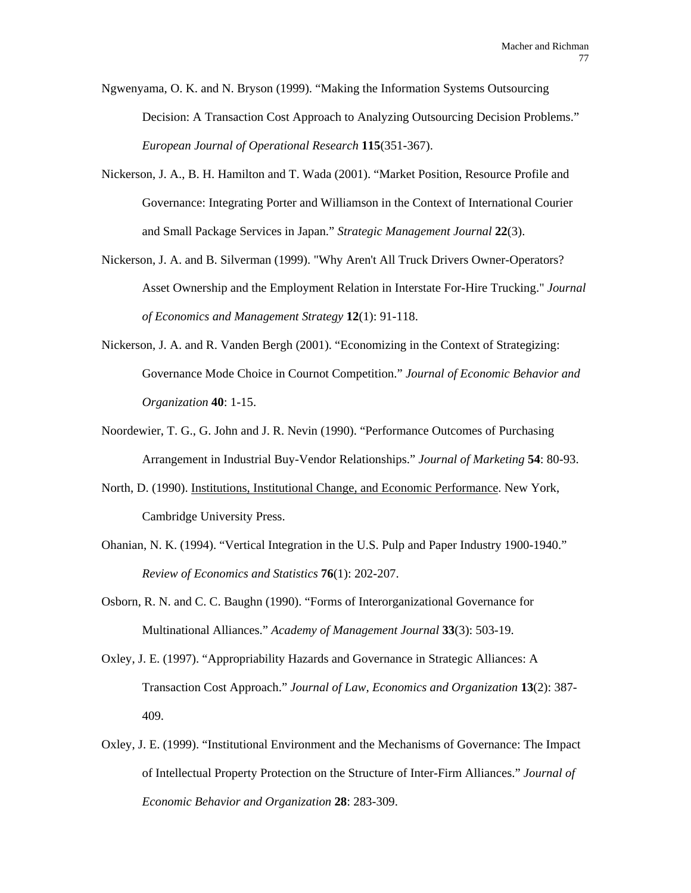Ngwenyama, O. K. and N. Bryson (1999). "Making the Information Systems Outsourcing Decision: A Transaction Cost Approach to Analyzing Outsourcing Decision Problems." *European Journal of Operational Research* **115**(351-367).

- Nickerson, J. A., B. H. Hamilton and T. Wada (2001). "Market Position, Resource Profile and Governance: Integrating Porter and Williamson in the Context of International Courier and Small Package Services in Japan." *Strategic Management Journal* **22**(3).
- Nickerson, J. A. and B. Silverman (1999). "Why Aren't All Truck Drivers Owner-Operators? Asset Ownership and the Employment Relation in Interstate For-Hire Trucking." *Journal of Economics and Management Strategy* **12**(1): 91-118.
- Nickerson, J. A. and R. Vanden Bergh (2001). "Economizing in the Context of Strategizing: Governance Mode Choice in Cournot Competition." *Journal of Economic Behavior and Organization* **40**: 1-15.
- Noordewier, T. G., G. John and J. R. Nevin (1990). "Performance Outcomes of Purchasing Arrangement in Industrial Buy-Vendor Relationships." *Journal of Marketing* **54**: 80-93.
- North, D. (1990). Institutions, Institutional Change, and Economic Performance. New York, Cambridge University Press.
- Ohanian, N. K. (1994). "Vertical Integration in the U.S. Pulp and Paper Industry 1900-1940." *Review of Economics and Statistics* **76**(1): 202-207.
- Osborn, R. N. and C. C. Baughn (1990). "Forms of Interorganizational Governance for Multinational Alliances." *Academy of Management Journal* **33**(3): 503-19.
- Oxley, J. E. (1997). "Appropriability Hazards and Governance in Strategic Alliances: A Transaction Cost Approach." *Journal of Law, Economics and Organization* **13**(2): 387- 409.
- Oxley, J. E. (1999). "Institutional Environment and the Mechanisms of Governance: The Impact of Intellectual Property Protection on the Structure of Inter-Firm Alliances." *Journal of Economic Behavior and Organization* **28**: 283-309.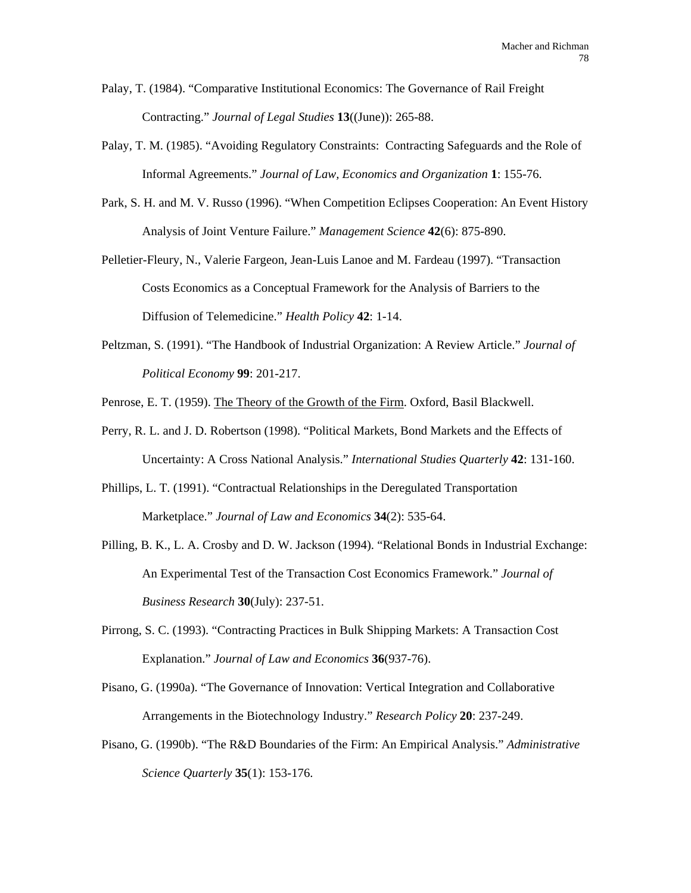- Palay, T. (1984). "Comparative Institutional Economics: The Governance of Rail Freight Contracting." *Journal of Legal Studies* **13**((June)): 265-88.
- Palay, T. M. (1985). "Avoiding Regulatory Constraints: Contracting Safeguards and the Role of Informal Agreements." *Journal of Law, Economics and Organization* **1**: 155-76.
- Park, S. H. and M. V. Russo (1996). "When Competition Eclipses Cooperation: An Event History Analysis of Joint Venture Failure." *Management Science* **42**(6): 875-890.
- Pelletier-Fleury, N., Valerie Fargeon, Jean-Luis Lanoe and M. Fardeau (1997). "Transaction Costs Economics as a Conceptual Framework for the Analysis of Barriers to the Diffusion of Telemedicine." *Health Policy* **42**: 1-14.
- Peltzman, S. (1991). "The Handbook of Industrial Organization: A Review Article." *Journal of Political Economy* **99**: 201-217.
- Penrose, E. T. (1959). The Theory of the Growth of the Firm. Oxford, Basil Blackwell.
- Perry, R. L. and J. D. Robertson (1998). "Political Markets, Bond Markets and the Effects of Uncertainty: A Cross National Analysis." *International Studies Quarterly* **42**: 131-160.
- Phillips, L. T. (1991). "Contractual Relationships in the Deregulated Transportation Marketplace." *Journal of Law and Economics* **34**(2): 535-64.
- Pilling, B. K., L. A. Crosby and D. W. Jackson (1994). "Relational Bonds in Industrial Exchange: An Experimental Test of the Transaction Cost Economics Framework." *Journal of Business Research* **30**(July): 237-51.
- Pirrong, S. C. (1993). "Contracting Practices in Bulk Shipping Markets: A Transaction Cost Explanation." *Journal of Law and Economics* **36**(937-76).
- Pisano, G. (1990a). "The Governance of Innovation: Vertical Integration and Collaborative Arrangements in the Biotechnology Industry." *Research Policy* **20**: 237-249.
- Pisano, G. (1990b). "The R&D Boundaries of the Firm: An Empirical Analysis." *Administrative Science Quarterly* **35**(1): 153-176.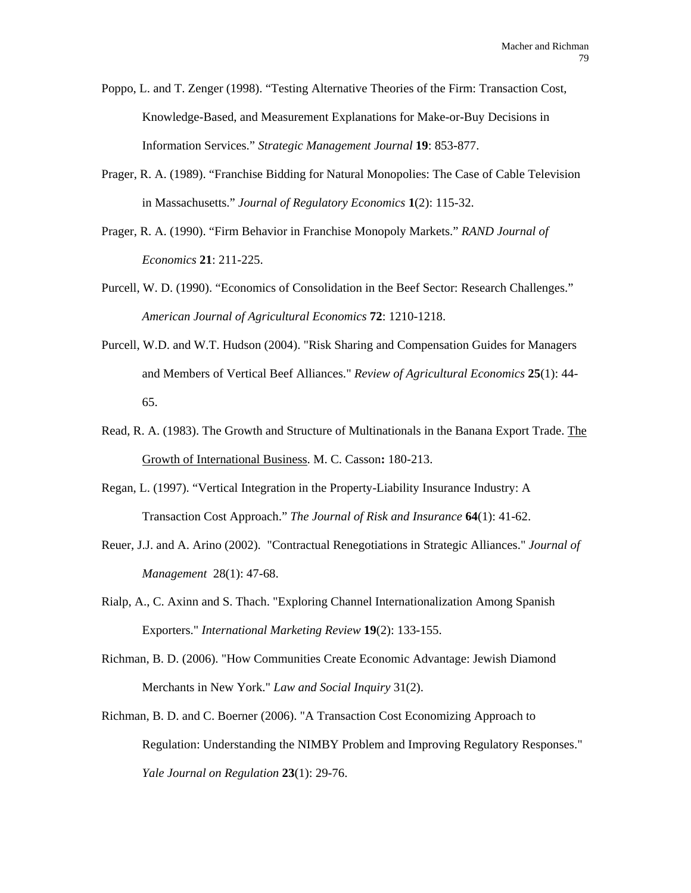Poppo, L. and T. Zenger (1998). "Testing Alternative Theories of the Firm: Transaction Cost, Knowledge-Based, and Measurement Explanations for Make-or-Buy Decisions in Information Services." *Strategic Management Journal* **19**: 853-877.

- Prager, R. A. (1989). "Franchise Bidding for Natural Monopolies: The Case of Cable Television in Massachusetts." *Journal of Regulatory Economics* **1**(2): 115-32.
- Prager, R. A. (1990). "Firm Behavior in Franchise Monopoly Markets." *RAND Journal of Economics* **21**: 211-225.
- Purcell, W. D. (1990). "Economics of Consolidation in the Beef Sector: Research Challenges." *American Journal of Agricultural Economics* **72**: 1210-1218.
- Purcell, W.D. and W.T. Hudson (2004). "Risk Sharing and Compensation Guides for Managers and Members of Vertical Beef Alliances." *Review of Agricultural Economics* **25**(1): 44- 65.
- Read, R. A. (1983). The Growth and Structure of Multinationals in the Banana Export Trade. The Growth of International Business. M. C. Casson**:** 180-213.
- Regan, L. (1997). "Vertical Integration in the Property-Liability Insurance Industry: A Transaction Cost Approach." *The Journal of Risk and Insurance* **64**(1): 41-62.
- Reuer, J.J. and A. Arino (2002). "Contractual Renegotiations in Strategic Alliances." *Journal of Management* 28(1): 47-68.
- Rialp, A., C. Axinn and S. Thach. "Exploring Channel Internationalization Among Spanish Exporters." *International Marketing Review* **19**(2): 133-155.
- Richman, B. D. (2006). "How Communities Create Economic Advantage: Jewish Diamond Merchants in New York." *Law and Social Inquiry* 31(2).
- Richman, B. D. and C. Boerner (2006). "A Transaction Cost Economizing Approach to Regulation: Understanding the NIMBY Problem and Improving Regulatory Responses." *Yale Journal on Regulation* **23**(1): 29-76.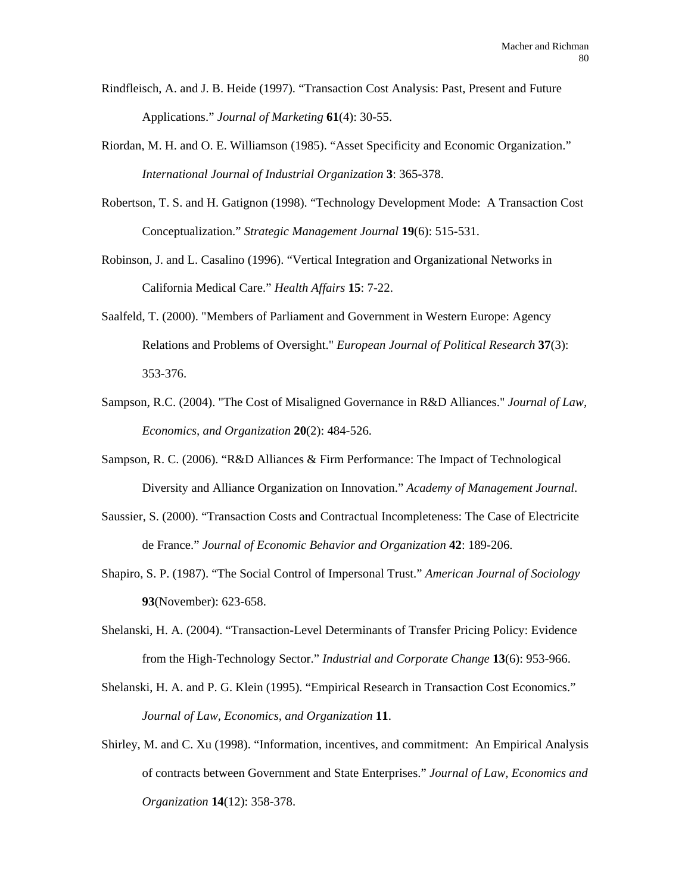- Rindfleisch, A. and J. B. Heide (1997). "Transaction Cost Analysis: Past, Present and Future Applications." *Journal of Marketing* **61**(4): 30-55.
- Riordan, M. H. and O. E. Williamson (1985). "Asset Specificity and Economic Organization." *International Journal of Industrial Organization* **3**: 365-378.
- Robertson, T. S. and H. Gatignon (1998). "Technology Development Mode: A Transaction Cost Conceptualization." *Strategic Management Journal* **19**(6): 515-531.
- Robinson, J. and L. Casalino (1996). "Vertical Integration and Organizational Networks in California Medical Care." *Health Affairs* **15**: 7-22.
- Saalfeld, T. (2000). "Members of Parliament and Government in Western Europe: Agency Relations and Problems of Oversight." *European Journal of Political Research* **37**(3): 353-376.
- Sampson, R.C. (2004). "The Cost of Misaligned Governance in R&D Alliances." *Journal of Law, Economics, and Organization* **20**(2): 484-526.
- Sampson, R. C. (2006). "R&D Alliances & Firm Performance: The Impact of Technological Diversity and Alliance Organization on Innovation." *Academy of Management Journal*.
- Saussier, S. (2000). "Transaction Costs and Contractual Incompleteness: The Case of Electricite de France." *Journal of Economic Behavior and Organization* **42**: 189-206.
- Shapiro, S. P. (1987). "The Social Control of Impersonal Trust." *American Journal of Sociology* **93**(November): 623-658.
- Shelanski, H. A. (2004). "Transaction-Level Determinants of Transfer Pricing Policy: Evidence from the High-Technology Sector." *Industrial and Corporate Change* **13**(6): 953-966.
- Shelanski, H. A. and P. G. Klein (1995). "Empirical Research in Transaction Cost Economics." *Journal of Law, Economics, and Organization* **11**.
- Shirley, M. and C. Xu (1998). "Information, incentives, and commitment: An Empirical Analysis of contracts between Government and State Enterprises." *Journal of Law, Economics and Organization* **14**(12): 358-378.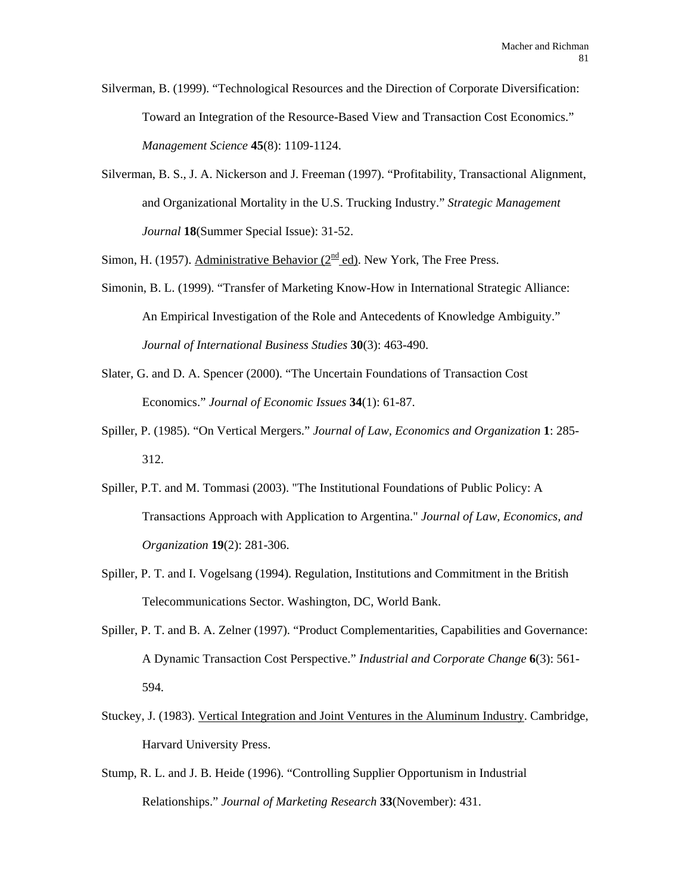Silverman, B. (1999). "Technological Resources and the Direction of Corporate Diversification: Toward an Integration of the Resource-Based View and Transaction Cost Economics." *Management Science* **45**(8): 1109-1124.

Silverman, B. S., J. A. Nickerson and J. Freeman (1997). "Profitability, Transactional Alignment, and Organizational Mortality in the U.S. Trucking Industry." *Strategic Management Journal* **18**(Summer Special Issue): 31-52.

Simon, H. (1957). Administrative Behavior ( $2<sup>nd</sup>$  ed). New York, The Free Press.

- Simonin, B. L. (1999). "Transfer of Marketing Know-How in International Strategic Alliance: An Empirical Investigation of the Role and Antecedents of Knowledge Ambiguity." *Journal of International Business Studies* **30**(3): 463-490.
- Slater, G. and D. A. Spencer (2000). "The Uncertain Foundations of Transaction Cost Economics." *Journal of Economic Issues* **34**(1): 61-87.
- Spiller, P. (1985). "On Vertical Mergers." *Journal of Law, Economics and Organization* **1**: 285- 312.
- Spiller, P.T. and M. Tommasi (2003). "The Institutional Foundations of Public Policy: A Transactions Approach with Application to Argentina." *Journal of Law, Economics, and Organization* **19**(2): 281-306.
- Spiller, P. T. and I. Vogelsang (1994). Regulation, Institutions and Commitment in the British Telecommunications Sector. Washington, DC, World Bank.
- Spiller, P. T. and B. A. Zelner (1997). "Product Complementarities, Capabilities and Governance: A Dynamic Transaction Cost Perspective." *Industrial and Corporate Change* **6**(3): 561- 594.
- Stuckey, J. (1983). Vertical Integration and Joint Ventures in the Aluminum Industry. Cambridge, Harvard University Press.
- Stump, R. L. and J. B. Heide (1996). "Controlling Supplier Opportunism in Industrial Relationships." *Journal of Marketing Research* **33**(November): 431.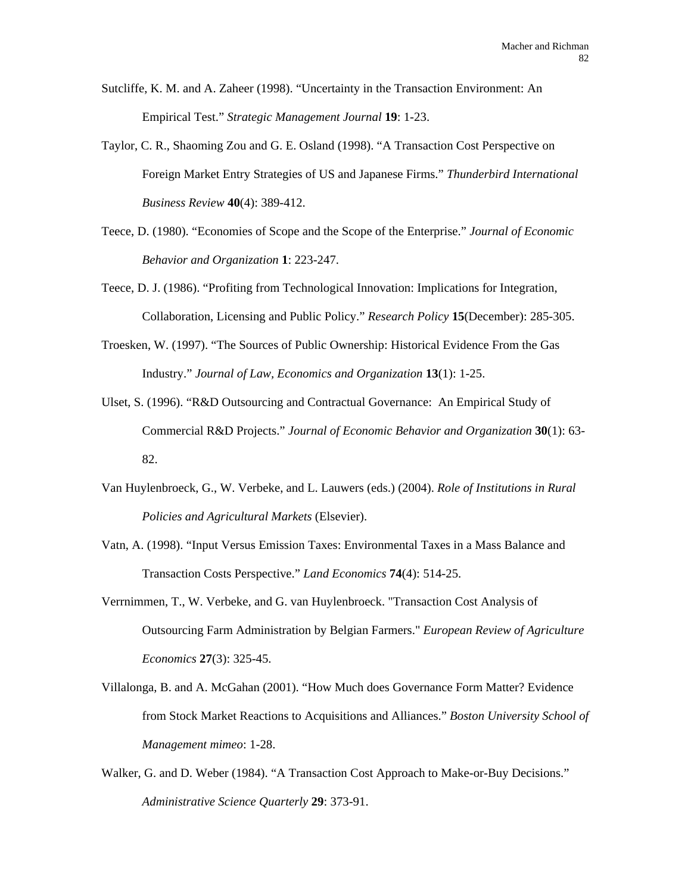- Sutcliffe, K. M. and A. Zaheer (1998). "Uncertainty in the Transaction Environment: An Empirical Test." *Strategic Management Journal* **19**: 1-23.
- Taylor, C. R., Shaoming Zou and G. E. Osland (1998). "A Transaction Cost Perspective on Foreign Market Entry Strategies of US and Japanese Firms." *Thunderbird International Business Review* **40**(4): 389-412.
- Teece, D. (1980). "Economies of Scope and the Scope of the Enterprise." *Journal of Economic Behavior and Organization* **1**: 223-247.
- Teece, D. J. (1986). "Profiting from Technological Innovation: Implications for Integration, Collaboration, Licensing and Public Policy." *Research Policy* **15**(December): 285-305.
- Troesken, W. (1997). "The Sources of Public Ownership: Historical Evidence From the Gas Industry." *Journal of Law, Economics and Organization* **13**(1): 1-25.
- Ulset, S. (1996). "R&D Outsourcing and Contractual Governance: An Empirical Study of Commercial R&D Projects." *Journal of Economic Behavior and Organization* **30**(1): 63- 82.
- Van Huylenbroeck, G., W. Verbeke, and L. Lauwers (eds.) (2004). *Role of Institutions in Rural Policies and Agricultural Markets* (Elsevier).
- Vatn, A. (1998). "Input Versus Emission Taxes: Environmental Taxes in a Mass Balance and Transaction Costs Perspective." *Land Economics* **74**(4): 514-25.
- Verrnimmen, T., W. Verbeke, and G. van Huylenbroeck. "Transaction Cost Analysis of Outsourcing Farm Administration by Belgian Farmers." *European Review of Agriculture Economics* **27**(3): 325-45.
- Villalonga, B. and A. McGahan (2001). "How Much does Governance Form Matter? Evidence from Stock Market Reactions to Acquisitions and Alliances." *Boston University School of Management mimeo*: 1-28.
- Walker, G. and D. Weber (1984). "A Transaction Cost Approach to Make-or-Buy Decisions." *Administrative Science Quarterly* **29**: 373-91.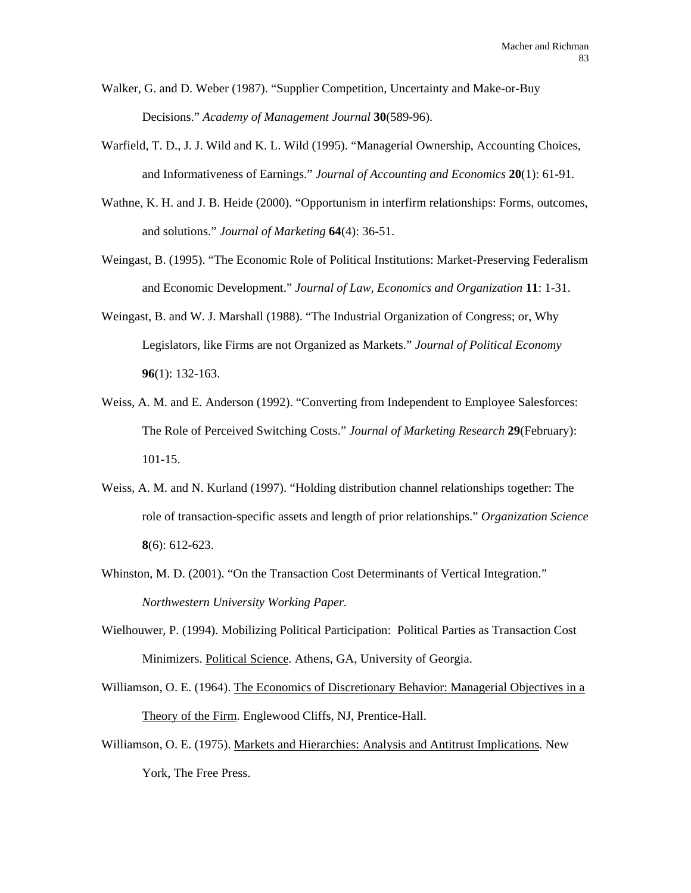- Walker, G. and D. Weber (1987). "Supplier Competition, Uncertainty and Make-or-Buy Decisions." *Academy of Management Journal* **30**(589-96).
- Warfield, T. D., J. J. Wild and K. L. Wild (1995). "Managerial Ownership, Accounting Choices, and Informativeness of Earnings." *Journal of Accounting and Economics* **20**(1): 61-91.
- Wathne, K. H. and J. B. Heide (2000). "Opportunism in interfirm relationships: Forms, outcomes, and solutions." *Journal of Marketing* **64**(4): 36-51.
- Weingast, B. (1995). "The Economic Role of Political Institutions: Market-Preserving Federalism and Economic Development." *Journal of Law, Economics and Organization* **11**: 1-31.
- Weingast, B. and W. J. Marshall (1988). "The Industrial Organization of Congress; or, Why Legislators, like Firms are not Organized as Markets." *Journal of Political Economy* **96**(1): 132-163.
- Weiss, A. M. and E. Anderson (1992). "Converting from Independent to Employee Salesforces: The Role of Perceived Switching Costs." *Journal of Marketing Research* **29**(February): 101-15.
- Weiss, A. M. and N. Kurland (1997). "Holding distribution channel relationships together: The role of transaction-specific assets and length of prior relationships." *Organization Science* **8**(6): 612-623.
- Whinston, M. D. (2001). "On the Transaction Cost Determinants of Vertical Integration." *Northwestern University Working Paper.*
- Wielhouwer, P. (1994). Mobilizing Political Participation: Political Parties as Transaction Cost Minimizers. Political Science. Athens, GA, University of Georgia.
- Williamson, O. E. (1964). The Economics of Discretionary Behavior: Managerial Objectives in a Theory of the Firm. Englewood Cliffs, NJ, Prentice-Hall.
- Williamson, O. E. (1975). Markets and Hierarchies: Analysis and Antitrust Implications. New York, The Free Press.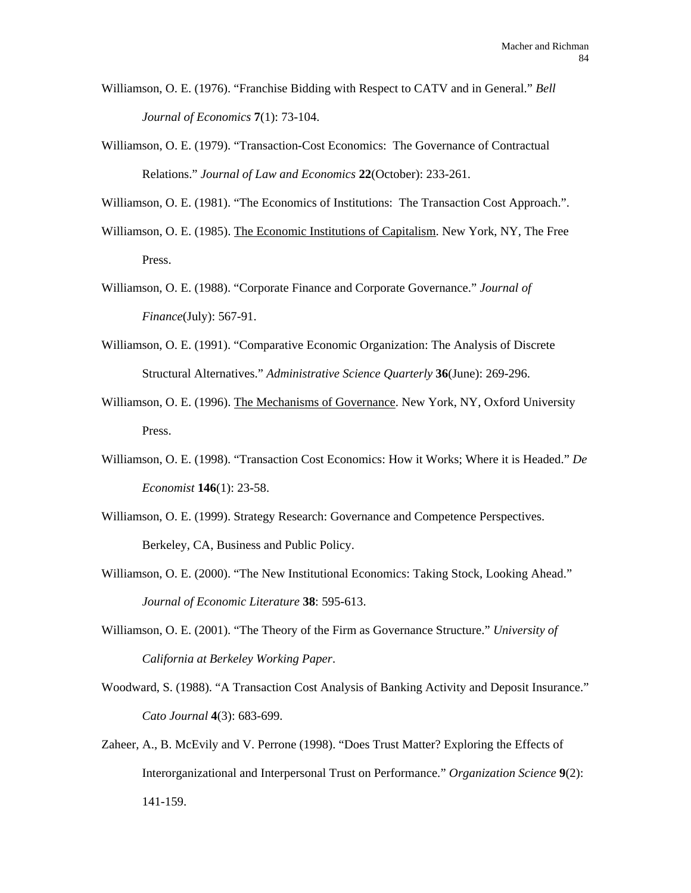- Williamson, O. E. (1976). "Franchise Bidding with Respect to CATV and in General." *Bell Journal of Economics* **7**(1): 73-104.
- Williamson, O. E. (1979). "Transaction-Cost Economics: The Governance of Contractual Relations." *Journal of Law and Economics* **22**(October): 233-261.

Williamson, O. E. (1981). "The Economics of Institutions: The Transaction Cost Approach.".

- Williamson, O. E. (1985). The Economic Institutions of Capitalism. New York, NY, The Free Press.
- Williamson, O. E. (1988). "Corporate Finance and Corporate Governance." *Journal of Finance*(July): 567-91.
- Williamson, O. E. (1991). "Comparative Economic Organization: The Analysis of Discrete Structural Alternatives." *Administrative Science Quarterly* **36**(June): 269-296.
- Williamson, O. E. (1996). The Mechanisms of Governance. New York, NY, Oxford University Press.
- Williamson, O. E. (1998). "Transaction Cost Economics: How it Works; Where it is Headed." *De Economist* **146**(1): 23-58.
- Williamson, O. E. (1999). Strategy Research: Governance and Competence Perspectives. Berkeley, CA, Business and Public Policy.
- Williamson, O. E. (2000). "The New Institutional Economics: Taking Stock, Looking Ahead." *Journal of Economic Literature* **38**: 595-613.
- Williamson, O. E. (2001). "The Theory of the Firm as Governance Structure." *University of California at Berkeley Working Paper*.
- Woodward, S. (1988). "A Transaction Cost Analysis of Banking Activity and Deposit Insurance." *Cato Journal* **4**(3): 683-699.
- Zaheer, A., B. McEvily and V. Perrone (1998). "Does Trust Matter? Exploring the Effects of Interorganizational and Interpersonal Trust on Performance." *Organization Science* **9**(2): 141-159.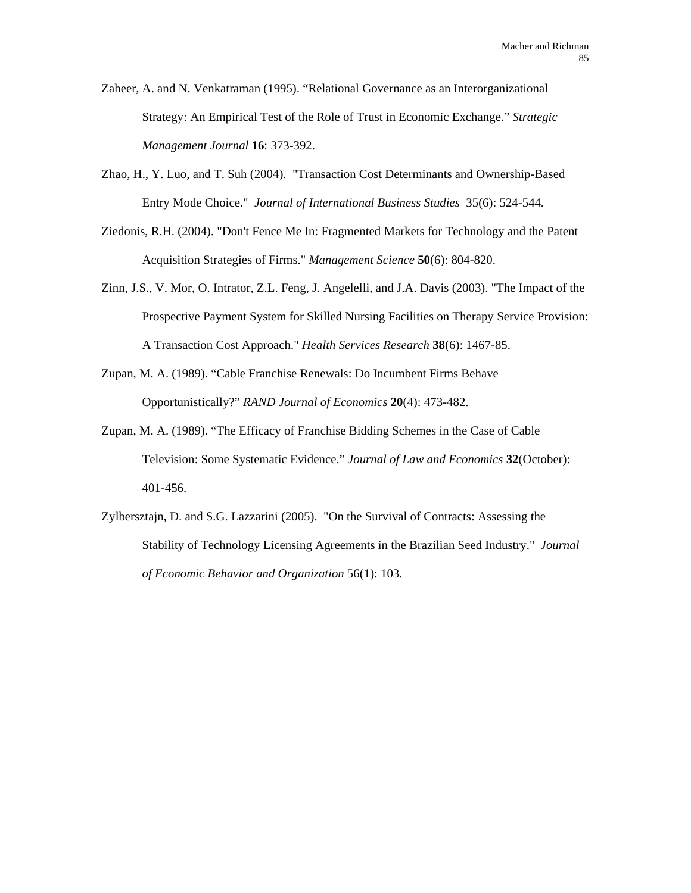Zaheer, A. and N. Venkatraman (1995). "Relational Governance as an Interorganizational Strategy: An Empirical Test of the Role of Trust in Economic Exchange." *Strategic Management Journal* **16**: 373-392.

- Zhao, H., Y. Luo, and T. Suh (2004). "Transaction Cost Determinants and Ownership-Based Entry Mode Choice." *Journal of International Business Studies* 35(6): 524-544.
- Ziedonis, R.H. (2004). "Don't Fence Me In: Fragmented Markets for Technology and the Patent Acquisition Strategies of Firms." *Management Science* **50**(6): 804-820.
- Zinn, J.S., V. Mor, O. Intrator, Z.L. Feng, J. Angelelli, and J.A. Davis (2003). "The Impact of the Prospective Payment System for Skilled Nursing Facilities on Therapy Service Provision: A Transaction Cost Approach." *Health Services Research* **38**(6): 1467-85.
- Zupan, M. A. (1989). "Cable Franchise Renewals: Do Incumbent Firms Behave Opportunistically?" *RAND Journal of Economics* **20**(4): 473-482.
- Zupan, M. A. (1989). "The Efficacy of Franchise Bidding Schemes in the Case of Cable Television: Some Systematic Evidence." *Journal of Law and Economics* **32**(October): 401-456.
- Zylbersztajn, D. and S.G. Lazzarini (2005). "On the Survival of Contracts: Assessing the Stability of Technology Licensing Agreements in the Brazilian Seed Industry." *Journal of Economic Behavior and Organization* 56(1): 103.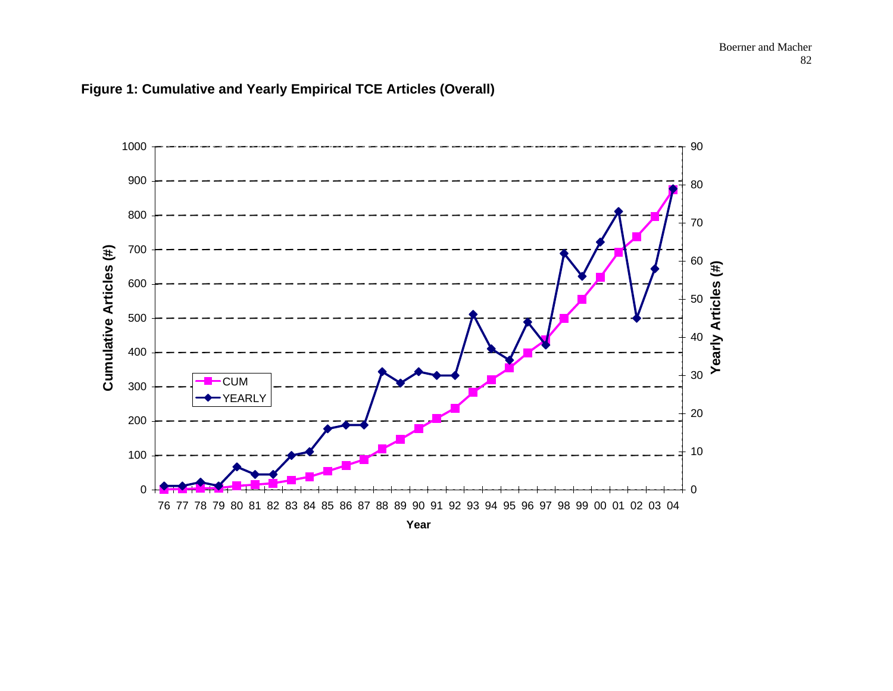

## **Figure 1: Cumulative and Yearly Empirical TCE Articles (Overall)**